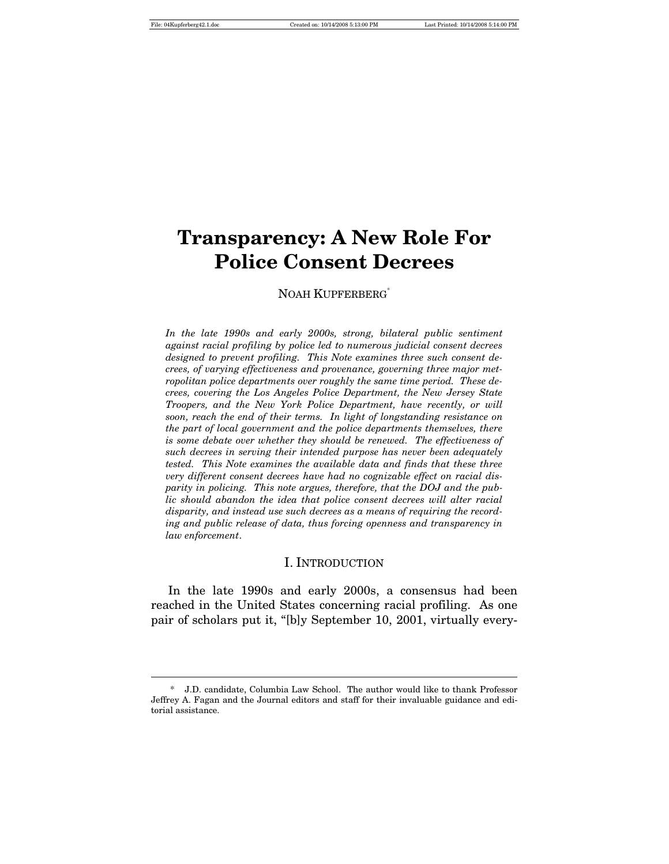$\overline{a}$ 

# **Transparency: A New Role For Police Consent Decrees**

#### NOAH KUPFERBERG<sup>\*</sup>

*In the late 1990s and early 2000s, strong, bilateral public sentiment against racial profiling by police led to numerous judicial consent decrees designed to prevent profiling. This Note examines three such consent decrees, of varying effectiveness and provenance, governing three major metropolitan police departments over roughly the same time period. These decrees, covering the Los Angeles Police Department, the New Jersey State Troopers, and the New York Police Department, have recently, or will soon, reach the end of their terms. In light of longstanding resistance on the part of local government and the police departments themselves, there is some debate over whether they should be renewed. The effectiveness of such decrees in serving their intended purpose has never been adequately tested. This Note examines the available data and finds that these three very different consent decrees have had no cognizable effect on racial disparity in policing. This note argues, therefore, that the DOJ and the public should abandon the idea that police consent decrees will alter racial disparity, and instead use such decrees as a means of requiring the recording and public release of data, thus forcing openness and transparency in law enforcement*.

#### I. INTRODUCTION

In the late 1990s and early 2000s, a consensus had been reached in the United States concerning racial profiling. As one pair of scholars put it, "[b]y September 10, 2001, virtually every-

<sup>\*</sup> J.D. candidate, Columbia Law School. The author would like to thank Professor Jeffrey A. Fagan and the Journal editors and staff for their invaluable guidance and editorial assistance.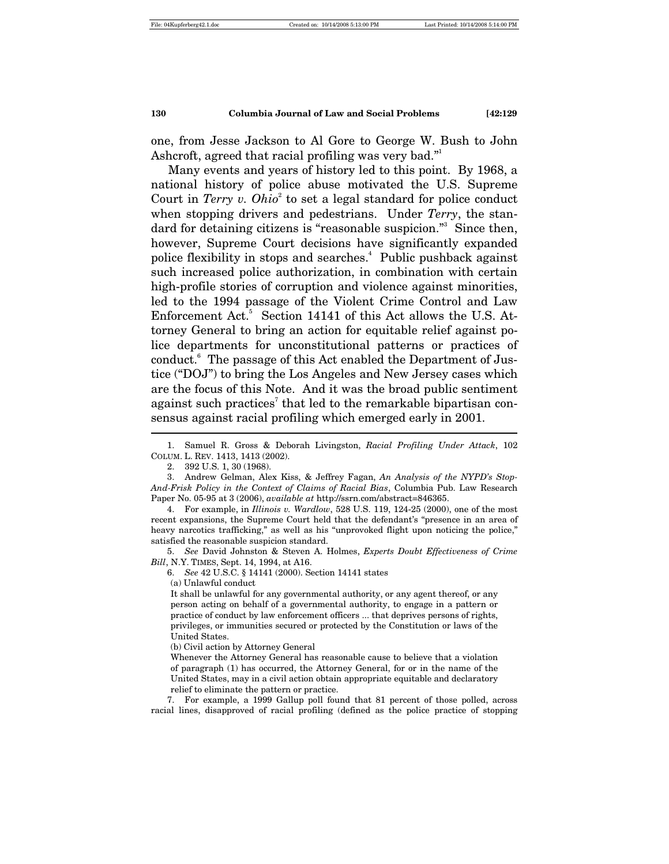one, from Jesse Jackson to Al Gore to George W. Bush to John Ashcroft, agreed that racial profiling was very bad."<sup>1</sup>

Many events and years of history led to this point. By 1968, a national history of police abuse motivated the U.S. Supreme Court in *Terry v. Ohio*<sup>2</sup> to set a legal standard for police conduct when stopping drivers and pedestrians. Under *Terry*, the standard for detaining citizens is "reasonable suspicion."<sup>3</sup> Since then, however, Supreme Court decisions have significantly expanded police flexibility in stops and searches.<sup>4</sup> Public pushback against such increased police authorization, in combination with certain high-profile stories of corruption and violence against minorities, led to the 1994 passage of the Violent Crime Control and Law Enforcement Act.<sup>5</sup> Section 14141 of this Act allows the U.S. Attorney General to bring an action for equitable relief against police departments for unconstitutional patterns or practices of conduct.6 The passage of this Act enabled the Department of Justice ("DOJ") to bring the Los Angeles and New Jersey cases which are the focus of this Note. And it was the broad public sentiment against such practices<sup>7</sup> that led to the remarkable bipartisan consensus against racial profiling which emerged early in 2001.  $\overline{a}$ 

 3. Andrew Gelman, Alex Kiss, & Jeffrey Fagan, *An Analysis of the NYPD's Stop-And-Frisk Policy in the Context of Claims of Racial Bias*, Columbia Pub. Law Research Paper No. 05-95 at 3 (2006), *available at* http://ssrn.com/abstract=846365.

 4. For example, in *Illinois v. Wardlow*, 528 U.S. 119, 124-25 (2000), one of the most recent expansions, the Supreme Court held that the defendant's "presence in an area of heavy narcotics trafficking," as well as his "unprovoked flight upon noticing the police," satisfied the reasonable suspicion standard.

 5. *See* David Johnston & Steven A. Holmes, *Experts Doubt Effectiveness of Crime Bill*, N.Y. TIMES, Sept. 14, 1994, at A16.

6. *See* 42 U.S.C. § 14141 (2000). Section 14141 states

(a) Unlawful conduct

It shall be unlawful for any governmental authority, or any agent thereof, or any person acting on behalf of a governmental authority, to engage in a pattern or practice of conduct by law enforcement officers ... that deprives persons of rights, privileges, or immunities secured or protected by the Constitution or laws of the United States.

(b) Civil action by Attorney General

Whenever the Attorney General has reasonable cause to believe that a violation of paragraph (1) has occurred, the Attorney General, for or in the name of the United States, may in a civil action obtain appropriate equitable and declaratory relief to eliminate the pattern or practice.

 7. For example, a 1999 Gallup poll found that 81 percent of those polled, across racial lines, disapproved of racial profiling (defined as the police practice of stopping

 <sup>1.</sup> Samuel R. Gross & Deborah Livingston, *Racial Profiling Under Attack*, 102 COLUM. L. REV. 1413, 1413 (2002).

 <sup>2. 392</sup> U.S. 1, 30 (1968).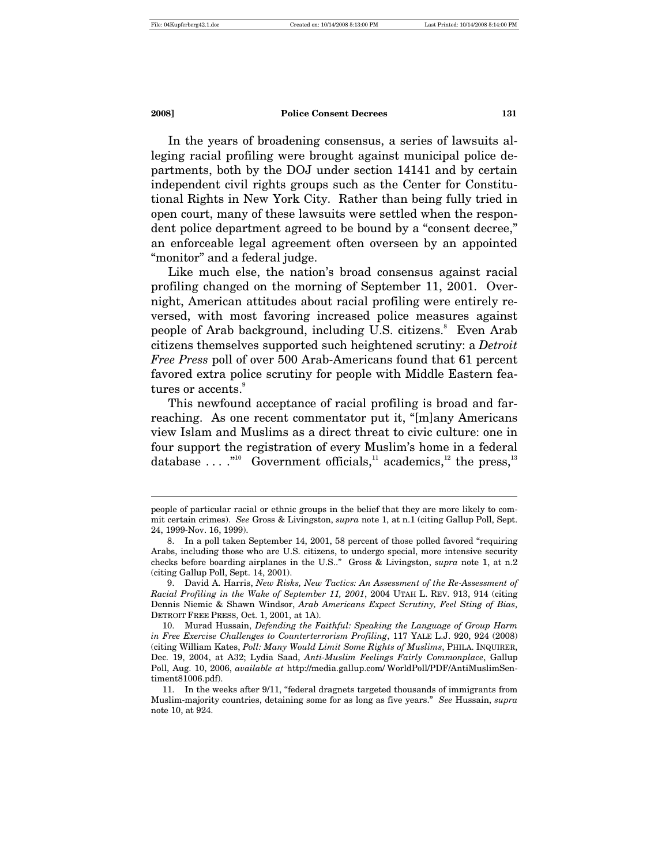$\overline{a}$ 

**2008] Police Consent Decrees 131**

In the years of broadening consensus, a series of lawsuits alleging racial profiling were brought against municipal police departments, both by the DOJ under section 14141 and by certain independent civil rights groups such as the Center for Constitutional Rights in New York City. Rather than being fully tried in open court, many of these lawsuits were settled when the respondent police department agreed to be bound by a "consent decree," an enforceable legal agreement often overseen by an appointed "monitor" and a federal judge.

Like much else, the nation's broad consensus against racial profiling changed on the morning of September 11, 2001. Overnight, American attitudes about racial profiling were entirely reversed, with most favoring increased police measures against people of Arab background, including U.S. citizens.<sup>8</sup> Even Arab citizens themselves supported such heightened scrutiny: a *Detroit Free Press* poll of over 500 Arab-Americans found that 61 percent favored extra police scrutiny for people with Middle Eastern fea $tures$  or accents. $9$ 

This newfound acceptance of racial profiling is broad and farreaching. As one recent commentator put it, "[m]any Americans view Islam and Muslims as a direct threat to civic culture: one in four support the registration of every Muslim's home in a federal database  $\dots$ ."<sup>10</sup> Government officials,<sup>11</sup> academics,<sup>12</sup> the press,<sup>13</sup>

people of particular racial or ethnic groups in the belief that they are more likely to commit certain crimes). *See* Gross & Livingston, *supra* note 1, at n.1 (citing Gallup Poll, Sept. 24, 1999-Nov. 16, 1999).

 <sup>8.</sup> In a poll taken September 14, 2001, 58 percent of those polled favored "requiring Arabs, including those who are U.S. citizens, to undergo special, more intensive security checks before boarding airplanes in the U.S.." Gross & Livingston, *supra* note 1, at n.2 (citing Gallup Poll, Sept. 14, 2001).

 <sup>9.</sup> David A. Harris, *New Risks, New Tactics: An Assessment of the Re-Assessment of Racial Profiling in the Wake of September 11, 2001*, 2004 UTAH L. REV. 913, 914 (citing Dennis Niemic & Shawn Windsor, *Arab Americans Expect Scrutiny, Feel Sting of Bias*, DETROIT FREE PRESS, Oct. 1, 2001, at 1A).

 <sup>10.</sup> Murad Hussain, *Defending the Faithful: Speaking the Language of Group Harm in Free Exercise Challenges to Counterterrorism Profiling*, 117 YALE L.J. 920, 924 (2008) (citing William Kates, *Poll: Many Would Limit Some Rights of Muslims*, PHILA. INQUIRER, Dec. 19, 2004, at A32; Lydia Saad, *Anti-Muslim Feelings Fairly Commonplace*, Gallup Poll, Aug. 10, 2006, *available at* http://media.gallup.com/ WorldPoll/PDF/AntiMuslimSentiment81006.pdf).

 <sup>11.</sup> In the weeks after 9/11, "federal dragnets targeted thousands of immigrants from Muslim-majority countries, detaining some for as long as five years." *See* Hussain, *supra* note 10, at 924.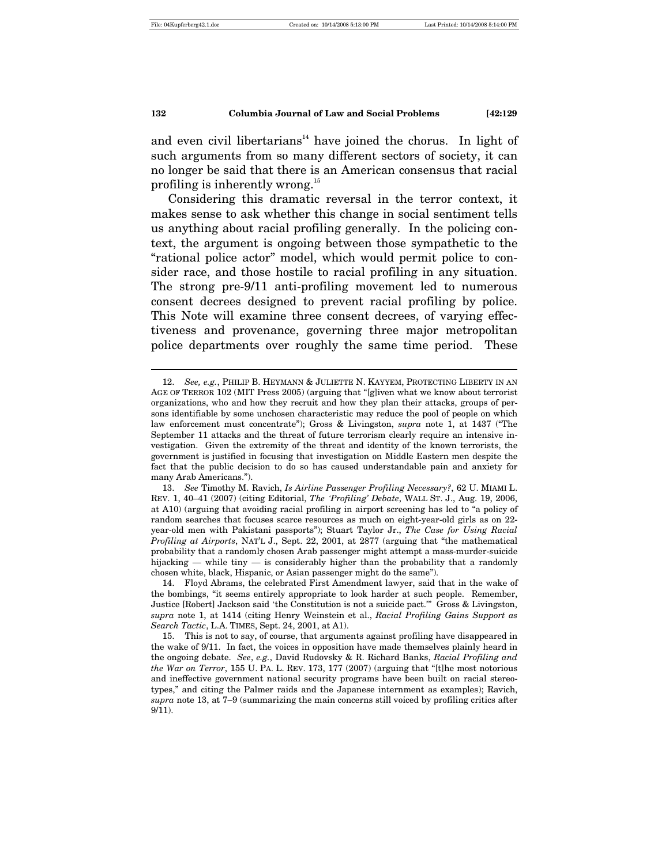$\overline{a}$ 

#### **132 Columbia Journal of Law and Social Problems [42:129**

and even civil libertarians<sup>14</sup> have joined the chorus. In light of such arguments from so many different sectors of society, it can no longer be said that there is an American consensus that racial profiling is inherently wrong.<sup>15</sup>

Considering this dramatic reversal in the terror context, it makes sense to ask whether this change in social sentiment tells us anything about racial profiling generally. In the policing context, the argument is ongoing between those sympathetic to the "rational police actor" model, which would permit police to consider race, and those hostile to racial profiling in any situation. The strong pre-9/11 anti-profiling movement led to numerous consent decrees designed to prevent racial profiling by police. This Note will examine three consent decrees, of varying effectiveness and provenance, governing three major metropolitan police departments over roughly the same time period. These

 <sup>12.</sup> *See, e.g.*, PHILIP B. HEYMANN & JULIETTE N. KAYYEM, PROTECTING LIBERTY IN AN AGE OF TERROR 102 (MIT Press 2005) (arguing that "[g]iven what we know about terrorist organizations, who and how they recruit and how they plan their attacks, groups of persons identifiable by some unchosen characteristic may reduce the pool of people on which law enforcement must concentrate"); Gross & Livingston, *supra* note 1, at 1437 ("The September 11 attacks and the threat of future terrorism clearly require an intensive investigation. Given the extremity of the threat and identity of the known terrorists, the government is justified in focusing that investigation on Middle Eastern men despite the fact that the public decision to do so has caused understandable pain and anxiety for many Arab Americans.").

 <sup>13.</sup> *See* Timothy M. Ravich, *Is Airline Passenger Profiling Necessary?*, 62 U. MIAMI L. REV. 1, 40–41 (2007) (citing Editorial, *The 'Profiling' Debate*, WALL ST. J., Aug. 19, 2006, at A10) (arguing that avoiding racial profiling in airport screening has led to "a policy of random searches that focuses scarce resources as much on eight-year-old girls as on 22 year-old men with Pakistani passports"); Stuart Taylor Jr., *The Case for Using Racial Profiling at Airports*, NAT'L J., Sept. 22, 2001, at 2877 (arguing that "the mathematical probability that a randomly chosen Arab passenger might attempt a mass-murder-suicide hijacking — while tiny — is considerably higher than the probability that a randomly chosen white, black, Hispanic, or Asian passenger might do the same").

 <sup>14.</sup> Floyd Abrams, the celebrated First Amendment lawyer, said that in the wake of the bombings, "it seems entirely appropriate to look harder at such people. Remember, Justice [Robert] Jackson said 'the Constitution is not a suicide pact.'" Gross & Livingston, *supra* note 1, at 1414 (citing Henry Weinstein et al., *Racial Profiling Gains Support as Search Tactic*, L.A. TIMES, Sept. 24, 2001, at A1).

 <sup>15.</sup> This is not to say, of course, that arguments against profiling have disappeared in the wake of 9/11. In fact, the voices in opposition have made themselves plainly heard in the ongoing debate. *See*, *e.g.*, David Rudovsky & R. Richard Banks, *Racial Profiling and the War on Terror*, 155 U. PA. L. REV. 173, 177 (2007) (arguing that "[t]he most notorious and ineffective government national security programs have been built on racial stereotypes," and citing the Palmer raids and the Japanese internment as examples); Ravich, *supra* note 13, at 7–9 (summarizing the main concerns still voiced by profiling critics after 9/11).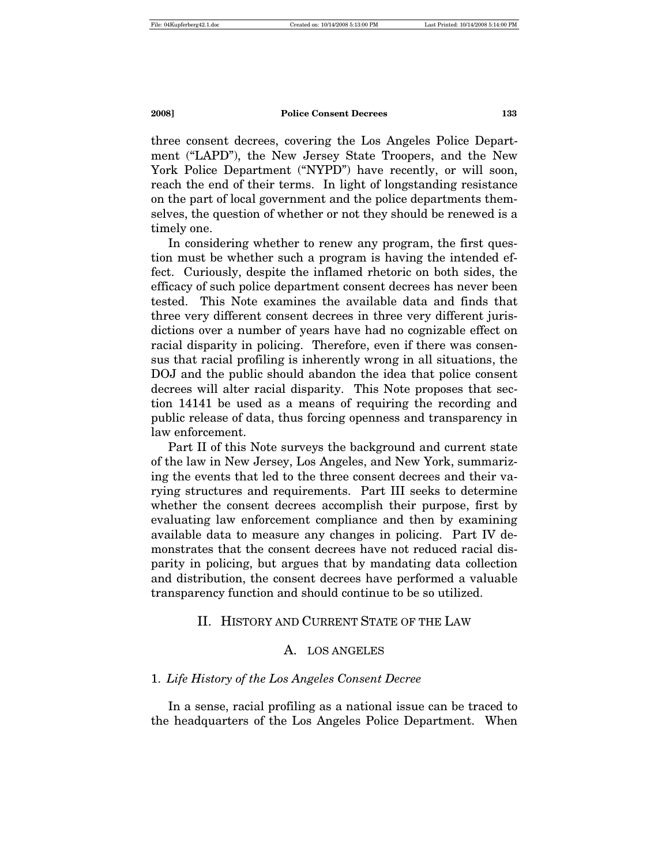three consent decrees, covering the Los Angeles Police Department ("LAPD"), the New Jersey State Troopers, and the New York Police Department ("NYPD") have recently, or will soon, reach the end of their terms. In light of longstanding resistance on the part of local government and the police departments themselves, the question of whether or not they should be renewed is a timely one.

In considering whether to renew any program, the first question must be whether such a program is having the intended effect. Curiously, despite the inflamed rhetoric on both sides, the efficacy of such police department consent decrees has never been tested. This Note examines the available data and finds that three very different consent decrees in three very different jurisdictions over a number of years have had no cognizable effect on racial disparity in policing. Therefore, even if there was consensus that racial profiling is inherently wrong in all situations, the DOJ and the public should abandon the idea that police consent decrees will alter racial disparity. This Note proposes that section 14141 be used as a means of requiring the recording and public release of data, thus forcing openness and transparency in law enforcement.

Part II of this Note surveys the background and current state of the law in New Jersey, Los Angeles, and New York, summarizing the events that led to the three consent decrees and their varying structures and requirements. Part III seeks to determine whether the consent decrees accomplish their purpose, first by evaluating law enforcement compliance and then by examining available data to measure any changes in policing. Part IV demonstrates that the consent decrees have not reduced racial disparity in policing, but argues that by mandating data collection and distribution, the consent decrees have performed a valuable transparency function and should continue to be so utilized.

# II. HISTORY AND CURRENT STATE OF THE LAW

#### A. LOS ANGELES

#### 1. *Life History of the Los Angeles Consent Decree*

In a sense, racial profiling as a national issue can be traced to the headquarters of the Los Angeles Police Department. When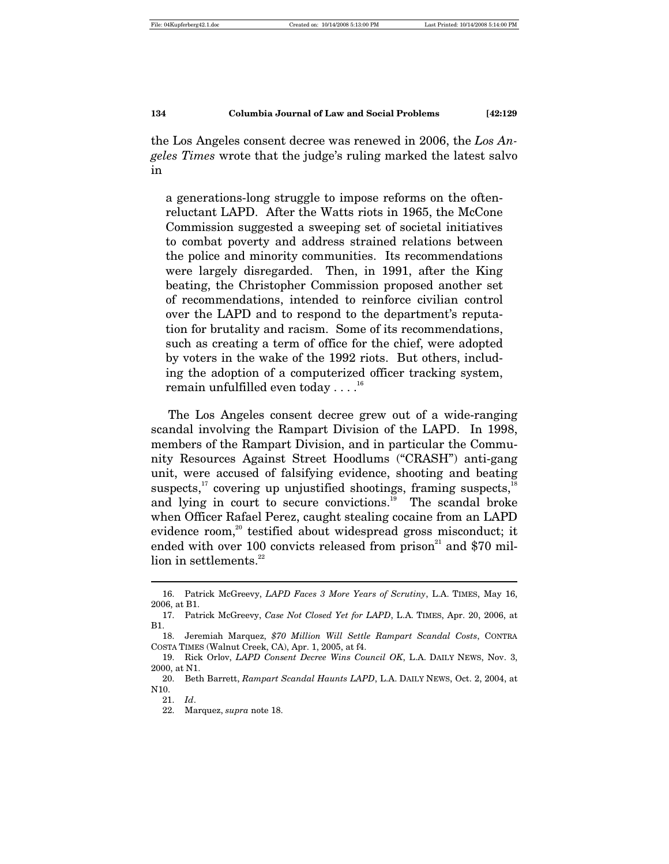the Los Angeles consent decree was renewed in 2006, the *Los Angeles Times* wrote that the judge's ruling marked the latest salvo in

a generations-long struggle to impose reforms on the oftenreluctant LAPD. After the Watts riots in 1965, the McCone Commission suggested a sweeping set of societal initiatives to combat poverty and address strained relations between the police and minority communities. Its recommendations were largely disregarded. Then, in 1991, after the King beating, the Christopher Commission proposed another set of recommendations, intended to reinforce civilian control over the LAPD and to respond to the department's reputation for brutality and racism. Some of its recommendations, such as creating a term of office for the chief, were adopted by voters in the wake of the 1992 riots. But others, including the adoption of a computerized officer tracking system, remain unfulfilled even today  $\dots$ <sup>16</sup>

The Los Angeles consent decree grew out of a wide-ranging scandal involving the Rampart Division of the LAPD. In 1998, members of the Rampart Division, and in particular the Community Resources Against Street Hoodlums ("CRASH") anti-gang unit, were accused of falsifying evidence, shooting and beating suspects, $17$  covering up unjustified shootings, framing suspects, $18$ and lying in court to secure convictions.<sup>19</sup> The scandal broke when Officer Rafael Perez, caught stealing cocaine from an LAPD evidence room,<sup>20</sup> testified about widespread gross misconduct; it ended with over 100 convicts released from prison<sup>21</sup> and \$70 million in settlements. $^{22}$ 

 <sup>16.</sup> Patrick McGreevy, *LAPD Faces 3 More Years of Scrutiny*, L.A. TIMES, May 16, 2006, at B1.

 <sup>17.</sup> Patrick McGreevy, *Case Not Closed Yet for LAPD*, L.A. TIMES, Apr. 20, 2006, at B1.

 <sup>18.</sup> Jeremiah Marquez, *\$70 Million Will Settle Rampart Scandal Costs*, CONTRA COSTA TIMES (Walnut Creek, CA), Apr. 1, 2005, at f4.

 <sup>19.</sup> Rick Orlov, *LAPD Consent Decree Wins Council OK*, L.A. DAILY NEWS, Nov. 3, 2000, at N1.

<sup>20.</sup> Beth Barrett, *Rampart Scandal Haunts LAPD*, L.A. DAILY NEWS, Oct. 2, 2004, at N10.

 <sup>21.</sup> *Id*.

 <sup>22.</sup> Marquez, *supra* note 18.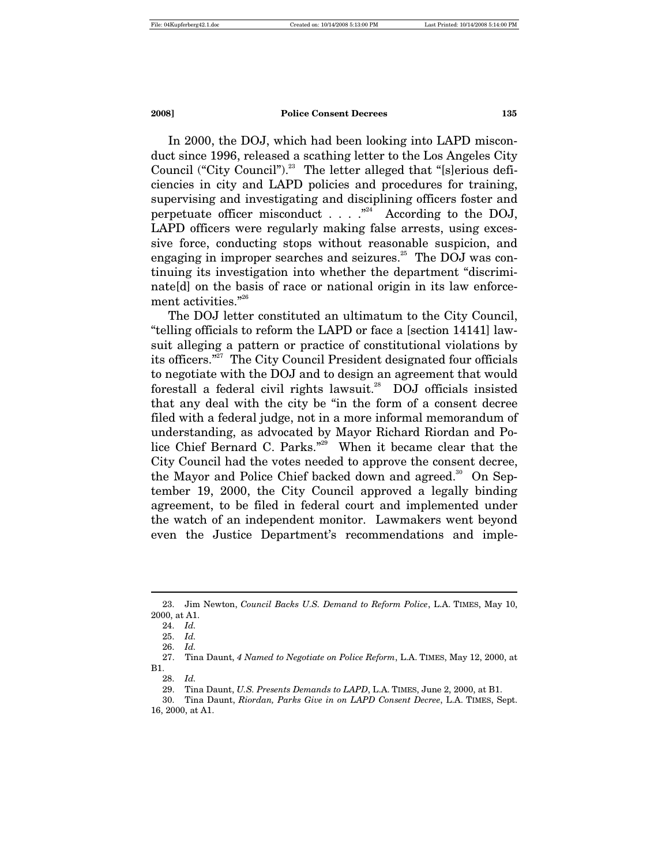In 2000, the DOJ, which had been looking into LAPD misconduct since 1996, released a scathing letter to the Los Angeles City Council ("City Council").<sup>23</sup> The letter alleged that "[s]erious deficiencies in city and LAPD policies and procedures for training, supervising and investigating and disciplining officers foster and perpetuate officer misconduct  $\ldots$  .  $\cdot$  <sup> $n^{24}$ </sup> According to the DOJ, LAPD officers were regularly making false arrests, using excessive force, conducting stops without reasonable suspicion, and engaging in improper searches and seizures.<sup>25</sup> The DOJ was continuing its investigation into whether the department "discriminate[d] on the basis of race or national origin in its law enforcement activities."<sup>26</sup>

The DOJ letter constituted an ultimatum to the City Council, "telling officials to reform the LAPD or face a [section 14141] lawsuit alleging a pattern or practice of constitutional violations by its officers."27 The City Council President designated four officials to negotiate with the DOJ and to design an agreement that would forestall a federal civil rights lawsuit.<sup>28</sup> DOJ officials insisted that any deal with the city be "in the form of a consent decree filed with a federal judge, not in a more informal memorandum of understanding, as advocated by Mayor Richard Riordan and Police Chief Bernard C. Parks."29 When it became clear that the City Council had the votes needed to approve the consent decree, the Mayor and Police Chief backed down and agreed.<sup>30</sup> On September 19, 2000, the City Council approved a legally binding agreement, to be filed in federal court and implemented under the watch of an independent monitor. Lawmakers went beyond even the Justice Department's recommendations and imple-

 <sup>23.</sup> Jim Newton, *Council Backs U.S. Demand to Reform Police*, L.A. TIMES, May 10, 2000, at A1.

 <sup>24.</sup> *Id.*

 <sup>25.</sup> *Id.* 

 <sup>26.</sup> *Id.* 

 <sup>27.</sup> Tina Daunt, *4 Named to Negotiate on Police Reform*, L.A. TIMES, May 12, 2000, at B1.

 <sup>28.</sup> *Id.*

 <sup>29.</sup> Tina Daunt, *U.S. Presents Demands to LAPD*, L.A. TIMES, June 2, 2000, at B1.

 <sup>30.</sup> Tina Daunt, *Riordan, Parks Give in on LAPD Consent Decree*, L.A. TIMES, Sept. 16, 2000, at A1.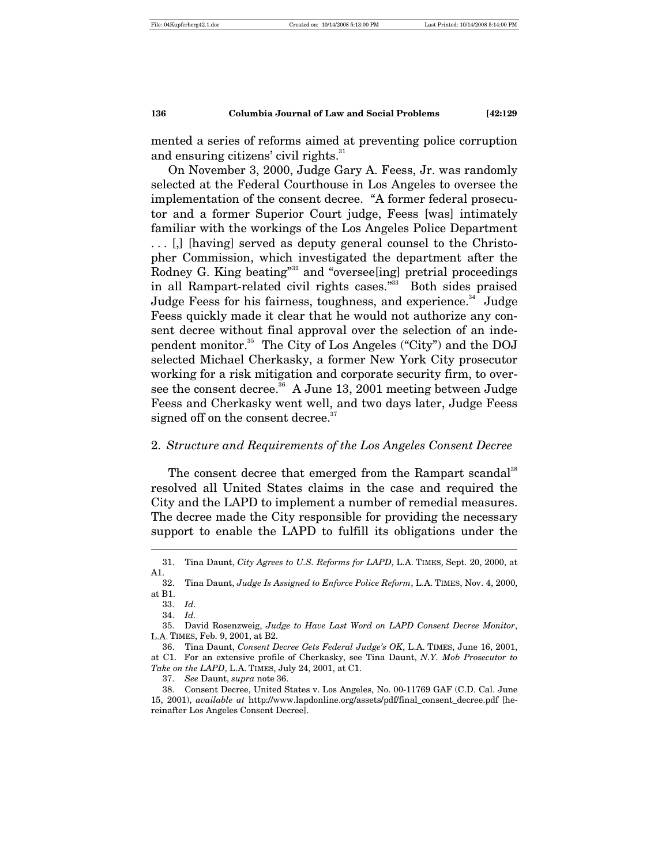mented a series of reforms aimed at preventing police corruption and ensuring citizens' civil rights.<sup>31</sup>

On November 3, 2000, Judge Gary A. Feess, Jr. was randomly selected at the Federal Courthouse in Los Angeles to oversee the implementation of the consent decree. "A former federal prosecutor and a former Superior Court judge, Feess [was] intimately familiar with the workings of the Los Angeles Police Department . . . [,] [having] served as deputy general counsel to the Christopher Commission, which investigated the department after the Rodney G. King beating"<sup>32</sup> and "overseeling] pretrial proceedings in all Rampart-related civil rights cases."<sup>33</sup> Both sides praised Judge Feess for his fairness, toughness, and experience.<sup>34</sup> Judge Feess quickly made it clear that he would not authorize any consent decree without final approval over the selection of an independent monitor.35 The City of Los Angeles ("City") and the DOJ selected Michael Cherkasky, a former New York City prosecutor working for a risk mitigation and corporate security firm, to oversee the consent decree.<sup>36</sup> A June 13, 2001 meeting between Judge Feess and Cherkasky went well, and two days later, Judge Feess signed off on the consent decree.<sup>37</sup>

#### 2. *Structure and Requirements of the Los Angeles Consent Decree*

The consent decree that emerged from the Rampart scandal<sup>38</sup> resolved all United States claims in the case and required the City and the LAPD to implement a number of remedial measures. The decree made the City responsible for providing the necessary support to enable the LAPD to fulfill its obligations under the

 <sup>31.</sup> Tina Daunt, *City Agrees to U.S. Reforms for LAPD*, L.A. TIMES, Sept. 20, 2000, at A1.

 <sup>32.</sup> Tina Daunt, *Judge Is Assigned to Enforce Police Reform*, L.A. TIMES, Nov. 4, 2000, at B1.

 <sup>33.</sup> *Id.*

 <sup>34.</sup> *Id.*

 <sup>35.</sup> David Rosenzweig, *Judge to Have Last Word on LAPD Consent Decree Monitor*, L.A. TIMES, Feb. 9, 2001, at B2.

 <sup>36.</sup> Tina Daunt, *Consent Decree Gets Federal Judge's OK*, L.A. TIMES, June 16, 2001, at C1. For an extensive profile of Cherkasky, see Tina Daunt, *N.Y. Mob Prosecutor to Take on the LAPD*, L.A. TIMES, July 24, 2001, at C1.

 <sup>37.</sup> *See* Daunt, *supra* note 36.

 <sup>38.</sup> Consent Decree, United States v. Los Angeles, No. 00-11769 GAF (C.D. Cal. June 15, 2001), *available at* http://www.lapdonline.org/assets/pdf/final\_consent\_decree.pdf [hereinafter Los Angeles Consent Decree].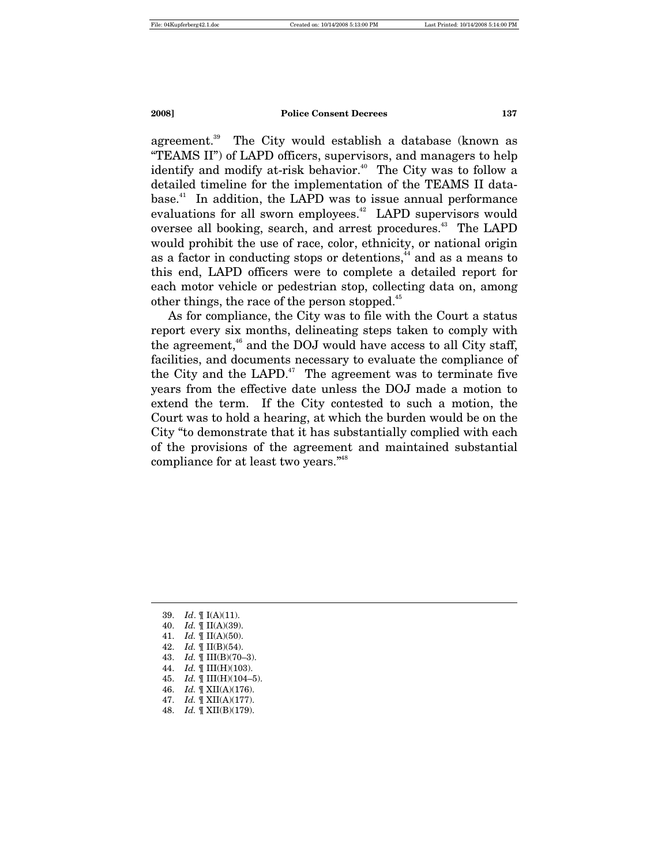agreement.<sup>39</sup> The City would establish a database (known as "TEAMS II") of LAPD officers, supervisors, and managers to help identify and modify at-risk behavior.<sup>40</sup> The City was to follow a detailed timeline for the implementation of the TEAMS II database.<sup>41</sup> In addition, the LAPD was to issue annual performance evaluations for all sworn employees.<sup>42</sup> LAPD supervisors would oversee all booking, search, and arrest procedures.<sup>43</sup> The LAPD would prohibit the use of race, color, ethnicity, or national origin as a factor in conducting stops or detentions,<sup>44</sup> and as a means to this end, LAPD officers were to complete a detailed report for each motor vehicle or pedestrian stop, collecting data on, among other things, the race of the person stopped.<sup>45</sup>

As for compliance, the City was to file with the Court a status report every six months, delineating steps taken to comply with the agreement, $46$  and the DOJ would have access to all City staff, facilities, and documents necessary to evaluate the compliance of the City and the LAPD.<sup>47</sup> The agreement was to terminate five years from the effective date unless the DOJ made a motion to extend the term. If the City contested to such a motion, the Court was to hold a hearing, at which the burden would be on the City "to demonstrate that it has substantially complied with each of the provisions of the agreement and maintained substantial compliance for at least two years."48

39. *Id*. ¶ I(A)(11).

- 40. *Id.* ¶ II(A)(39).
- 41. *Id.* ¶ II(A)(50).
- 42. *Id.* ¶ II(B)(54).
- 43. *Id.* ¶ III(B)(70–3).
- 44. *Id.* ¶ III(H)(103).
- 45. *Id.* ¶ III(H)(104–5).
- 46. *Id.* ¶ XII(A)(176).
- 47. *Id.* ¶ XII(A)(177).
- 48. *Id.* ¶ XII(B)(179).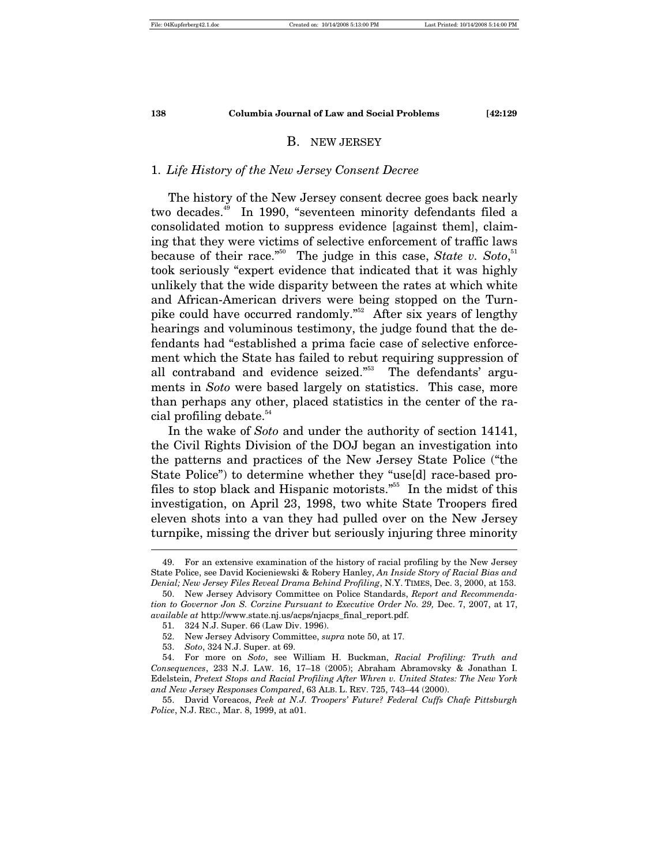#### B. NEW JERSEY

#### 1. *Life History of the New Jersey Consent Decree*

The history of the New Jersey consent decree goes back nearly two decades.<sup>49</sup> In 1990, "seventeen minority defendants filed a consolidated motion to suppress evidence [against them], claiming that they were victims of selective enforcement of traffic laws because of their race."<sup>50</sup> The judge in this case, *State v. Soto*,<sup>51</sup> took seriously "expert evidence that indicated that it was highly unlikely that the wide disparity between the rates at which white and African-American drivers were being stopped on the Turnpike could have occurred randomly."52 After six years of lengthy hearings and voluminous testimony, the judge found that the defendants had "established a prima facie case of selective enforcement which the State has failed to rebut requiring suppression of all contraband and evidence seized."53 The defendants' arguments in *Soto* were based largely on statistics. This case, more than perhaps any other, placed statistics in the center of the racial profiling debate.<sup>54</sup>

In the wake of *Soto* and under the authority of section 14141, the Civil Rights Division of the DOJ began an investigation into the patterns and practices of the New Jersey State Police ("the State Police") to determine whether they "use[d] race-based profiles to stop black and Hispanic motorists."<sup>55</sup> In the midst of this investigation, on April 23, 1998, two white State Troopers fired eleven shots into a van they had pulled over on the New Jersey turnpike, missing the driver but seriously injuring three minority

 <sup>49.</sup> For an extensive examination of the history of racial profiling by the New Jersey State Police, see David Kocieniewski & Robery Hanley, *An Inside Story of Racial Bias and Denial; New Jersey Files Reveal Drama Behind Profiling*, N.Y. TIMES, Dec. 3, 2000, at 153.

 <sup>50.</sup> New Jersey Advisory Committee on Police Standards, *Report and Recommendation to Governor Jon S. Corzine Pursuant to Executive Order No. 29,* Dec. 7, 2007, at 17, *available at* http://www.state.nj.us/acps/njacps\_final\_report.pdf.

 <sup>51. 324</sup> N.J. Super. 66 (Law Div. 1996).

 <sup>52.</sup> New Jersey Advisory Committee, *supra* note 50, at 17.

 <sup>53.</sup> *Soto*, 324 N.J. Super. at 69.

 <sup>54.</sup> For more on *Soto*, see William H. Buckman, *Racial Profiling: Truth and Consequences*, 233 N.J. LAW. 16, 17–18 (2005); Abraham Abramovsky & Jonathan I. Edelstein, *Pretext Stops and Racial Profiling After Whren v. United States: The New York and New Jersey Responses Compared*, 63 ALB. L. REV. 725, 743–44 (2000).

 <sup>55.</sup> David Voreacos, *Peek at N.J. Troopers' Future? Federal Cuffs Chafe Pittsburgh Police*, N.J. REC., Mar. 8, 1999, at a01.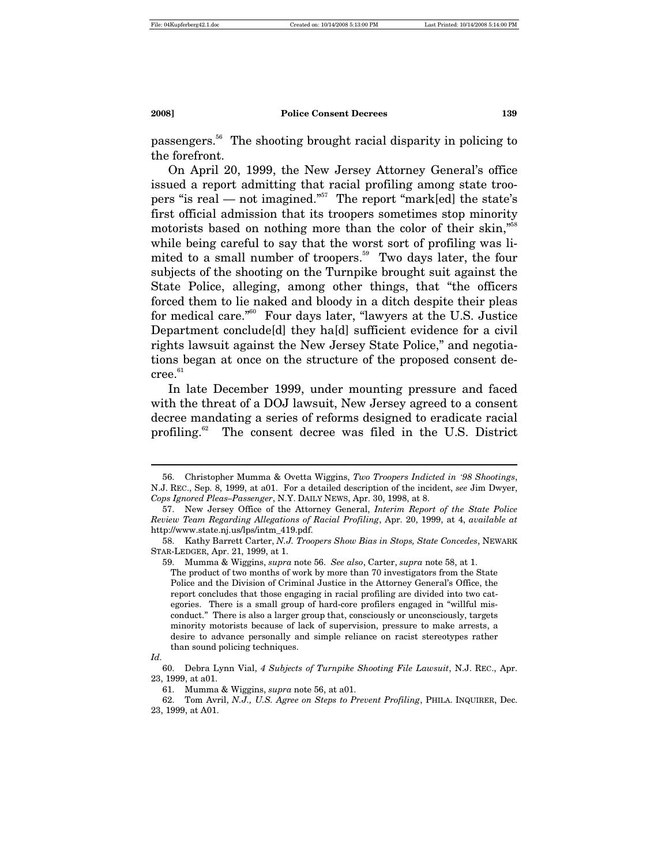passengers.56 The shooting brought racial disparity in policing to the forefront.

On April 20, 1999, the New Jersey Attorney General's office issued a report admitting that racial profiling among state troopers "is real — not imagined."<sup>57</sup> The report "mark[ed] the state's first official admission that its troopers sometimes stop minority motorists based on nothing more than the color of their skin,"<sup>58</sup> while being careful to say that the worst sort of profiling was limited to a small number of troopers.<sup>59</sup> Two days later, the four subjects of the shooting on the Turnpike brought suit against the State Police, alleging, among other things, that "the officers forced them to lie naked and bloody in a ditch despite their pleas for medical care."60 Four days later, "lawyers at the U.S. Justice Department conclude[d] they ha[d] sufficient evidence for a civil rights lawsuit against the New Jersey State Police," and negotiations began at once on the structure of the proposed consent de $cree.<sup>61</sup>$ 

In late December 1999, under mounting pressure and faced with the threat of a DOJ lawsuit, New Jersey agreed to a consent decree mandating a series of reforms designed to eradicate racial profiling.<sup>62</sup> The consent decree was filed in the U.S. District

 <sup>56.</sup> Christopher Mumma & Ovetta Wiggins, *Two Troopers Indicted in '98 Shootings*, N.J. REC., Sep. 8, 1999, at a01. For a detailed description of the incident, *see* Jim Dwyer, *Cops Ignored Pleas–Passenger*, N.Y. DAILY NEWS, Apr. 30, 1998, at 8.

 <sup>57.</sup> New Jersey Office of the Attorney General, *Interim Report of the State Police Review Team Regarding Allegations of Racial Profiling*, Apr. 20, 1999, at 4, *available at* http://www.state.nj.us/lps/intm\_419.pdf.

 <sup>58.</sup> Kathy Barrett Carter, *N.J. Troopers Show Bias in Stops, State Concedes*, NEWARK STAR-LEDGER, Apr. 21, 1999, at 1.

 <sup>59.</sup> Mumma & Wiggins, *supra* note 56. *See also*, Carter, *supra* note 58, at 1.

The product of two months of work by more than 70 investigators from the State Police and the Division of Criminal Justice in the Attorney General's Office, the report concludes that those engaging in racial profiling are divided into two categories. There is a small group of hard-core profilers engaged in "willful misconduct." There is also a larger group that, consciously or unconsciously, targets minority motorists because of lack of supervision, pressure to make arrests, a desire to advance personally and simple reliance on racist stereotypes rather than sound policing techniques.

*Id.* 

 <sup>60.</sup> Debra Lynn Vial, *4 Subjects of Turnpike Shooting File Lawsuit*, N.J. REC., Apr. 23, 1999, at a01.

 <sup>61.</sup> Mumma & Wiggins, *supra* note 56, at a01.

 <sup>62.</sup> Tom Avril, *N.J., U.S. Agree on Steps to Prevent Profiling*, PHILA. INQUIRER, Dec. 23, 1999, at A01.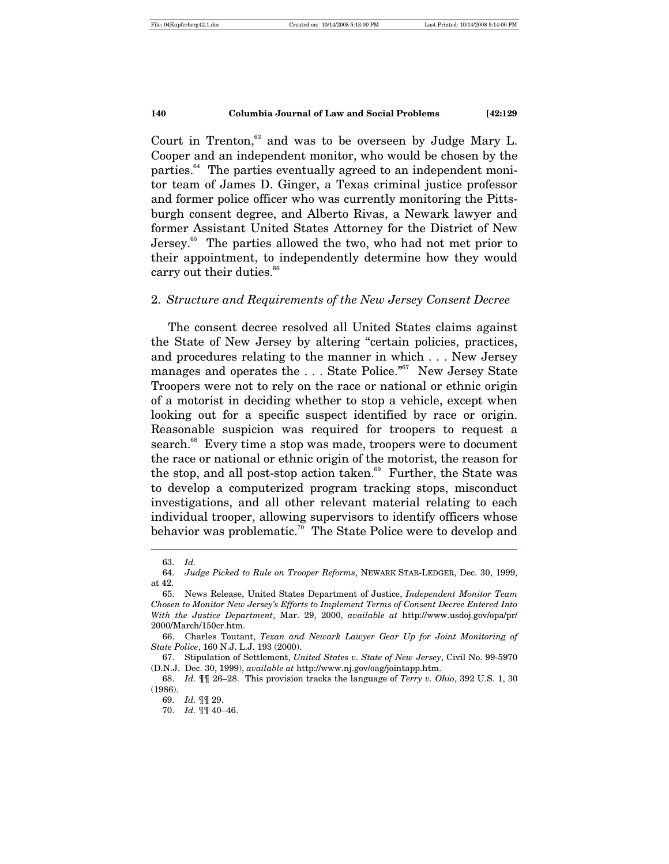Court in Trenton, $63$  and was to be overseen by Judge Mary L. Cooper and an independent monitor, who would be chosen by the parties.<sup>64</sup> The parties eventually agreed to an independent monitor team of James D. Ginger, a Texas criminal justice professor and former police officer who was currently monitoring the Pittsburgh consent degree, and Alberto Rivas, a Newark lawyer and former Assistant United States Attorney for the District of New Jersey.<sup>65</sup> The parties allowed the two, who had not met prior to their appointment, to independently determine how they would carry out their duties.<sup>66</sup>

### 2. *Structure and Requirements of the New Jersey Consent Decree*

The consent decree resolved all United States claims against the State of New Jersey by altering "certain policies, practices, and procedures relating to the manner in which . . . New Jersey manages and operates the ... State Police."<sup>67</sup> New Jersey State Troopers were not to rely on the race or national or ethnic origin of a motorist in deciding whether to stop a vehicle, except when looking out for a specific suspect identified by race or origin. Reasonable suspicion was required for troopers to request a search.<sup>68</sup> Every time a stop was made, troopers were to document the race or national or ethnic origin of the motorist, the reason for the stop, and all post-stop action taken.<sup>69</sup> Further, the State was to develop a computerized program tracking stops, misconduct investigations, and all other relevant material relating to each individual trooper, allowing supervisors to identify officers whose behavior was problematic.<sup>70</sup> The State Police were to develop and  $\overline{a}$ 

 <sup>63.</sup> *Id.*

 <sup>64.</sup> *Judge Picked to Rule on Trooper Reforms*, NEWARK STAR-LEDGER, Dec. 30, 1999, at 42.

 <sup>65.</sup> News Release, United States Department of Justice, *Independent Monitor Team Chosen to Monitor New Jersey's Efforts to Implement Terms of Consent Decree Entered Into With the Justice Department*, Mar. 29, 2000, *available at* http://www.usdoj.gov/opa/pr/ 2000/March/150cr.htm.

 <sup>66.</sup> Charles Toutant, *Texan and Newark Lawyer Gear Up for Joint Monitoring of State Police*, 160 N.J. L.J. 193 (2000).

 <sup>67.</sup> Stipulation of Settlement, *United States v. State of New Jersey*, Civil No. 99-5970 (D.N.J. Dec. 30, 1999), *available at* http://www.nj.gov/oag/jointapp.htm.

 <sup>68.</sup> *Id.* ¶¶ 26–28. This provision tracks the language of *Terry v. Ohio*, 392 U.S. 1, 30 (1986).

 <sup>69.</sup> *Id.* ¶¶ 29.

 <sup>70.</sup> *Id.* ¶¶ 40–46.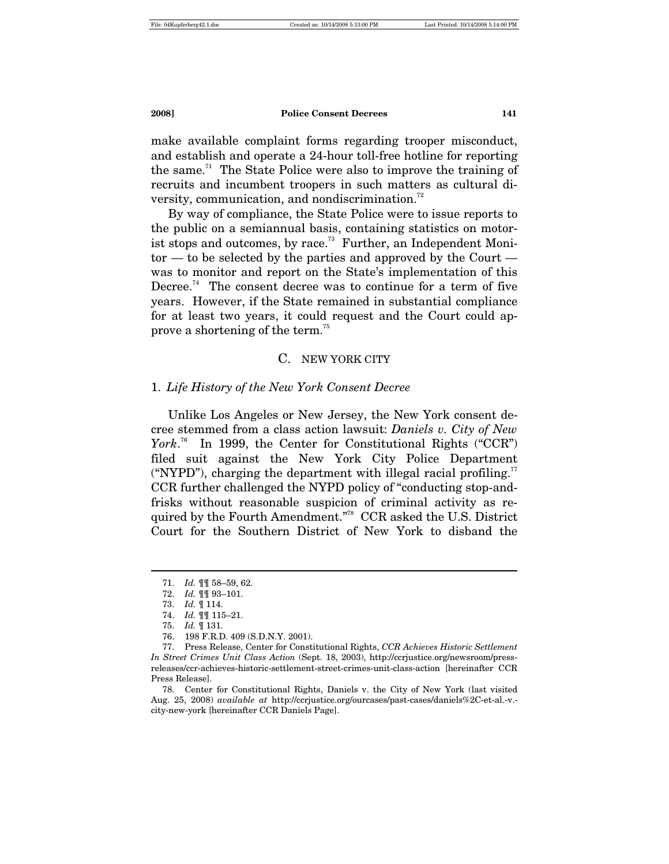make available complaint forms regarding trooper misconduct, and establish and operate a 24-hour toll-free hotline for reporting the same.<sup>71</sup> The State Police were also to improve the training of recruits and incumbent troopers in such matters as cultural diversity, communication, and nondiscrimination.<sup>72</sup>

By way of compliance, the State Police were to issue reports to the public on a semiannual basis, containing statistics on motorist stops and outcomes, by race.<sup>73</sup> Further, an Independent Monitor — to be selected by the parties and approved by the Court was to monitor and report on the State's implementation of this Decree.<sup>74</sup> The consent decree was to continue for a term of five years. However, if the State remained in substantial compliance for at least two years, it could request and the Court could approve a shortening of the term.<sup>75</sup>

#### C. NEW YORK CITY

#### 1. *Life History of the New York Consent Decree*

Unlike Los Angeles or New Jersey, the New York consent decree stemmed from a class action lawsuit: *Daniels v. City of New*  York.<sup>76</sup> In 1999, the Center for Constitutional Rights ("CCR") filed suit against the New York City Police Department ("NYPD"), charging the department with illegal racial profiling.<sup>77</sup> CCR further challenged the NYPD policy of "conducting stop-andfrisks without reasonable suspicion of criminal activity as required by the Fourth Amendment."78 CCR asked the U.S. District Court for the Southern District of New York to disband the

 <sup>71.</sup> *Id.* ¶¶ 58–59, 62.

 <sup>72.</sup> *Id.* ¶¶ 93–101.

 <sup>73.</sup> *Id.* ¶ 114.

 <sup>74.</sup> *Id.* ¶¶ 115–21.

 <sup>75.</sup> *Id.* ¶ 131.

 <sup>76. 198</sup> F.R.D. 409 (S.D.N.Y. 2001).

 <sup>77.</sup> Press Release, Center for Constitutional Rights, *CCR Achieves Historic Settlement In Street Crimes Unit Class Action* (Sept. 18, 2003), http://ccrjustice.org/newsroom/pressreleases/ccr-achieves-historic-settlement-street-crimes-unit-class-action [hereinafter CCR Press Release].

 <sup>78.</sup> Center for Constitutional Rights, Daniels v. the City of New York (last visited Aug. 25, 2008) *available at* http://ccrjustice.org/ourcases/past-cases/daniels%2C-et-al.-v. city-new-york [hereinafter CCR Daniels Page].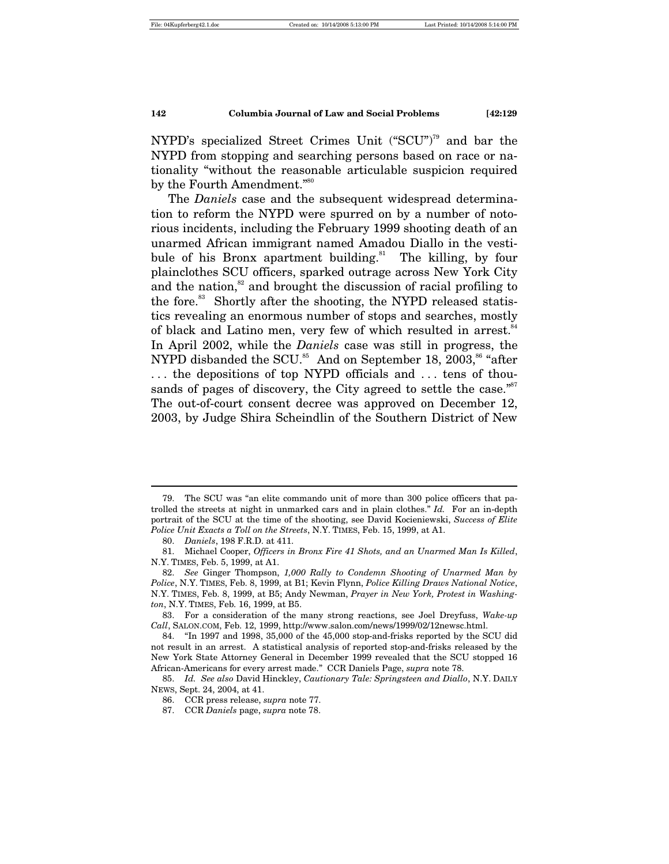NYPD's specialized Street Crimes Unit ("SCU")<sup>79</sup> and bar the NYPD from stopping and searching persons based on race or nationality "without the reasonable articulable suspicion required by the Fourth Amendment."<sup>80</sup>

The *Daniels* case and the subsequent widespread determination to reform the NYPD were spurred on by a number of notorious incidents, including the February 1999 shooting death of an unarmed African immigrant named Amadou Diallo in the vestibule of his Bronx apartment building.<sup>81</sup> The killing, by four plainclothes SCU officers, sparked outrage across New York City and the nation, $82$  and brought the discussion of racial profiling to the fore.<sup>83</sup> Shortly after the shooting, the NYPD released statistics revealing an enormous number of stops and searches, mostly of black and Latino men, very few of which resulted in arrest.<sup>84</sup> In April 2002, while the *Daniels* case was still in progress, the NYPD disbanded the SCU.<sup>85</sup> And on September 18, 2003,<sup>86</sup> "after . . . the depositions of top NYPD officials and . . . tens of thousands of pages of discovery, the City agreed to settle the case."<sup>87</sup> The out-of-court consent decree was approved on December 12, 2003, by Judge Shira Scheindlin of the Southern District of New

 <sup>79.</sup> The SCU was "an elite commando unit of more than 300 police officers that patrolled the streets at night in unmarked cars and in plain clothes." *Id.* For an in-depth portrait of the SCU at the time of the shooting, see David Kocieniewski, *Success of Elite Police Unit Exacts a Toll on the Streets*, N.Y. TIMES, Feb. 15, 1999, at A1.

 <sup>80.</sup> *Daniels*, 198 F.R.D. at 411.

 <sup>81.</sup> Michael Cooper, *Officers in Bronx Fire 41 Shots, and an Unarmed Man Is Killed*, N.Y. TIMES, Feb. 5, 1999, at A1.

 <sup>82.</sup> *See* Ginger Thompson, *1,000 Rally to Condemn Shooting of Unarmed Man by Police*, N.Y. TIMES, Feb. 8, 1999, at B1; Kevin Flynn, *Police Killing Draws National Notice*, N.Y. TIMES, Feb. 8, 1999, at B5; Andy Newman, *Prayer in New York, Protest in Washington*, N.Y. TIMES, Feb. 16, 1999, at B5.

 <sup>83.</sup> For a consideration of the many strong reactions, see Joel Dreyfuss, *Wake-up Call*, SALON.COM, Feb. 12, 1999, http://www.salon.com/news/1999/02/12newsc.html.

 <sup>84. &</sup>quot;In 1997 and 1998, 35,000 of the 45,000 stop-and-frisks reported by the SCU did not result in an arrest. A statistical analysis of reported stop-and-frisks released by the New York State Attorney General in December 1999 revealed that the SCU stopped 16 African-Americans for every arrest made." CCR Daniels Page, *supra* note 78.

 <sup>85.</sup> *Id. See also* David Hinckley, *Cautionary Tale: Springsteen and Diallo*, N.Y. DAILY NEWS, Sept. 24, 2004, at 41.

 <sup>86.</sup> CCR press release, *supra* note 77.

 <sup>87.</sup> CCR *Daniels* page, *supra* note 78.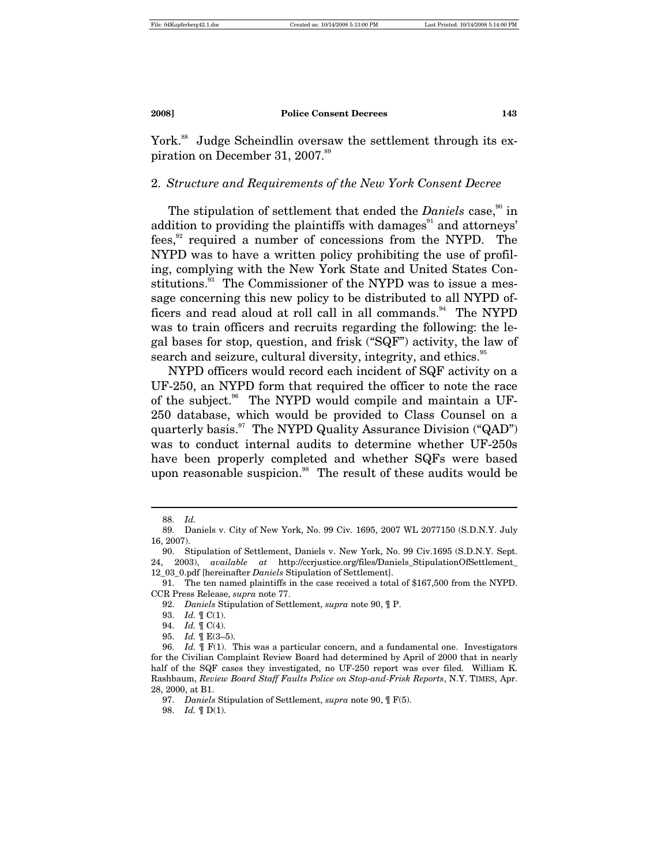York.<sup>88</sup> Judge Scheindlin oversaw the settlement through its expiration on December 31, 2007.<sup>89</sup>

#### 2. *Structure and Requirements of the New York Consent Decree*

The stipulation of settlement that ended the *Daniels* case,<sup>90</sup> in addition to providing the plaintiffs with damages $91$  and attorneys' fees,<sup>92</sup> required a number of concessions from the NYPD. The NYPD was to have a written policy prohibiting the use of profiling, complying with the New York State and United States Constitutions.<sup>93</sup> The Commissioner of the NYPD was to issue a message concerning this new policy to be distributed to all NYPD officers and read aloud at roll call in all commands.<sup>94</sup> The NYPD was to train officers and recruits regarding the following: the legal bases for stop, question, and frisk ("SQF") activity, the law of search and seizure, cultural diversity, integrity, and ethics.<sup>95</sup>

NYPD officers would record each incident of SQF activity on a UF-250, an NYPD form that required the officer to note the race of the subject.<sup>96</sup> The NYPD would compile and maintain a UF-250 database, which would be provided to Class Counsel on a quarterly basis.<sup>97</sup> The NYPD Quality Assurance Division ("QAD") was to conduct internal audits to determine whether UF-250s have been properly completed and whether SQFs were based upon reasonable suspicion.<sup>98</sup> The result of these audits would be

 <sup>88.</sup> *Id.*

 <sup>89.</sup> Daniels v. City of New York, No. 99 Civ. 1695, 2007 WL 2077150 (S.D.N.Y. July 16, 2007).

 <sup>90.</sup> Stipulation of Settlement, Daniels v. New York, No. 99 Civ.1695 (S.D.N.Y. Sept. 24, 2003), *available at* http://ccrjustice.org/files/Daniels\_StipulationOfSettlement\_ 12\_03\_0.pdf [hereinafter *Daniels* Stipulation of Settlement].

 <sup>91.</sup> The ten named plaintiffs in the case received a total of \$167,500 from the NYPD. CCR Press Release, *supra* note 77.

 <sup>92.</sup> *Daniels* Stipulation of Settlement, *supra* note 90, ¶ P.

 <sup>93.</sup> *Id.* ¶ C(1).

 <sup>94.</sup> *Id.* ¶ C(4).

 <sup>95.</sup> *Id.* ¶ E(3–5).

 <sup>96.</sup> *Id.* ¶ F(1). This was a particular concern, and a fundamental one. Investigators for the Civilian Complaint Review Board had determined by April of 2000 that in nearly half of the SQF cases they investigated, no UF-250 report was ever filed. William K. Rashbaum, *Review Board Staff Faults Police on Stop-and-Frisk Reports*, N.Y. TIMES, Apr. 28, 2000, at B1.

 <sup>97.</sup> *Daniels* Stipulation of Settlement, *supra* note 90, ¶ F(5).

 <sup>98.</sup> *Id.* ¶ D(1).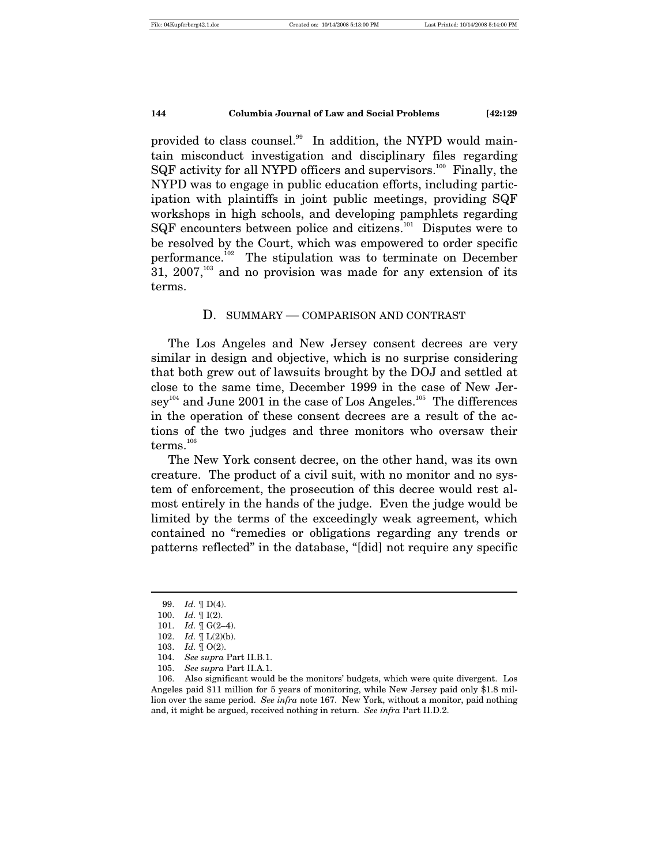provided to class counsel.<sup>99</sup> In addition, the NYPD would maintain misconduct investigation and disciplinary files regarding SQF activity for all NYPD officers and supervisors.<sup>100</sup> Finally, the NYPD was to engage in public education efforts, including participation with plaintiffs in joint public meetings, providing SQF workshops in high schools, and developing pamphlets regarding SQF encounters between police and citizens.<sup>101</sup> Disputes were to be resolved by the Court, which was empowered to order specific performance.<sup>102</sup> The stipulation was to terminate on December  $31, 2007$ ,<sup>103</sup> and no provision was made for any extension of its terms.

#### D. SUMMARY — COMPARISON AND CONTRAST

The Los Angeles and New Jersey consent decrees are very similar in design and objective, which is no surprise considering that both grew out of lawsuits brought by the DOJ and settled at close to the same time, December 1999 in the case of New Jersey<sup>104</sup> and June 2001 in the case of Los Angeles.<sup>105</sup> The differences in the operation of these consent decrees are a result of the actions of the two judges and three monitors who oversaw their  ${\rm terms.}^{106}$ 

The New York consent decree, on the other hand, was its own creature. The product of a civil suit, with no monitor and no system of enforcement, the prosecution of this decree would rest almost entirely in the hands of the judge. Even the judge would be limited by the terms of the exceedingly weak agreement, which contained no "remedies or obligations regarding any trends or patterns reflected" in the database, "[did] not require any specific

 <sup>99.</sup> *Id.* ¶ D(4).

 <sup>100.</sup> *Id.* ¶ I(2).

 <sup>101.</sup> *Id.* ¶ G(2–4).

 <sup>102.</sup> *Id.* ¶ L(2)(b).

 <sup>103.</sup> *Id.* ¶ O(2).

 <sup>104.</sup> *See supra* Part II.B.1.

 <sup>105.</sup> *See supra* Part II.A.1.

 <sup>106.</sup> Also significant would be the monitors' budgets, which were quite divergent. Los Angeles paid \$11 million for 5 years of monitoring, while New Jersey paid only \$1.8 million over the same period. *See infra* note 167. New York, without a monitor, paid nothing and, it might be argued, received nothing in return. *See infra* Part II.D.2.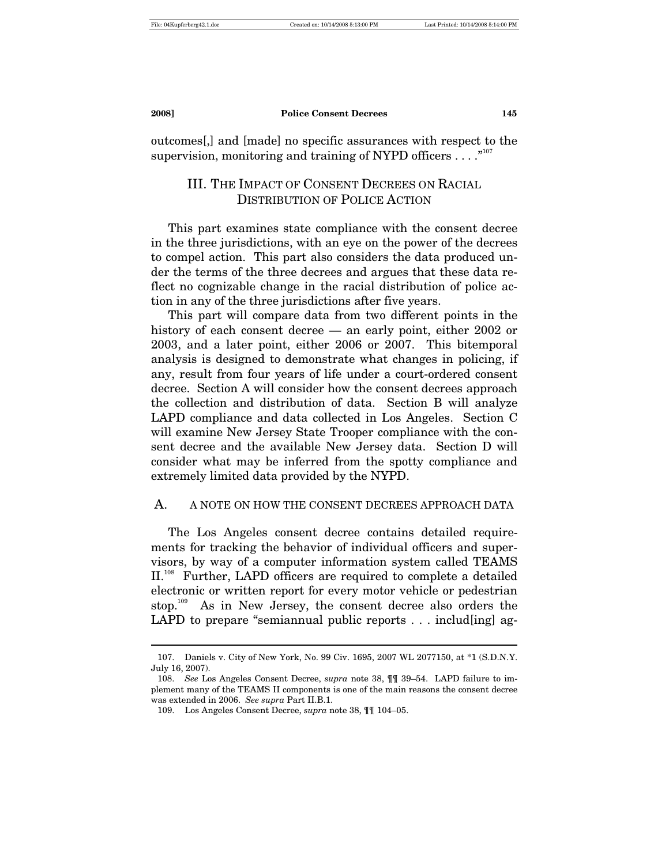$\overline{a}$ 

outcomes[,] and [made] no specific assurances with respect to the supervision, monitoring and training of NYPD officers . . . . "<sup>107</sup>

# III. THE IMPACT OF CONSENT DECREES ON RACIAL DISTRIBUTION OF POLICE ACTION

This part examines state compliance with the consent decree in the three jurisdictions, with an eye on the power of the decrees to compel action. This part also considers the data produced under the terms of the three decrees and argues that these data reflect no cognizable change in the racial distribution of police action in any of the three jurisdictions after five years.

This part will compare data from two different points in the history of each consent decree — an early point, either 2002 or 2003, and a later point, either 2006 or 2007. This bitemporal analysis is designed to demonstrate what changes in policing, if any, result from four years of life under a court-ordered consent decree. Section A will consider how the consent decrees approach the collection and distribution of data. Section B will analyze LAPD compliance and data collected in Los Angeles. Section C will examine New Jersey State Trooper compliance with the consent decree and the available New Jersey data. Section D will consider what may be inferred from the spotty compliance and extremely limited data provided by the NYPD.

#### A. A NOTE ON HOW THE CONSENT DECREES APPROACH DATA

The Los Angeles consent decree contains detailed requirements for tracking the behavior of individual officers and supervisors, by way of a computer information system called TEAMS II.<sup>108</sup> Further, LAPD officers are required to complete a detailed electronic or written report for every motor vehicle or pedestrian stop.<sup>109</sup> As in New Jersey, the consent decree also orders the LAPD to prepare "semiannual public reports . . . includ[ing] ag-

 <sup>107.</sup> Daniels v. City of New York, No. 99 Civ. 1695, 2007 WL 2077150, at \*1 (S.D.N.Y. July 16, 2007).

 <sup>108.</sup> *See* Los Angeles Consent Decree, *supra* note 38, ¶¶ 39–54. LAPD failure to implement many of the TEAMS II components is one of the main reasons the consent decree was extended in 2006. *See supra* Part II.B.1.

 <sup>109.</sup> Los Angeles Consent Decree, *supra* note 38, ¶¶ 104–05.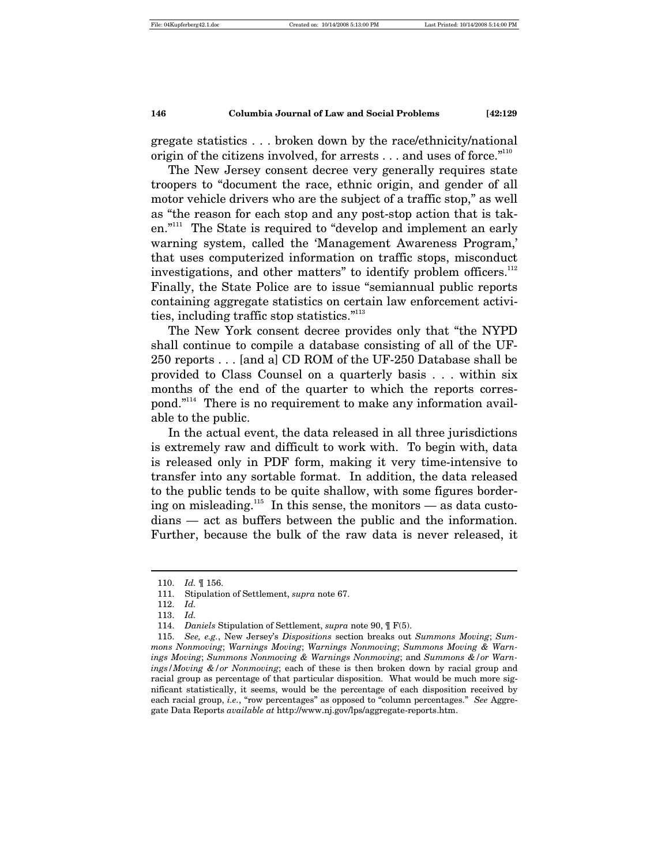gregate statistics . . . broken down by the race/ethnicity/national origin of the citizens involved, for arrests  $\dots$  and uses of force.<sup>"110</sup>

The New Jersey consent decree very generally requires state troopers to "document the race, ethnic origin, and gender of all motor vehicle drivers who are the subject of a traffic stop," as well as "the reason for each stop and any post-stop action that is taken."111 The State is required to "develop and implement an early warning system, called the 'Management Awareness Program,' that uses computerized information on traffic stops, misconduct investigations, and other matters" to identify problem officers.<sup>112</sup> Finally, the State Police are to issue "semiannual public reports containing aggregate statistics on certain law enforcement activities, including traffic stop statistics."<sup>113</sup>

The New York consent decree provides only that "the NYPD shall continue to compile a database consisting of all of the UF-250 reports . . . [and a] CD ROM of the UF-250 Database shall be provided to Class Counsel on a quarterly basis . . . within six months of the end of the quarter to which the reports correspond."114 There is no requirement to make any information available to the public.

In the actual event, the data released in all three jurisdictions is extremely raw and difficult to work with. To begin with, data is released only in PDF form, making it very time-intensive to transfer into any sortable format. In addition, the data released to the public tends to be quite shallow, with some figures bordering on misleading.<sup>115</sup> In this sense, the monitors — as data custodians — act as buffers between the public and the information. Further, because the bulk of the raw data is never released, it

 <sup>110.</sup> *Id.* ¶ 156.

 <sup>111.</sup> Stipulation of Settlement, *supra* note 67.

 <sup>112.</sup> *Id.*

 <sup>113.</sup> *Id.*

 <sup>114.</sup> *Daniels* Stipulation of Settlement, *supra* note 90, ¶ F(5).

 <sup>115.</sup> *See, e.g.*, New Jersey's *Dispositions* section breaks out *Summons Moving*; *Summons Nonmoving*; *Warnings Moving*; *Warnings Nonmoving*; *Summons Moving & Warnings Moving*; *Summons Nonmoving & Warnings Nonmoving*; and *Summons &/or Warnings/Moving &/or Nonmoving*; each of these is then broken down by racial group and racial group as percentage of that particular disposition. What would be much more significant statistically, it seems, would be the percentage of each disposition received by each racial group, *i.e.*, "row percentages" as opposed to "column percentages." *See* Aggregate Data Reports *available at* http://www.nj.gov/lps/aggregate-reports.htm.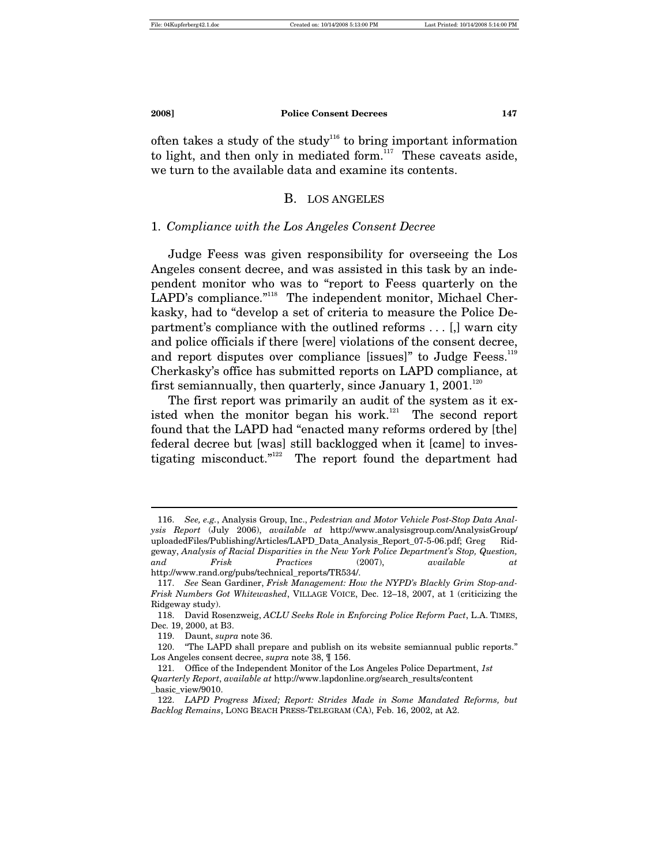often takes a study of the study<sup>116</sup> to bring important information to light, and then only in mediated form. $117$  These caveats aside, we turn to the available data and examine its contents.

#### B. LOS ANGELES

#### 1. *Compliance with the Los Angeles Consent Decree*

Judge Feess was given responsibility for overseeing the Los Angeles consent decree, and was assisted in this task by an independent monitor who was to "report to Feess quarterly on the LAPD's compliance."<sup>118</sup> The independent monitor, Michael Cherkasky, had to "develop a set of criteria to measure the Police Department's compliance with the outlined reforms . . . [,] warn city and police officials if there [were] violations of the consent decree, and report disputes over compliance [issues]" to Judge Feess. $119$ Cherkasky's office has submitted reports on LAPD compliance, at first semiannually, then quarterly, since January 1, 2001.<sup>120</sup>

The first report was primarily an audit of the system as it existed when the monitor began his work. $121$  The second report found that the LAPD had "enacted many reforms ordered by [the] federal decree but [was] still backlogged when it [came] to investigating misconduct."<sup>122</sup> The report found the department had

 <sup>116.</sup> *See, e.g.*, Analysis Group, Inc., *Pedestrian and Motor Vehicle Post-Stop Data Analysis Report* (July 2006), *available at* http://www.analysisgroup.com/AnalysisGroup/ uploadedFiles/Publishing/Articles/LAPD\_Data\_Analysis\_Report\_07-5-06.pdf; Greg Ridgeway, *Analysis of Racial Disparities in the New York Police Department's Stop, Question, and Frisk Practices* (2007), *available at* http://www.rand.org/pubs/technical\_reports/TR534/.

 <sup>117.</sup> *See* Sean Gardiner, *Frisk Management: How the NYPD's Blackly Grim Stop-and-Frisk Numbers Got Whitewashed*, VILLAGE VOICE, Dec. 12–18, 2007, at 1 (criticizing the Ridgeway study).

 <sup>118.</sup> David Rosenzweig, *ACLU Seeks Role in Enforcing Police Reform Pact*, L.A. TIMES, Dec. 19, 2000, at B3.

 <sup>119.</sup> Daunt, *supra* note 36.

 <sup>120. &</sup>quot;The LAPD shall prepare and publish on its website semiannual public reports." Los Angeles consent decree, *supra* note 38, ¶ 156.

 <sup>121.</sup> Office of the Independent Monitor of the Los Angeles Police Department, *1st Quarterly Report*, *available at* http://www.lapdonline.org/search\_results/content \_basic\_view/9010.

 <sup>122.</sup> *LAPD Progress Mixed; Report: Strides Made in Some Mandated Reforms, but Backlog Remains*, LONG BEACH PRESS-TELEGRAM (CA), Feb. 16, 2002, at A2.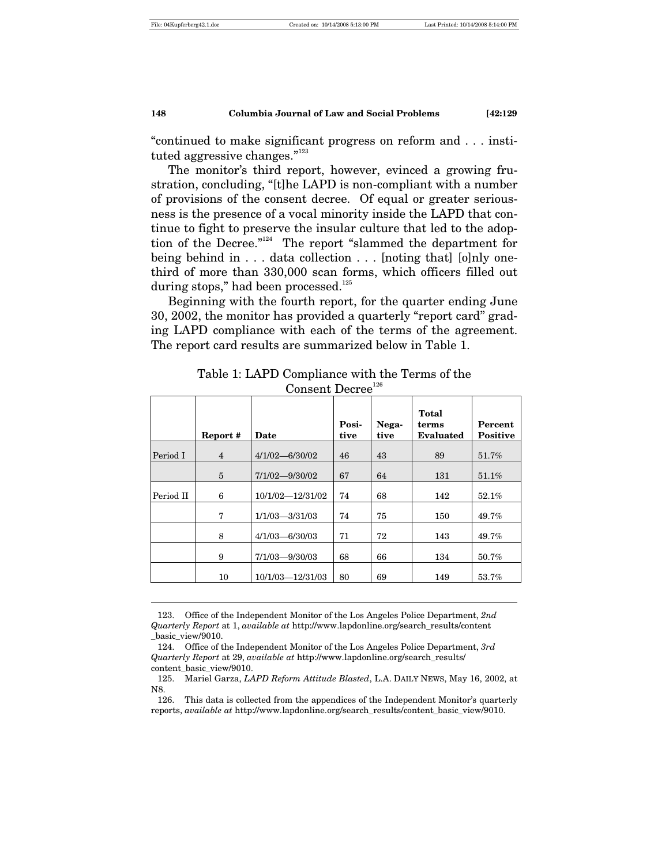$\overline{a}$ 

#### **148 Columbia Journal of Law and Social Problems [42:129**

"continued to make significant progress on reform and . . . instituted aggressive changes."<sup>123</sup>

The monitor's third report, however, evinced a growing frustration, concluding, "[t]he LAPD is non-compliant with a number of provisions of the consent decree. Of equal or greater seriousness is the presence of a vocal minority inside the LAPD that continue to fight to preserve the insular culture that led to the adoption of the Decree."124 The report "slammed the department for being behind in . . . data collection . . . [noting that] [o]nly onethird of more than 330,000 scan forms, which officers filled out during stops," had been processed. $125$ 

Beginning with the fourth report, for the quarter ending June 30, 2002, the monitor has provided a quarterly "report card" grading LAPD compliance with each of the terms of the agreement. The report card results are summarized below in Table 1.

|           | Report #       | Date               | Posi-<br>tive | Nega-<br>tive | Total<br>terms<br><b>Evaluated</b> | Percent<br><b>Positive</b> |
|-----------|----------------|--------------------|---------------|---------------|------------------------------------|----------------------------|
| Period I  | $\overline{4}$ | $4/1/02 - 6/30/02$ | 46            | 43            | 89                                 | 51.7%                      |
|           | 5              | $7/1/02 - 9/30/02$ | 67            | 64            | 131                                | 51.1%                      |
| Period II | 6              | 10/1/02-12/31/02   | 74            | 68            | 142                                | 52.1%                      |
|           | 7              | $1/1/03 - 3/31/03$ | 74            | 75            | 150                                | 49.7%                      |
|           | 8              | $4/1/03 - 6/30/03$ | 71            | 72            | 143                                | 49.7%                      |
|           | 9              | $7/1/03 - 9/30/03$ | 68            | 66            | 134                                | 50.7%                      |
|           | 10             | 10/1/03-12/31/03   | 80            | 69            | 149                                | 53.7%                      |

Table 1: LAPD Compliance with the Terms of the Consent Decre $e^{126}$ 

 123. Office of the Independent Monitor of the Los Angeles Police Department, *2nd Quarterly Report* at 1, *available at* http://www.lapdonline.org/search\_results/content \_basic\_view/9010.

 124. Office of the Independent Monitor of the Los Angeles Police Department, *3rd Quarterly Report* at 29, *available at* http://www.lapdonline.org/search\_results/ content\_basic\_view/9010.

 126. This data is collected from the appendices of the Independent Monitor's quarterly reports, *available at* http://www.lapdonline.org/search\_results/content\_basic\_view/9010.

 <sup>125.</sup> Mariel Garza, *LAPD Reform Attitude Blasted*, L.A. DAILY NEWS, May 16, 2002, at N8.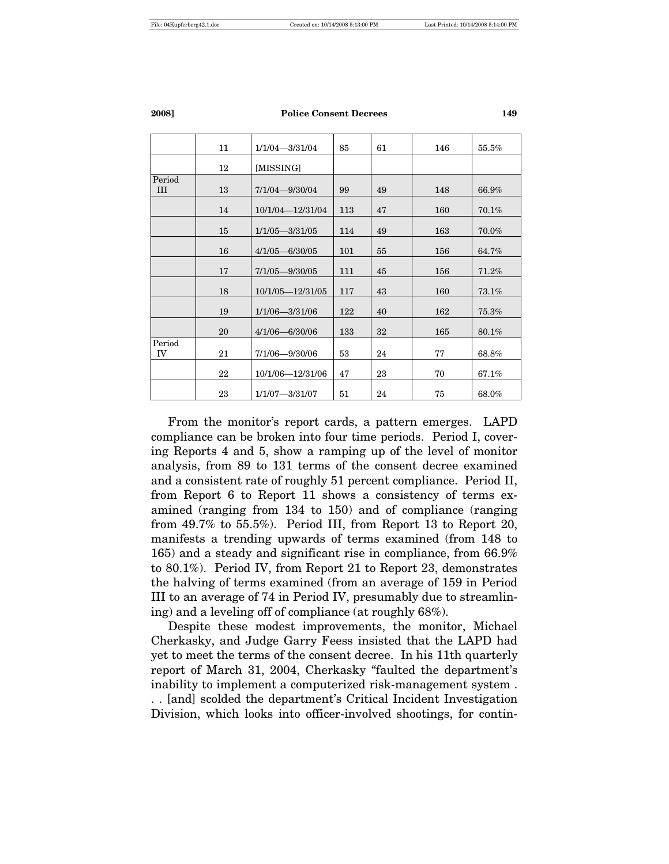|               | 11 | $1/1/04 - 3/31/04$   | 85  | 61 | 146 | 55.5%    |
|---------------|----|----------------------|-----|----|-----|----------|
|               | 12 | [MISSING]            |     |    |     |          |
| Period<br>III | 13 | 7/1/04-9/30/04       | 99  | 49 | 148 | 66.9%    |
|               | 14 | 10/1/04-12/31/04     | 113 | 47 | 160 | 70.1%    |
|               | 15 | $1/1/05 - 3/31/05$   | 114 | 49 | 163 | 70.0%    |
|               | 16 | $4/1/05 - 6/30/05$   | 101 | 55 | 156 | 64.7%    |
|               | 17 | $7/1/05 - 9/30/05$   | 111 | 45 | 156 | 71.2%    |
|               | 18 | $10/1/05 - 12/31/05$ | 117 | 43 | 160 | $73.1\%$ |
|               | 19 | $1/1/06 - 3/31/06$   | 122 | 40 | 162 | 75.3%    |
|               | 20 | $4/1/06 - 6/30/06$   | 133 | 32 | 165 | 80.1%    |
| Period<br>IV  | 21 | $7/1/06 - 9/30/06$   | 53  | 24 | 77  | 68.8%    |
|               | 22 | 10/1/06-12/31/06     | 47  | 23 | 70  | 67.1%    |
|               | 23 | $1/1/07 - 3/31/07$   | 51  | 24 | 75  | 68.0%    |

From the monitor's report cards, a pattern emerges. LAPD compliance can be broken into four time periods. Period I, covering Reports 4 and 5, show a ramping up of the level of monitor analysis, from 89 to 131 terms of the consent decree examined and a consistent rate of roughly 51 percent compliance. Period II, from Report 6 to Report 11 shows a consistency of terms examined (ranging from 134 to 150) and of compliance (ranging from 49.7% to 55.5%). Period III, from Report 13 to Report 20, manifests a trending upwards of terms examined (from 148 to 165) and a steady and significant rise in compliance, from 66.9% to 80.1%). Period IV, from Report 21 to Report 23, demonstrates the halving of terms examined (from an average of 159 in Period III to an average of 74 in Period IV, presumably due to streamlining) and a leveling off of compliance (at roughly 68%).

Despite these modest improvements, the monitor, Michael Cherkasky, and Judge Garry Feess insisted that the LAPD had yet to meet the terms of the consent decree. In his 11th quarterly report of March 31, 2004, Cherkasky "faulted the department's inability to implement a computerized risk-management system .

. . [and] scolded the department's Critical Incident Investigation Division, which looks into officer-involved shootings, for contin-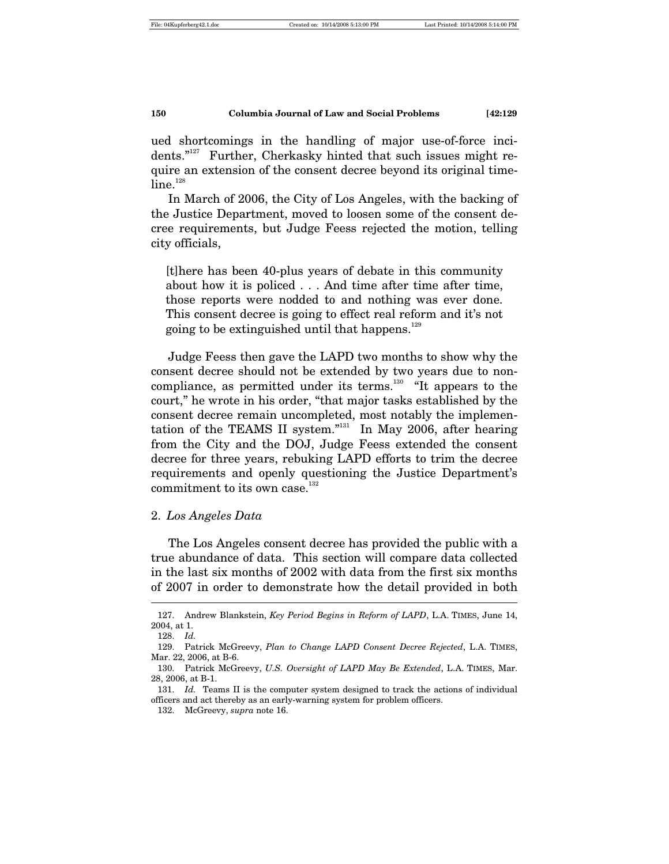ued shortcomings in the handling of major use-of-force incidents."127 Further, Cherkasky hinted that such issues might require an extension of the consent decree beyond its original time $line.$ <sup>128</sup>

In March of 2006, the City of Los Angeles, with the backing of the Justice Department, moved to loosen some of the consent decree requirements, but Judge Feess rejected the motion, telling city officials,

[t]here has been 40-plus years of debate in this community about how it is policed . . . And time after time after time, those reports were nodded to and nothing was ever done. This consent decree is going to effect real reform and it's not going to be extinguished until that happens.<sup>129</sup>

Judge Feess then gave the LAPD two months to show why the consent decree should not be extended by two years due to noncompliance, as permitted under its terms.<sup>130</sup> "It appears to the court," he wrote in his order, "that major tasks established by the consent decree remain uncompleted, most notably the implementation of the TEAMS II system."<sup>131</sup> In May 2006, after hearing from the City and the DOJ, Judge Feess extended the consent decree for three years, rebuking LAPD efforts to trim the decree requirements and openly questioning the Justice Department's commitment to its own case. $132$ 

#### 2. *Los Angeles Data*

The Los Angeles consent decree has provided the public with a true abundance of data. This section will compare data collected in the last six months of 2002 with data from the first six months of 2007 in order to demonstrate how the detail provided in both l

 <sup>127.</sup> Andrew Blankstein, *Key Period Begins in Reform of LAPD*, L.A. TIMES, June 14, 2004, at 1.

 <sup>128.</sup> *Id.*

 <sup>129.</sup> Patrick McGreevy, *Plan to Change LAPD Consent Decree Rejected*, L.A. TIMES, Mar. 22, 2006, at B-6.

 <sup>130.</sup> Patrick McGreevy, *U.S. Oversight of LAPD May Be Extended*, L.A. TIMES, Mar. 28, 2006, at B-1.

 <sup>131.</sup> *Id.* Teams II is the computer system designed to track the actions of individual officers and act thereby as an early-warning system for problem officers.

 <sup>132.</sup> McGreevy, *supra* note 16.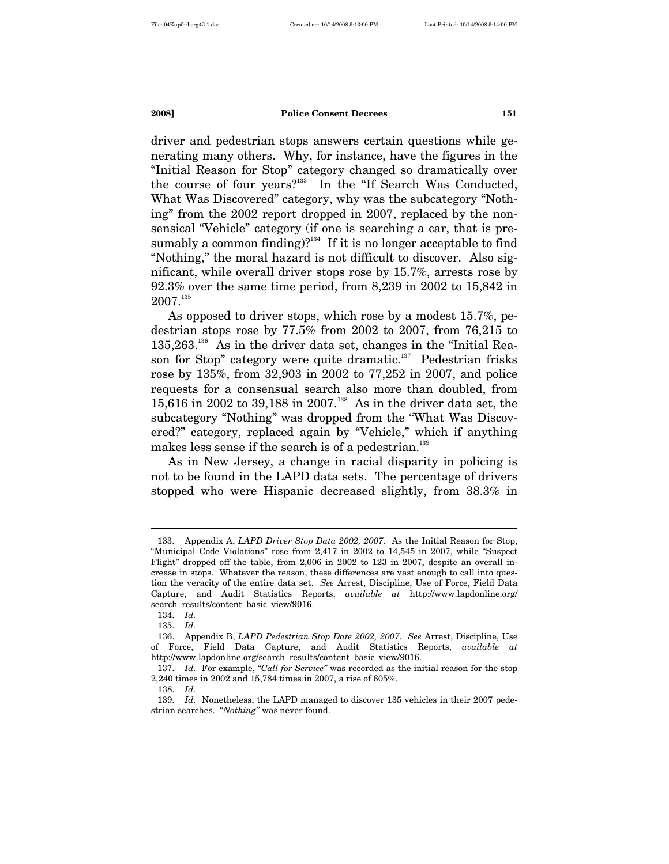driver and pedestrian stops answers certain questions while generating many others. Why, for instance, have the figures in the "Initial Reason for Stop" category changed so dramatically over the course of four years?<sup>133</sup> In the "If Search Was Conducted, What Was Discovered" category, why was the subcategory "Nothing" from the 2002 report dropped in 2007, replaced by the nonsensical "Vehicle" category (if one is searching a car, that is presumably a common finding)?<sup>134</sup> If it is no longer acceptable to find "Nothing," the moral hazard is not difficult to discover. Also significant, while overall driver stops rose by 15.7%, arrests rose by 92.3% over the same time period, from 8,239 in 2002 to 15,842 in  $2007.<sup>135</sup>$ 

As opposed to driver stops, which rose by a modest 15.7%, pedestrian stops rose by 77.5% from 2002 to 2007, from 76,215 to  $135,263$ <sup>136</sup> As in the driver data set, changes in the "Initial Reason for Stop" category were quite dramatic. $137$  Pedestrian frisks rose by 135%, from 32,903 in 2002 to 77,252 in 2007, and police requests for a consensual search also more than doubled, from 15,616 in 2002 to 39,188 in 2007.<sup>138</sup> As in the driver data set, the subcategory "Nothing" was dropped from the "What Was Discovered?" category, replaced again by "Vehicle," which if anything makes less sense if the search is of a pedestrian.<sup>139</sup>

As in New Jersey, a change in racial disparity in policing is not to be found in the LAPD data sets. The percentage of drivers stopped who were Hispanic decreased slightly, from 38.3% in

 <sup>133.</sup> Appendix A, *LAPD Driver Stop Data 2002, 2007*. As the Initial Reason for Stop, "Municipal Code Violations" rose from 2,417 in 2002 to 14,545 in 2007, while "Suspect Flight" dropped off the table, from 2,006 in 2002 to 123 in 2007, despite an overall increase in stops. Whatever the reason, these differences are vast enough to call into question the veracity of the entire data set. *See* Arrest, Discipline, Use of Force, Field Data Capture, and Audit Statistics Reports, *available at* http://www.lapdonline.org/ search\_results/content\_basic\_view/9016.

 <sup>134.</sup> *Id.*

 <sup>135.</sup> *Id.*

 <sup>136.</sup> Appendix B, *LAPD Pedestrian Stop Date 2002, 2007*. *See* Arrest, Discipline, Use of Force, Field Data Capture, and Audit Statistics Reports, *available at* http://www.lapdonline.org/search\_results/content\_basic\_view/9016.

 <sup>137.</sup> *Id.* For example, "*Call for Service"* was recorded as the initial reason for the stop 2,240 times in 2002 and 15,784 times in 2007, a rise of 605%.

 <sup>138.</sup> *Id.*

 <sup>139.</sup> *Id.* Nonetheless, the LAPD managed to discover 135 vehicles in their 2007 pedestrian searches. "*Nothing"* was never found.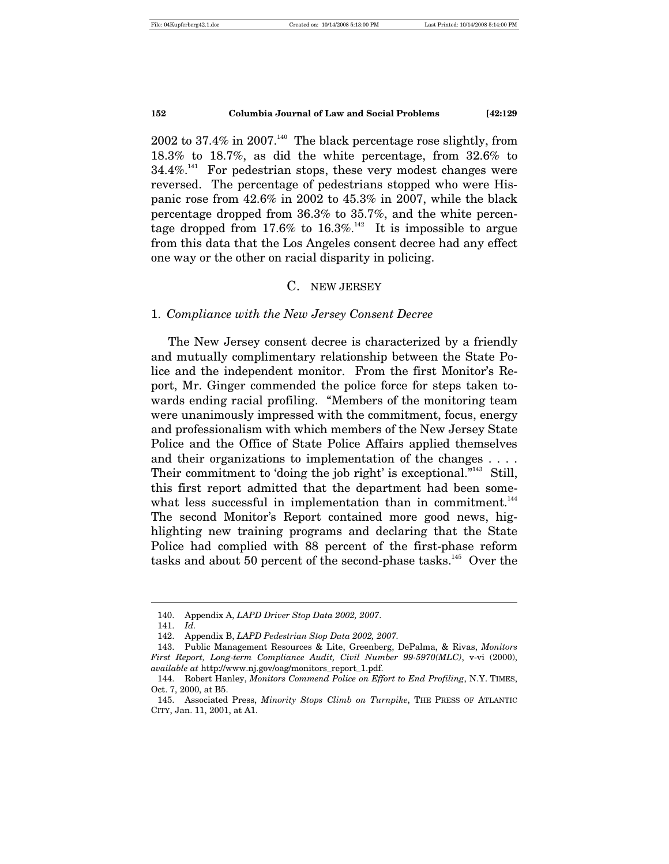2002 to 37.4% in 2007.<sup>140</sup> The black percentage rose slightly, from 18.3% to 18.7%, as did the white percentage, from 32.6% to  $34.4\%$ <sup>141</sup> For pedestrian stops, these very modest changes were reversed. The percentage of pedestrians stopped who were Hispanic rose from 42.6% in 2002 to 45.3% in 2007, while the black percentage dropped from 36.3% to 35.7%, and the white percentage dropped from 17.6% to 16.3%.<sup>142</sup> It is impossible to argue from this data that the Los Angeles consent decree had any effect one way or the other on racial disparity in policing.

#### C. NEW JERSEY

#### 1. *Compliance with the New Jersey Consent Decree*

The New Jersey consent decree is characterized by a friendly and mutually complimentary relationship between the State Police and the independent monitor. From the first Monitor's Report, Mr. Ginger commended the police force for steps taken towards ending racial profiling. "Members of the monitoring team were unanimously impressed with the commitment, focus, energy and professionalism with which members of the New Jersey State Police and the Office of State Police Affairs applied themselves and their organizations to implementation of the changes . . . . Their commitment to 'doing the job right' is exceptional."<sup>143</sup> Still, this first report admitted that the department had been somewhat less successful in implementation than in commitment.<sup>144</sup> The second Monitor's Report contained more good news, highlighting new training programs and declaring that the State Police had complied with 88 percent of the first-phase reform tasks and about 50 percent of the second-phase tasks.<sup>145</sup> Over the

 <sup>140.</sup> Appendix A, *LAPD Driver Stop Data 2002, 2007*.

 <sup>141.</sup> *Id.*

 <sup>142.</sup> Appendix B, *LAPD Pedestrian Stop Data 2002, 2007.*

 <sup>143.</sup> Public Management Resources & Lite, Greenberg, DePalma, & Rivas, *Monitors First Report, Long-term Compliance Audit, Civil Number 99-5970(MLC)*, v-vi (2000), *available at* http://www.nj.gov/oag/monitors\_report\_1.pdf.

 <sup>144.</sup> Robert Hanley, *Monitors Commend Police on Effort to End Profiling*, N.Y. TIMES, Oct. 7, 2000, at B5.

 <sup>145.</sup> Associated Press, *Minority Stops Climb on Turnpike*, THE PRESS OF ATLANTIC CITY, Jan. 11, 2001, at A1.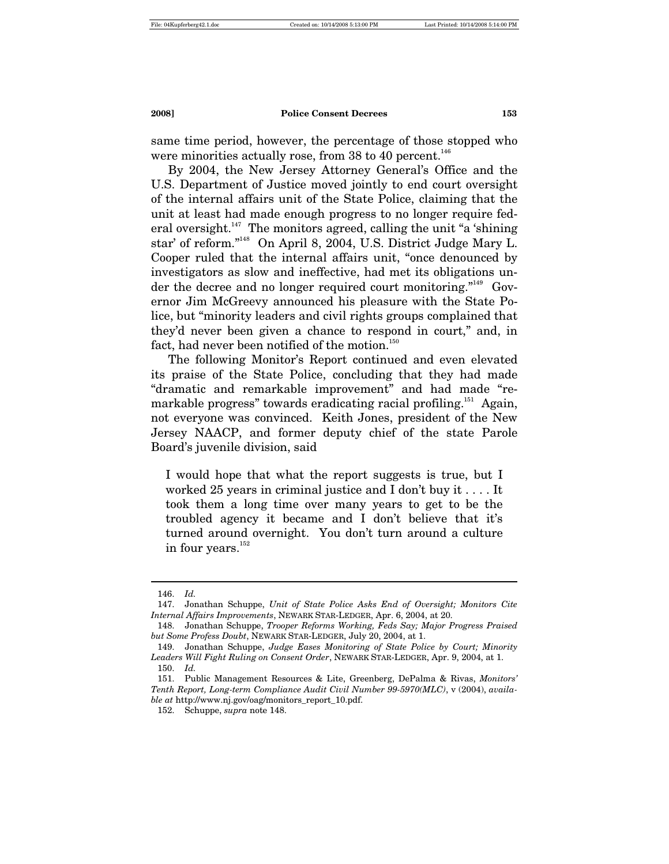same time period, however, the percentage of those stopped who were minorities actually rose, from 38 to 40 percent.<sup>146</sup>

By 2004, the New Jersey Attorney General's Office and the U.S. Department of Justice moved jointly to end court oversight of the internal affairs unit of the State Police, claiming that the unit at least had made enough progress to no longer require federal oversight.<sup>147</sup> The monitors agreed, calling the unit "a 'shining" star' of reform."148 On April 8, 2004, U.S. District Judge Mary L. Cooper ruled that the internal affairs unit, "once denounced by investigators as slow and ineffective, had met its obligations under the decree and no longer required court monitoring."<sup>149</sup> Governor Jim McGreevy announced his pleasure with the State Police, but "minority leaders and civil rights groups complained that they'd never been given a chance to respond in court," and, in fact, had never been notified of the motion.<sup>150</sup>

The following Monitor's Report continued and even elevated its praise of the State Police, concluding that they had made "dramatic and remarkable improvement" and had made "remarkable progress" towards eradicating racial profiling.<sup>151</sup> Again, not everyone was convinced. Keith Jones, president of the New Jersey NAACP, and former deputy chief of the state Parole Board's juvenile division, said

I would hope that what the report suggests is true, but I worked 25 years in criminal justice and I don't buy it . . . . It took them a long time over many years to get to be the troubled agency it became and I don't believe that it's turned around overnight. You don't turn around a culture in four years.<sup>152</sup>

 <sup>146.</sup> *Id.*

 <sup>147.</sup> Jonathan Schuppe, *Unit of State Police Asks End of Oversight; Monitors Cite Internal Affairs Improvements*, NEWARK STAR-LEDGER, Apr. 6, 2004, at 20.

 <sup>148.</sup> Jonathan Schuppe, *Trooper Reforms Working, Feds Say; Major Progress Praised but Some Profess Doubt*, NEWARK STAR-LEDGER, July 20, 2004, at 1.

 <sup>149.</sup> Jonathan Schuppe, *Judge Eases Monitoring of State Police by Court; Minority Leaders Will Fight Ruling on Consent Order*, NEWARK STAR-LEDGER, Apr. 9, 2004, at 1.

 <sup>150.</sup> *Id.*

 <sup>151.</sup> Public Management Resources & Lite, Greenberg, DePalma & Rivas, *Monitors' Tenth Report, Long-term Compliance Audit Civil Number 99-5970(MLC)*, v (2004), *available at* http://www.nj.gov/oag/monitors\_report\_10.pdf.

 <sup>152.</sup> Schuppe, *supra* note 148.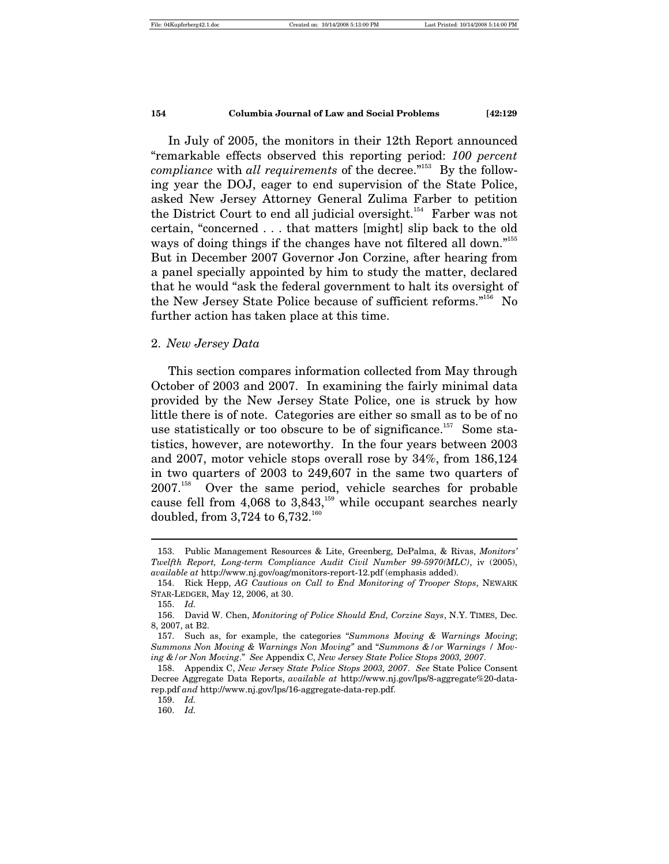In July of 2005, the monitors in their 12th Report announced "remarkable effects observed this reporting period: *100 percent compliance* with *all requirements* of the decree."<sup>153</sup> By the following year the DOJ, eager to end supervision of the State Police, asked New Jersey Attorney General Zulima Farber to petition the District Court to end all judicial oversight.<sup>154</sup> Farber was not certain, "concerned . . . that matters [might] slip back to the old ways of doing things if the changes have not filtered all down."<sup>155</sup> But in December 2007 Governor Jon Corzine, after hearing from a panel specially appointed by him to study the matter, declared that he would "ask the federal government to halt its oversight of the New Jersey State Police because of sufficient reforms."156 No further action has taken place at this time.

#### 2. *New Jersey Data*

This section compares information collected from May through October of 2003 and 2007. In examining the fairly minimal data provided by the New Jersey State Police, one is struck by how little there is of note. Categories are either so small as to be of no use statistically or too obscure to be of significance.<sup>157</sup> Some statistics, however, are noteworthy. In the four years between 2003 and 2007, motor vehicle stops overall rose by 34%, from 186,124 in two quarters of 2003 to 249,607 in the same two quarters of 2007.158 Over the same period, vehicle searches for probable cause fell from 4,068 to  $3,843$ ,<sup>159</sup> while occupant searches nearly doubled, from  $3,724$  to  $6,732^{160}$ 

 <sup>153.</sup> Public Management Resources & Lite, Greenberg, DePalma, & Rivas, *Monitors' Twelfth Report, Long-term Compliance Audit Civil Number 99-5970(MLC)*, iv (2005), *available at* http://www.nj.gov/oag/monitors-report-12.pdf (emphasis added).

 <sup>154.</sup> Rick Hepp, *AG Cautious on Call to End Monitoring of Trooper Stops*, NEWARK STAR-LEDGER, May 12, 2006, at 30.

 <sup>155.</sup> *Id.*

 <sup>156.</sup> David W. Chen, *Monitoring of Police Should End, Corzine Says*, N.Y. TIMES, Dec. 8, 2007, at B2.

 <sup>157.</sup> Such as, for example, the categories "*Summons Moving & Warnings Moving*; *Summons Non Moving & Warnings Non Moving"* and "*Summons &/or Warnings / Moving &/or Non Moving*." *See* Appendix C, *New Jersey State Police Stops 2003, 2007*.

 <sup>158.</sup> Appendix C, *New Jersey State Police Stops 2003, 2007*. *See* State Police Consent Decree Aggregate Data Reports, *available at* http://www.nj.gov/lps/8-aggregate%20-datarep.pdf *and* http://www.nj.gov/lps/16-aggregate-data-rep.pdf.

 <sup>159.</sup> *Id.*

 <sup>160.</sup> *Id.*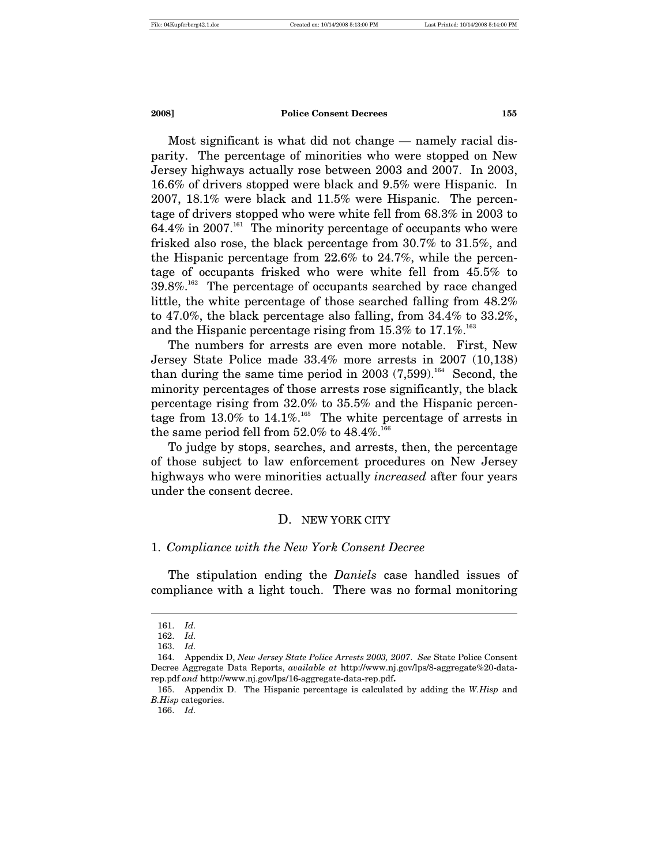Most significant is what did not change — namely racial disparity. The percentage of minorities who were stopped on New Jersey highways actually rose between 2003 and 2007. In 2003, 16.6% of drivers stopped were black and 9.5% were Hispanic. In 2007, 18.1% were black and 11.5% were Hispanic. The percentage of drivers stopped who were white fell from 68.3% in 2003 to 64.4% in 2007.<sup>161</sup> The minority percentage of occupants who were frisked also rose, the black percentage from 30.7% to 31.5%, and the Hispanic percentage from 22.6% to 24.7%, while the percentage of occupants frisked who were white fell from 45.5% to  $39.8\%$ <sup>162</sup> The percentage of occupants searched by race changed little, the white percentage of those searched falling from 48.2% to 47.0%, the black percentage also falling, from 34.4% to 33.2%, and the Hispanic percentage rising from  $15.3\%$  to  $17.1\%$ <sup>163</sup>

The numbers for arrests are even more notable. First, New Jersey State Police made 33.4% more arrests in 2007 (10,138) than during the same time period in 2003  $(7,599)$ .<sup>164</sup> Second, the minority percentages of those arrests rose significantly, the black percentage rising from 32.0% to 35.5% and the Hispanic percentage from  $13.0\%$  to  $14.1\%$ .<sup>165</sup> The white percentage of arrests in the same period fell from  $52.0\%$  to  $48.4\%$ .<sup>166</sup>

To judge by stops, searches, and arrests, then, the percentage of those subject to law enforcement procedures on New Jersey highways who were minorities actually *increased* after four years under the consent decree.

#### D. NEW YORK CITY

#### 1. *Compliance with the New York Consent Decree*

The stipulation ending the *Daniels* case handled issues of compliance with a light touch. There was no formal monitoring

 $\overline{a}$ 

166. *Id.*

 <sup>161.</sup> *Id.*

 <sup>162.</sup> *Id.*

 <sup>163.</sup> *Id.*

 <sup>164.</sup> Appendix D, *New Jersey State Police Arrests 2003, 2007*. *See* State Police Consent Decree Aggregate Data Reports, *available at* http://www.nj.gov/lps/8-aggregate%20-datarep.pdf *and* http://www.nj.gov/lps/16-aggregate-data-rep.pdf**.**

 <sup>165.</sup> Appendix D. The Hispanic percentage is calculated by adding the *W.Hisp* and *B.Hisp* categories.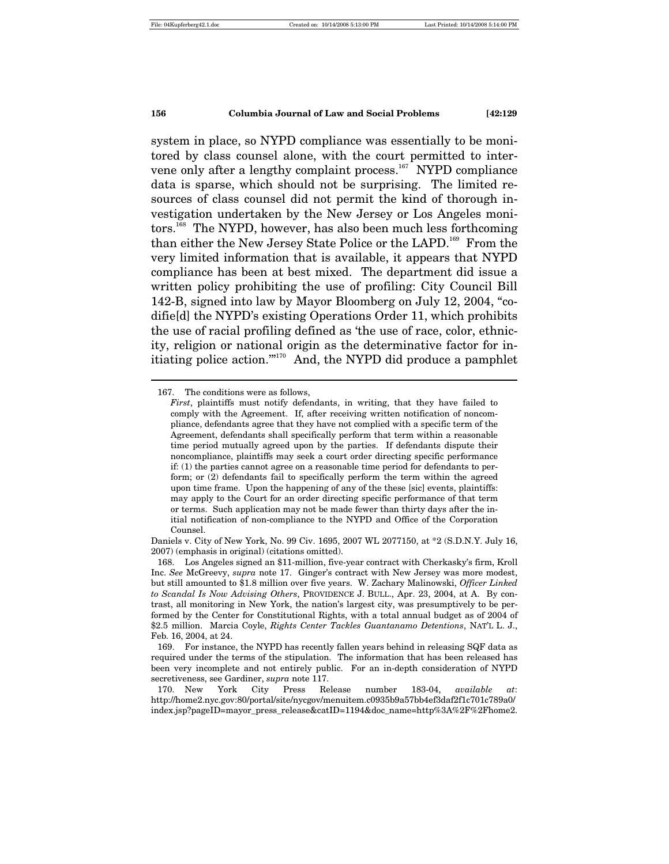system in place, so NYPD compliance was essentially to be monitored by class counsel alone, with the court permitted to intervene only after a lengthy complaint process.<sup>167</sup> NYPD compliance data is sparse, which should not be surprising. The limited resources of class counsel did not permit the kind of thorough investigation undertaken by the New Jersey or Los Angeles monitors.168 The NYPD, however, has also been much less forthcoming than either the New Jersey State Police or the LAPD.<sup>169</sup> From the very limited information that is available, it appears that NYPD compliance has been at best mixed. The department did issue a written policy prohibiting the use of profiling: City Council Bill 142-B, signed into law by Mayor Bloomberg on July 12, 2004, "codifie[d] the NYPD's existing Operations Order 11, which prohibits the use of racial profiling defined as 'the use of race, color, ethnicity, religion or national origin as the determinative factor for initiating police action.'"170 And, the NYPD did produce a pamphlet

 <sup>167.</sup> The conditions were as follows,

*First*, plaintiffs must notify defendants, in writing, that they have failed to comply with the Agreement. If, after receiving written notification of noncompliance, defendants agree that they have not complied with a specific term of the Agreement, defendants shall specifically perform that term within a reasonable time period mutually agreed upon by the parties. If defendants dispute their noncompliance, plaintiffs may seek a court order directing specific performance if: (1) the parties cannot agree on a reasonable time period for defendants to perform; or (2) defendants fail to specifically perform the term within the agreed upon time frame. Upon the happening of any of the these [sic] events, plaintiffs: may apply to the Court for an order directing specific performance of that term or terms. Such application may not be made fewer than thirty days after the initial notification of non-compliance to the NYPD and Office of the Corporation Counsel.

Daniels v. City of New York, No. 99 Civ. 1695, 2007 WL 2077150, at \*2 (S.D.N.Y. July 16, 2007) (emphasis in original) (citations omitted).

 <sup>168.</sup> Los Angeles signed an \$11-million, five-year contract with Cherkasky's firm, Kroll Inc. *See* McGreevy, *supra* note 17. Ginger's contract with New Jersey was more modest, but still amounted to \$1.8 million over five years. W. Zachary Malinowski, *Officer Linked to Scandal Is Now Advising Others*, PROVIDENCE J. BULL., Apr. 23, 2004, at A. By contrast, all monitoring in New York, the nation's largest city, was presumptively to be performed by the Center for Constitutional Rights, with a total annual budget as of 2004 of \$2.5 million. Marcia Coyle, *Rights Center Tackles Guantanamo Detentions*, NAT'L L. J., Feb. 16, 2004, at 24.

 <sup>169.</sup> For instance, the NYPD has recently fallen years behind in releasing SQF data as required under the terms of the stipulation. The information that has been released has been very incomplete and not entirely public. For an in-depth consideration of NYPD secretiveness, see Gardiner, *supra* note 117.

 <sup>170.</sup> New York City Press Release number 183-04, *available at*: http://home2.nyc.gov:80/portal/site/nycgov/menuitem.c0935b9a57bb4ef3daf2f1c701c789a0/ index.jsp?pageID=mayor\_press\_release&catID=1194&doc\_name=http%3A%2F%2Fhome2.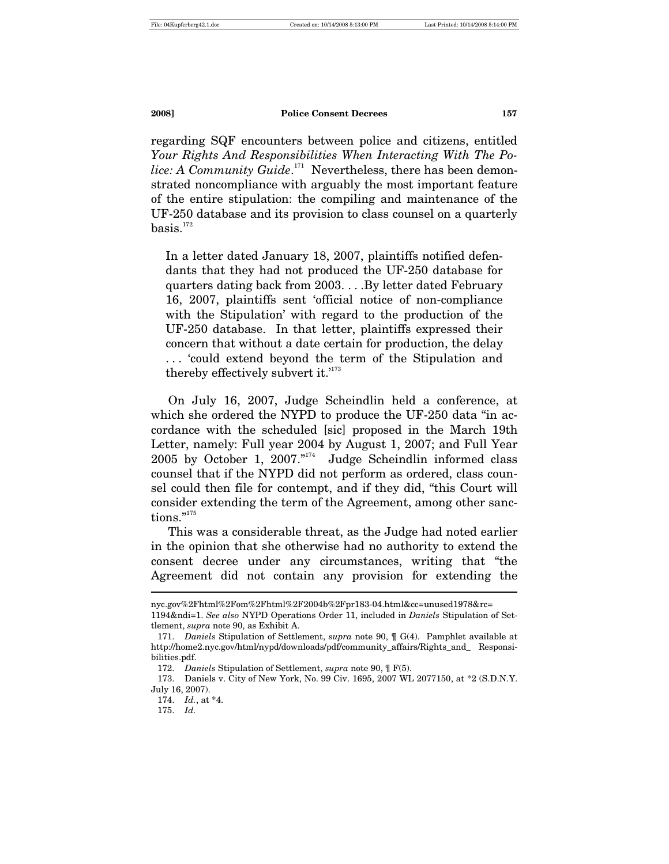regarding SQF encounters between police and citizens, entitled *Your Rights And Responsibilities When Interacting With The Po*lice: A Community Guide.<sup>171</sup> Nevertheless, there has been demonstrated noncompliance with arguably the most important feature of the entire stipulation: the compiling and maintenance of the UF-250 database and its provision to class counsel on a quarterly  $basis.<sup>172</sup>$ 

In a letter dated January 18, 2007, plaintiffs notified defendants that they had not produced the UF-250 database for quarters dating back from 2003. . . .By letter dated February 16, 2007, plaintiffs sent 'official notice of non-compliance with the Stipulation' with regard to the production of the UF-250 database. In that letter, plaintiffs expressed their concern that without a date certain for production, the delay . . . 'could extend beyond the term of the Stipulation and thereby effectively subvert it.<sup>'173</sup>

On July 16, 2007, Judge Scheindlin held a conference, at which she ordered the NYPD to produce the UF-250 data "in accordance with the scheduled [sic] proposed in the March 19th Letter, namely: Full year 2004 by August 1, 2007; and Full Year  $2005$  by October 1,  $2007.^{174}$  Judge Scheindlin informed class counsel that if the NYPD did not perform as ordered, class counsel could then file for contempt, and if they did, "this Court will consider extending the term of the Agreement, among other sanctions."175

This was a considerable threat, as the Judge had noted earlier in the opinion that she otherwise had no authority to extend the consent decree under any circumstances, writing that "the Agreement did not contain any provision for extending the  $\overline{a}$ 

nyc.gov%2Fhtml%2Fom%2Fhtml%2F2004b%2Fpr183-04.html&cc=unused1978&rc=

<sup>1194&</sup>amp;ndi=1. *See also* NYPD Operations Order 11, included in *Daniels* Stipulation of Settlement, *supra* note 90, as Exhibit A.

 <sup>171.</sup> *Daniels* Stipulation of Settlement, *supra* note 90, ¶ G(4). Pamphlet available at http://home2.nyc.gov/html/nypd/downloads/pdf/community\_affairs/Rights\_and\_ Responsibilities ndf

 <sup>172.</sup> *Daniels* Stipulation of Settlement, *supra* note 90, ¶ F(5).

 <sup>173.</sup> Daniels v. City of New York, No. 99 Civ. 1695, 2007 WL 2077150, at \*2 (S.D.N.Y. July 16, 2007).

 <sup>174.</sup> *Id.*, at \*4.

 <sup>175.</sup> *Id.*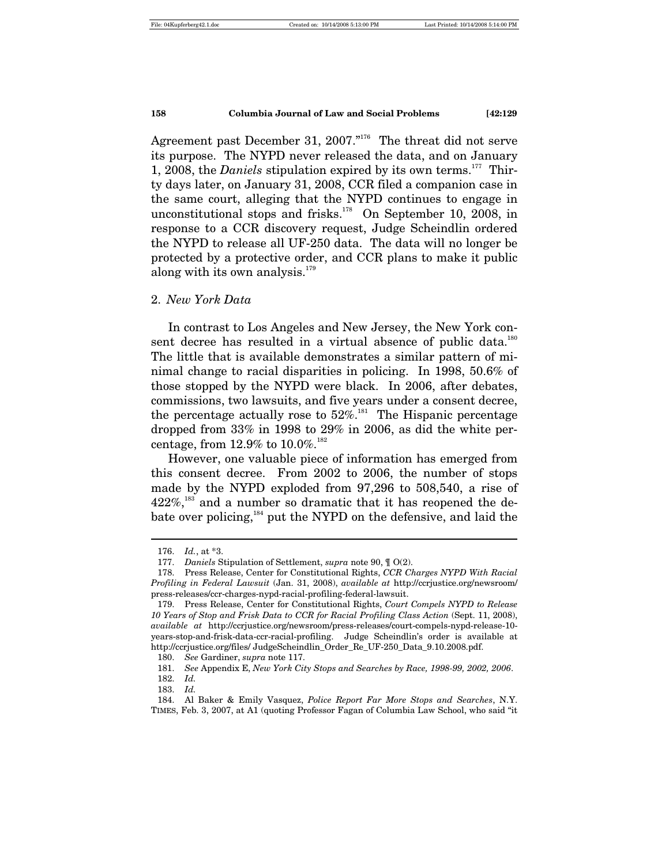Agreement past December 31, 2007."<sup>176</sup> The threat did not serve its purpose. The NYPD never released the data, and on January 1, 2008, the *Daniels* stipulation expired by its own terms.<sup>177</sup> Thirty days later, on January 31, 2008, CCR filed a companion case in the same court, alleging that the NYPD continues to engage in unconstitutional stops and frisks.<sup>178</sup> On September 10, 2008, in response to a CCR discovery request, Judge Scheindlin ordered the NYPD to release all UF-250 data. The data will no longer be protected by a protective order, and CCR plans to make it public along with its own analysis.<sup>179</sup>

#### 2. *New York Data*

In contrast to Los Angeles and New Jersey, the New York consent decree has resulted in a virtual absence of public data.<sup>180</sup> The little that is available demonstrates a similar pattern of minimal change to racial disparities in policing. In 1998, 50.6% of those stopped by the NYPD were black. In 2006, after debates, commissions, two lawsuits, and five years under a consent decree, the percentage actually rose to  $52\%$ .<sup>181</sup> The Hispanic percentage dropped from 33% in 1998 to 29% in 2006, as did the white percentage, from  $12.9\%$  to  $10.0\%$ .<sup>182</sup>

However, one valuable piece of information has emerged from this consent decree. From 2002 to 2006, the number of stops made by the NYPD exploded from 97,296 to 508,540, a rise of  $422\%$ ,<sup>183</sup> and a number so dramatic that it has reopened the debate over policing, $184$  put the NYPD on the defensive, and laid the

 <sup>176.</sup> *Id.*, at \*3.

 <sup>177.</sup> *Daniels* Stipulation of Settlement, *supra* note 90, ¶ O(2).

 <sup>178.</sup> Press Release, Center for Constitutional Rights, *CCR Charges NYPD With Racial Profiling in Federal Lawsuit* (Jan. 31, 2008), *available at* http://ccrjustice.org/newsroom/ press-releases/ccr-charges-nypd-racial-profiling-federal-lawsuit.

 <sup>179.</sup> Press Release, Center for Constitutional Rights, *Court Compels NYPD to Release*  10 Years of Stop and Frisk Data to CCR for Racial Profiling Class Action (Sept. 11, 2008), *available at* http://ccrjustice.org/newsroom/press-releases/court-compels-nypd-release-10 years-stop-and-frisk-data-ccr-racial-profiling. Judge Scheindlin's order is available at http://ccrjustice.org/files/ JudgeScheindlin\_Order\_Re\_UF-250\_Data\_9.10.2008.pdf.

 <sup>180.</sup> *See* Gardiner, *supra* note 117.

 <sup>181.</sup> *See* Appendix E, *New York City Stops and Searches by Race, 1998-99, 2002, 2006*.

 <sup>182.</sup> *Id.*

 <sup>183.</sup> *Id.*

 <sup>184.</sup> Al Baker & Emily Vasquez, *Police Report Far More Stops and Searches*, N.Y. TIMES, Feb. 3, 2007, at A1 (quoting Professor Fagan of Columbia Law School, who said "it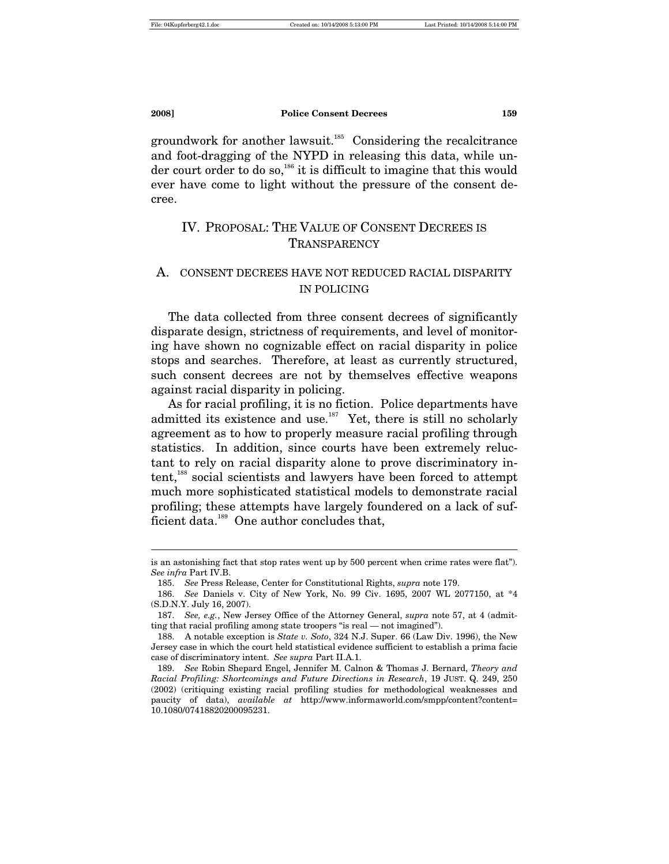$\overline{a}$ 

**2008] Police Consent Decrees 159**

groundwork for another lawsuit.<sup>185</sup> Considering the recalcitrance and foot-dragging of the NYPD in releasing this data, while under court order to do so,  $186$  it is difficult to imagine that this would ever have come to light without the pressure of the consent decree.

# IV. PROPOSAL: THE VALUE OF CONSENT DECREES IS TRANSPARENCY

# A. CONSENT DECREES HAVE NOT REDUCED RACIAL DISPARITY IN POLICING

The data collected from three consent decrees of significantly disparate design, strictness of requirements, and level of monitoring have shown no cognizable effect on racial disparity in police stops and searches. Therefore, at least as currently structured, such consent decrees are not by themselves effective weapons against racial disparity in policing.

As for racial profiling, it is no fiction. Police departments have admitted its existence and use.<sup>187</sup> Yet, there is still no scholarly agreement as to how to properly measure racial profiling through statistics. In addition, since courts have been extremely reluctant to rely on racial disparity alone to prove discriminatory intent,<sup>188</sup> social scientists and lawyers have been forced to attempt much more sophisticated statistical models to demonstrate racial profiling; these attempts have largely foundered on a lack of sufficient data.<sup>189</sup> One author concludes that,

is an astonishing fact that stop rates went up by 500 percent when crime rates were flat"). *See infra* Part IV.B.

 <sup>185.</sup> *See* Press Release, Center for Constitutional Rights, *supra* note 179.

 <sup>186.</sup> *See* Daniels v. City of New York, No. 99 Civ. 1695, 2007 WL 2077150, at \*4 (S.D.N.Y. July 16, 2007).

 <sup>187.</sup> *See, e.g.*, New Jersey Office of the Attorney General, *supra* note 57, at 4 (admitting that racial profiling among state troopers "is real — not imagined").

 <sup>188.</sup> A notable exception is *State v. Soto*, 324 N.J. Super. 66 (Law Div. 1996), the New Jersey case in which the court held statistical evidence sufficient to establish a prima facie case of discriminatory intent. *See supra* Part II.A.1.

 <sup>189.</sup> *See* Robin Shepard Engel, Jennifer M. Calnon & Thomas J. Bernard, *Theory and Racial Profiling: Shortcomings and Future Directions in Research*, 19 JUST. Q. 249, 250 (2002) (critiquing existing racial profiling studies for methodological weaknesses and paucity of data), *available at* http://www.informaworld.com/smpp/content?content= 10.1080/07418820200095231.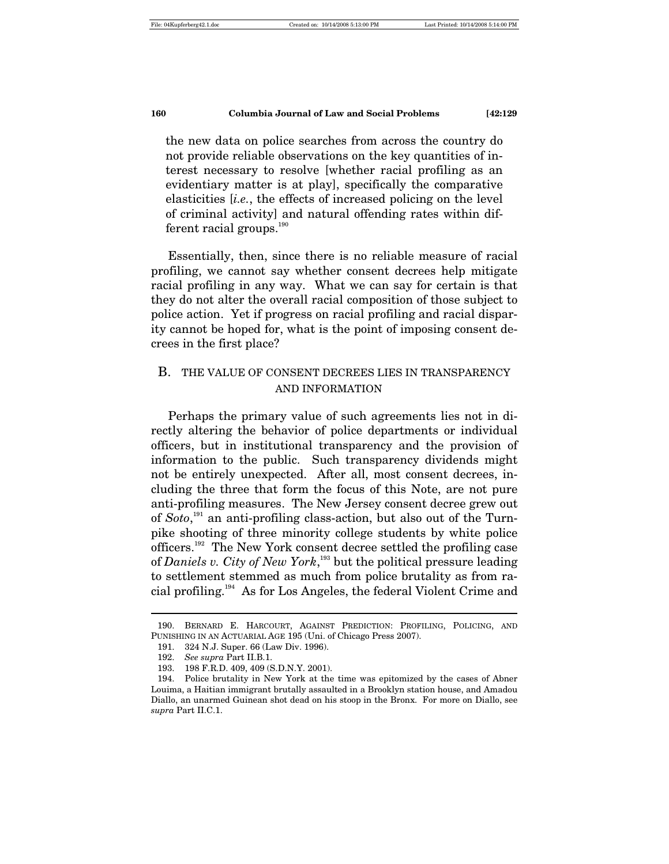the new data on police searches from across the country do not provide reliable observations on the key quantities of interest necessary to resolve [whether racial profiling as an evidentiary matter is at play], specifically the comparative elasticities [*i.e.*, the effects of increased policing on the level of criminal activity] and natural offending rates within different racial groups.<sup>190</sup>

Essentially, then, since there is no reliable measure of racial profiling, we cannot say whether consent decrees help mitigate racial profiling in any way. What we can say for certain is that they do not alter the overall racial composition of those subject to police action. Yet if progress on racial profiling and racial disparity cannot be hoped for, what is the point of imposing consent decrees in the first place?

# B. THE VALUE OF CONSENT DECREES LIES IN TRANSPARENCY AND INFORMATION

Perhaps the primary value of such agreements lies not in directly altering the behavior of police departments or individual officers, but in institutional transparency and the provision of information to the public. Such transparency dividends might not be entirely unexpected. After all, most consent decrees, including the three that form the focus of this Note, are not pure anti-profiling measures. The New Jersey consent decree grew out of *Soto*, 191 an anti-profiling class-action, but also out of the Turnpike shooting of three minority college students by white police officers.192 The New York consent decree settled the profiling case of *Daniels v. City of New York*, 193 but the political pressure leading to settlement stemmed as much from police brutality as from racial profiling.194 As for Los Angeles, the federal Violent Crime and

 <sup>190.</sup> BERNARD E. HARCOURT, AGAINST PREDICTION: PROFILING, POLICING, AND PUNISHING IN AN ACTUARIAL AGE 195 (Uni. of Chicago Press 2007).

 <sup>191. 324</sup> N.J. Super. 66 (Law Div. 1996).

 <sup>192.</sup> *See supra* Part II.B.1.

 <sup>193. 198</sup> F.R.D. 409, 409 (S.D.N.Y. 2001).

 <sup>194.</sup> Police brutality in New York at the time was epitomized by the cases of Abner Louima, a Haitian immigrant brutally assaulted in a Brooklyn station house, and Amadou Diallo, an unarmed Guinean shot dead on his stoop in the Bronx. For more on Diallo, see *supra* Part II.C.1.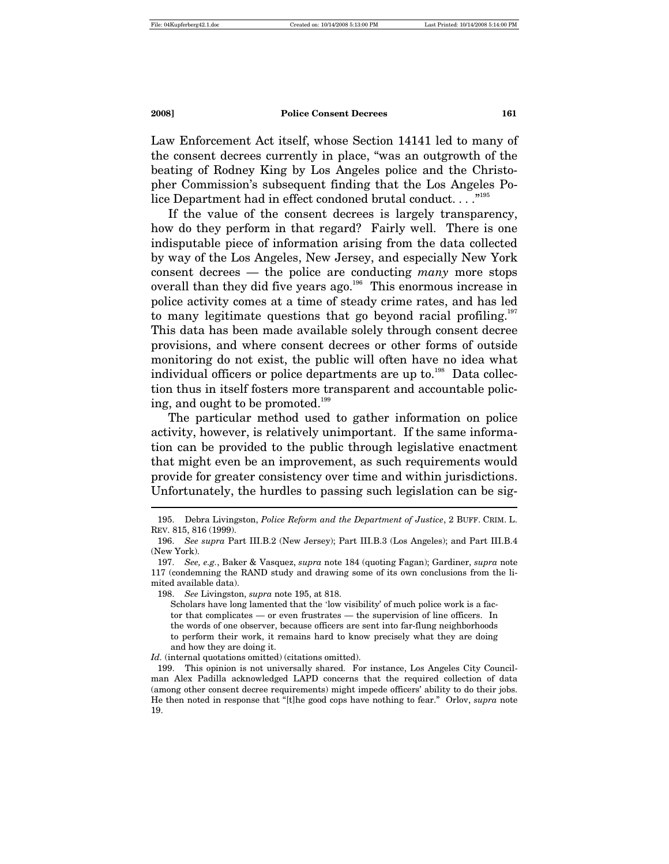Law Enforcement Act itself, whose Section 14141 led to many of the consent decrees currently in place, "was an outgrowth of the beating of Rodney King by Los Angeles police and the Christopher Commission's subsequent finding that the Los Angeles Police Department had in effect condoned brutal conduct.  $\dots$ <sup>,195</sup>

If the value of the consent decrees is largely transparency, how do they perform in that regard? Fairly well. There is one indisputable piece of information arising from the data collected by way of the Los Angeles, New Jersey, and especially New York consent decrees — the police are conducting *many* more stops overall than they did five years ago.<sup>196</sup> This enormous increase in police activity comes at a time of steady crime rates, and has led to many legitimate questions that go beyond racial profiling.<sup>197</sup> This data has been made available solely through consent decree provisions, and where consent decrees or other forms of outside monitoring do not exist, the public will often have no idea what individual officers or police departments are up to. $198$  Data collection thus in itself fosters more transparent and accountable policing, and ought to be promoted.<sup>199</sup>

The particular method used to gather information on police activity, however, is relatively unimportant. If the same information can be provided to the public through legislative enactment that might even be an improvement, as such requirements would provide for greater consistency over time and within jurisdictions. Unfortunately, the hurdles to passing such legislation can be sig-  $\overline{a}$ 

*Id.* (internal quotations omitted) (citations omitted).

 <sup>195.</sup> Debra Livingston, *Police Reform and the Department of Justice*, 2 BUFF. CRIM. L. REV. 815, 816 (1999).

 <sup>196.</sup> *See supra* Part III.B.2 (New Jersey); Part III.B.3 (Los Angeles); and Part III.B.4 (New York).

 <sup>197.</sup> *See, e.g.*, Baker & Vasquez, *supra* note 184 (quoting Fagan); Gardiner, *supra* note 117 (condemning the RAND study and drawing some of its own conclusions from the limited available data).

 <sup>198.</sup> *See* Livingston, *supra* note 195, at 818.

Scholars have long lamented that the 'low visibility' of much police work is a factor that complicates — or even frustrates — the supervision of line officers. In the words of one observer, because officers are sent into far-flung neighborhoods to perform their work, it remains hard to know precisely what they are doing and how they are doing it.

 <sup>199.</sup> This opinion is not universally shared. For instance, Los Angeles City Councilman Alex Padilla acknowledged LAPD concerns that the required collection of data (among other consent decree requirements) might impede officers' ability to do their jobs. He then noted in response that "[t]he good cops have nothing to fear." Orlov, *supra* note 19.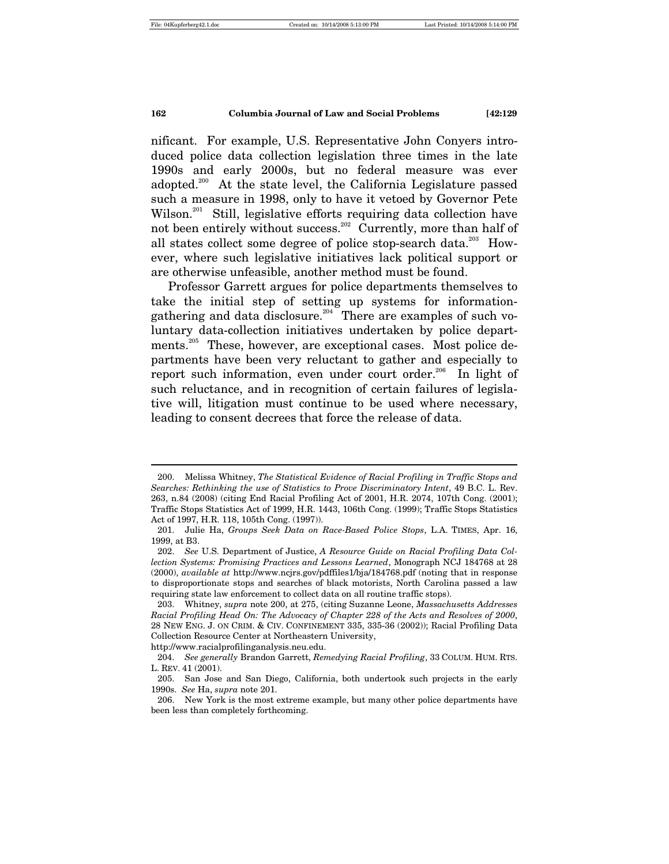$\overline{a}$ 

#### **162 Columbia Journal of Law and Social Problems [42:129**

nificant. For example, U.S. Representative John Conyers introduced police data collection legislation three times in the late 1990s and early 2000s, but no federal measure was ever adopted.200 At the state level, the California Legislature passed such a measure in 1998, only to have it vetoed by Governor Pete Wilson.<sup>201</sup> Still, legislative efforts requiring data collection have not been entirely without success.<sup>202</sup> Currently, more than half of all states collect some degree of police stop-search data.<sup>203</sup> However, where such legislative initiatives lack political support or are otherwise unfeasible, another method must be found.

Professor Garrett argues for police departments themselves to take the initial step of setting up systems for informationgathering and data disclosure.<sup>204</sup> There are examples of such voluntary data-collection initiatives undertaken by police departments.<sup>205</sup> These, however, are exceptional cases. Most police departments have been very reluctant to gather and especially to report such information, even under court order.<sup>206</sup> In light of such reluctance, and in recognition of certain failures of legislative will, litigation must continue to be used where necessary, leading to consent decrees that force the release of data.

 <sup>200.</sup> Melissa Whitney, *The Statistical Evidence of Racial Profiling in Traffic Stops and Searches: Rethinking the use of Statistics to Prove Discriminatory Intent*, 49 B.C. L. Rev. 263, n.84 (2008) (citing End Racial Profiling Act of 2001, H.R. 2074, 107th Cong. (2001); Traffic Stops Statistics Act of 1999, H.R. 1443, 106th Cong. (1999); Traffic Stops Statistics Act of 1997, H.R. 118, 105th Cong. (1997)).

 <sup>201.</sup> Julie Ha, *Groups Seek Data on Race-Based Police Stops*, L.A. TIMES, Apr. 16, 1999, at B3.

 <sup>202.</sup> *See* U.S. Department of Justice, *A Resource Guide on Racial Profiling Data Collection Systems: Promising Practices and Lessons Learned*, Monograph NCJ 184768 at 28 (2000), *available at* http://www.ncjrs.gov/pdffiles1/bja/184768.pdf (noting that in response to disproportionate stops and searches of black motorists, North Carolina passed a law requiring state law enforcement to collect data on all routine traffic stops).

 <sup>203.</sup> Whitney, *supra* note 200, at 275, (citing Suzanne Leone, *Massachusetts Addresses Racial Profiling Head On: The Advocacy of Chapter 228 of the Acts and Resolves of 2000*, 28 NEW ENG. J. ON CRIM. & CIV. CONFINEMENT 335, 335-36 (2002)); Racial Profiling Data Collection Resource Center at Northeastern University, http://www.racialprofilinganalysis.neu.edu.

 <sup>204.</sup> *See generally* Brandon Garrett, *Remedying Racial Profiling*, 33 COLUM. HUM. RTS. L. REV. 41 (2001).

 <sup>205.</sup> San Jose and San Diego, California, both undertook such projects in the early 1990s. *See* Ha, *supra* note 201.

 <sup>206.</sup> New York is the most extreme example, but many other police departments have been less than completely forthcoming.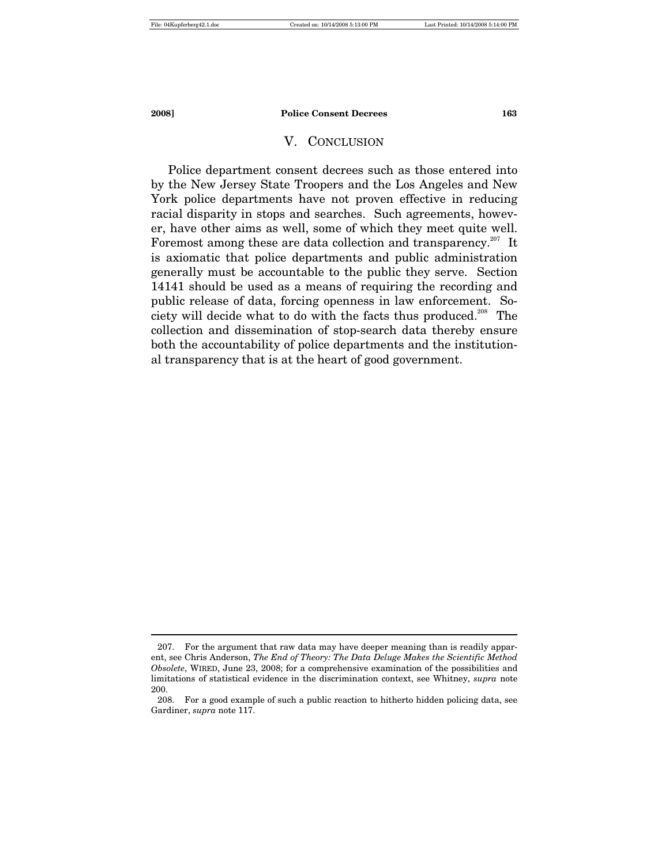$\overline{a}$ 

#### **2008] Police Consent Decrees 163**

#### V. CONCLUSION

Police department consent decrees such as those entered into by the New Jersey State Troopers and the Los Angeles and New York police departments have not proven effective in reducing racial disparity in stops and searches. Such agreements, however, have other aims as well, some of which they meet quite well. Foremost among these are data collection and transparency.<sup>207</sup> It is axiomatic that police departments and public administration generally must be accountable to the public they serve. Section 14141 should be used as a means of requiring the recording and public release of data, forcing openness in law enforcement. Society will decide what to do with the facts thus produced.<sup>208</sup> The collection and dissemination of stop-search data thereby ensure both the accountability of police departments and the institutional transparency that is at the heart of good government.

 <sup>207.</sup> For the argument that raw data may have deeper meaning than is readily apparent, see Chris Anderson, *The End of Theory: The Data Deluge Makes the Scientific Method Obsolete*, WIRED, June 23, 2008; for a comprehensive examination of the possibilities and limitations of statistical evidence in the discrimination context, see Whitney, *supra* note 200.

 <sup>208.</sup> For a good example of such a public reaction to hitherto hidden policing data, see Gardiner, *supra* note 117.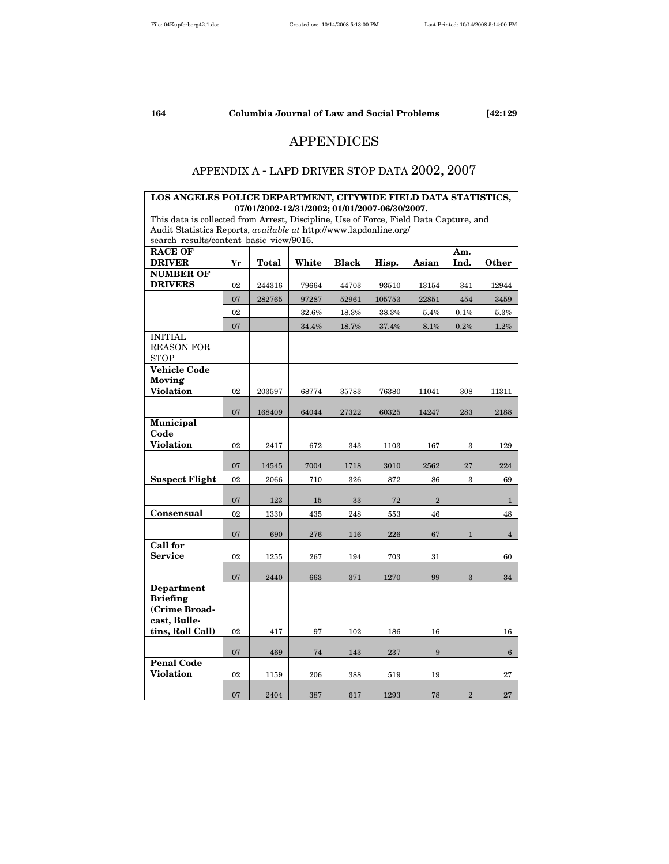# APPENDICES

# APPENDIX A - LAPD DRIVER STOP DATA 2002, 2007

| LOS ANGELES POLICE DEPARTMENT, CITYWIDE FIELD DATA STATISTICS,                        |    | 07/01/2002-12/31/2002; 01/01/2007-06/30/2007. |       |       |        |                |                |                 |
|---------------------------------------------------------------------------------------|----|-----------------------------------------------|-------|-------|--------|----------------|----------------|-----------------|
| This data is collected from Arrest, Discipline, Use of Force, Field Data Capture, and |    |                                               |       |       |        |                |                |                 |
| Audit Statistics Reports, available at http://www.lapdonline.org/                     |    |                                               |       |       |        |                |                |                 |
| search_results/content_basic_view/9016.                                               |    |                                               |       |       |        |                |                |                 |
| <b>RACE OF</b><br><b>DRIVER</b>                                                       |    |                                               |       |       |        |                | Am.            |                 |
| <b>NUMBER OF</b>                                                                      | Yr | Total                                         | White | Black | Hisp.  | Asian          | Ind.           | Other           |
| <b>DRIVERS</b>                                                                        | 02 | 244316                                        | 79664 | 44703 | 93510  | 13154          | 341            | 12944           |
|                                                                                       | 07 | 282765                                        | 97287 | 52961 | 105753 | 22851          | 454            | 3459            |
|                                                                                       | 02 |                                               | 32.6% | 18.3% | 38.3%  | 5.4%           | 0.1%           | 5.3%            |
|                                                                                       | 07 |                                               | 34.4% | 18.7% | 37.4%  | $8.1\%$        | $0.2\%$        | $1.2\%$         |
| <b>INITIAL</b><br><b>REASON FOR</b><br><b>STOP</b>                                    |    |                                               |       |       |        |                |                |                 |
| <b>Vehicle Code</b><br>Moving                                                         |    |                                               |       |       |        |                |                |                 |
| Violation                                                                             | 02 | 203597                                        | 68774 | 35783 | 76380  | 11041          | 308            | 11311           |
|                                                                                       | 07 | 168409                                        | 64044 | 27322 | 60325  | 14247          | 283            | 2188            |
| Municipal                                                                             |    |                                               |       |       |        |                |                |                 |
| Code                                                                                  |    |                                               |       |       |        |                |                |                 |
| <b>Violation</b>                                                                      | 02 | 2417                                          | 672   | 343   | 1103   | 167            | 3              | 129             |
|                                                                                       | 07 | 14545                                         | 7004  | 1718  | 3010   | 2562           | 27             | 224             |
| <b>Suspect Flight</b>                                                                 | 02 | 2066                                          | 710   | 326   | 872    | 86             | 3              | 69              |
|                                                                                       | 07 | 123                                           | 15    | 33    | 72     | $\overline{2}$ |                | $\mathbf{1}$    |
| Consensual                                                                            | 02 | 1330                                          | 435   | 248   | 553    | 46             |                | 48              |
|                                                                                       | 07 | 690                                           | 276   | 116   | 226    | 67             | $\mathbf{1}$   | $\overline{4}$  |
| <b>Call for</b>                                                                       |    |                                               |       |       |        |                |                |                 |
| <b>Service</b>                                                                        | 02 | 1255                                          | 267   | 194   | 703    | 31             |                | 60              |
|                                                                                       | 07 | 2440                                          | 663   | 371   | 1270   | 99             | 3              | 34              |
| <b>Department</b><br><b>Briefing</b><br>(Crime Broad-<br>cast, Bulle-                 |    |                                               |       |       |        |                |                |                 |
| tins, Roll Call)                                                                      | 02 | 417                                           | 97    | 102   | 186    | 16             |                | 16              |
|                                                                                       | 07 | 469                                           | 74    | 143   | 237    | 9              |                | $6\phantom{.}6$ |
| <b>Penal Code</b><br><b>Violation</b>                                                 | 02 | 1159                                          | 206   | 388   | 519    | 19             |                | 27              |
|                                                                                       | 07 | 2404                                          | 387   | 617   | 1293   | 78             | $\overline{2}$ | 27              |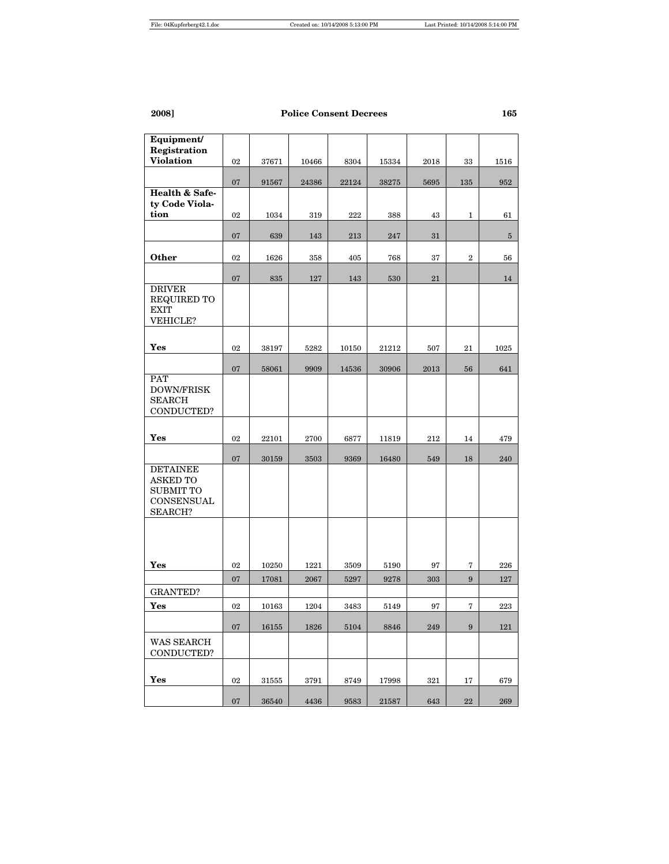| Equipment/<br>Registration          |        |       |       |       |       |      |                  |            |
|-------------------------------------|--------|-------|-------|-------|-------|------|------------------|------------|
| <b>Violation</b>                    | 02     | 37671 | 10466 | 8304  | 15334 | 2018 | 33               | 1516       |
|                                     |        |       |       |       |       |      |                  |            |
|                                     | 07     | 91567 | 24386 | 22124 | 38275 | 5695 | 135              | 952        |
| Health & Safe-<br>tv Code Viola-    |        |       |       |       |       |      |                  |            |
| tion                                | 02     | 1034  | 319   | 222   | 388   | 43   | 1                | 61         |
|                                     |        |       |       |       |       |      |                  |            |
|                                     | 07     | 639   | 143   | 213   | 247   | 31   |                  | $\sqrt{5}$ |
| Other                               | 02     | 1626  | 358   | 405   | 768   | 37   | $\boldsymbol{2}$ | 56         |
|                                     |        |       |       |       |       |      |                  |            |
|                                     | 07     | 835   | 127   | 143   | 530   | 21   |                  | 14         |
| <b>DRIVER</b><br>REQUIRED TO        |        |       |       |       |       |      |                  |            |
| <b>EXIT</b>                         |        |       |       |       |       |      |                  |            |
| VEHICLE?                            |        |       |       |       |       |      |                  |            |
|                                     |        |       |       |       |       |      |                  |            |
| Yes                                 | 02     | 38197 | 5282  | 10150 | 21212 | 507  | 21               | 1025       |
|                                     | 07     | 58061 | 9909  | 14536 | 30906 | 2013 | 56               | 641        |
| <b>PAT</b>                          |        |       |       |       |       |      |                  |            |
| <b>DOWN/FRISK</b><br><b>SEARCH</b>  |        |       |       |       |       |      |                  |            |
| CONDUCTED?                          |        |       |       |       |       |      |                  |            |
|                                     |        |       |       |       |       |      |                  |            |
| Yes                                 | 02     | 22101 | 2700  | 6877  | 11819 | 212  | 14               | 479        |
|                                     | 07     | 30159 | 3503  | 9369  | 16480 | 549  | 18               | 240        |
| <b>DETAINEE</b>                     |        |       |       |       |       |      |                  |            |
| <b>ASKED TO</b><br><b>SUBMIT TO</b> |        |       |       |       |       |      |                  |            |
| CONSENSUAL                          |        |       |       |       |       |      |                  |            |
| SEARCH?                             |        |       |       |       |       |      |                  |            |
|                                     |        |       |       |       |       |      |                  |            |
|                                     |        |       |       |       |       |      |                  |            |
|                                     |        |       |       |       |       |      |                  |            |
| Yes                                 | 02     | 10250 | 1221  | 3509  | 5190  | 97   | 7                | 226        |
| <b>GRANTED?</b>                     | 07     | 17081 | 2067  | 5297  | 9278  | 303  | 9                | 127        |
| Yes                                 | 02     | 10163 | 1204  | 3483  | 5149  | 97   | 7                | 223        |
|                                     |        |       |       |       |       |      |                  |            |
|                                     | 07     | 16155 | 1826  | 5104  | 8846  | 249  | 9                | 121        |
| WAS SEARCH<br>CONDUCTED?            |        |       |       |       |       |      |                  |            |
|                                     |        |       |       |       |       |      |                  |            |
| Yes                                 | 02     | 31555 | 3791  | 8749  | 17998 | 321  | 17               | 679        |
|                                     | $07\,$ | 36540 | 4436  | 9583  | 21587 | 643  | $\bf{22}$        | 269        |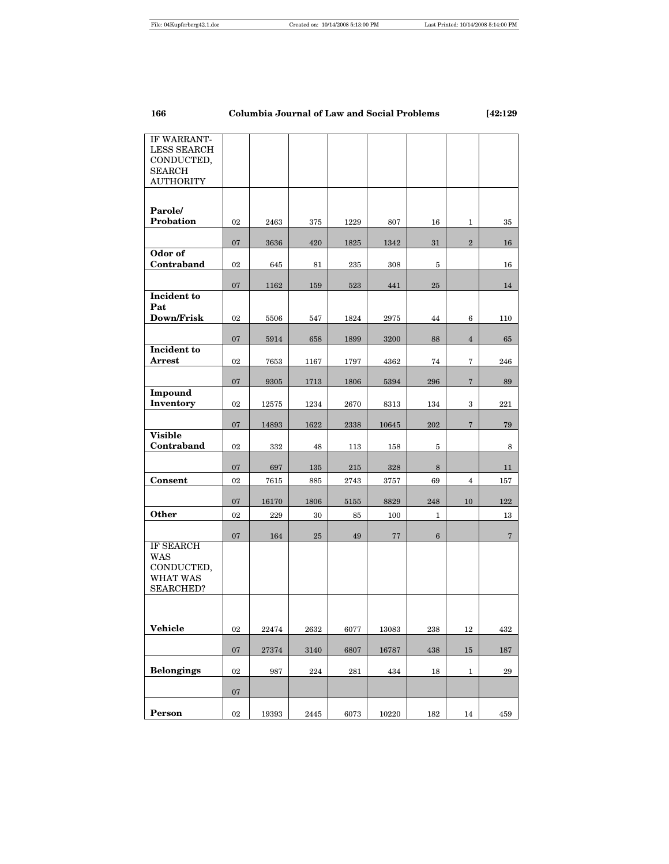| IF WARRANT-<br><b>LESS SEARCH</b><br>CONDUCTED,<br><b>SEARCH</b><br><b>AUTHORITY</b> |        |       |      |      |       |                 |                   |                |
|--------------------------------------------------------------------------------------|--------|-------|------|------|-------|-----------------|-------------------|----------------|
| Parole/<br>Probation                                                                 | 02     | 2463  | 375  | 1229 | 807   | 16              | $\mathbf{1}$      | 35             |
|                                                                                      | 07     | 3636  | 420  | 1825 | 1342  | 31              | $\overline{2}$    | 16             |
| Odor of<br>Contraband                                                                | 02     | 645   | 81   | 235  | 308   | 5               |                   | 16             |
|                                                                                      |        |       |      |      |       |                 |                   |                |
| Incident to                                                                          | 07     | 1162  | 159  | 523  | 441   | 25              |                   | 14             |
| Pat<br>Down/Frisk                                                                    | 02     | 5506  | 547  | 1824 | 2975  | 44              | 6                 | 110            |
|                                                                                      | 07     |       |      |      |       | 88              | $\overline{4}$    |                |
| Incident to                                                                          |        | 5914  | 658  | 1899 | 3200  |                 |                   | 65             |
| Arrest                                                                               | 02     | 7653  | 1167 | 1797 | 4362  | 74              | 7                 | 246            |
| <b>Impound</b>                                                                       | 07     | 9305  | 1713 | 1806 | 5394  | 296             | $\scriptstyle{7}$ | 89             |
| Inventory                                                                            | 02     | 12575 | 1234 | 2670 | 8313  | 134             | 3                 | 221            |
|                                                                                      | 07     | 14893 | 1622 | 2338 | 10645 | 202             | $7\phantom{.0}$   | 79             |
| <b>Visible</b><br>Contraband                                                         | 02     | 332   | 48   | 113  | 158   | 5               |                   | 8              |
|                                                                                      | 07     | 697   | 135  | 215  | 328   | 8               |                   | 11             |
| Consent                                                                              | 02     | 7615  | 885  | 2743 | 3757  | 69              | 4                 | 157            |
|                                                                                      | 07     | 16170 | 1806 | 5155 | 8829  | 248             | 10                | 122            |
| <b>Other</b>                                                                         | 02     | 229   | 30   | 85   | 100   | $\mathbf{1}$    |                   | 13             |
|                                                                                      | 07     | 164   | 25   | 49   | 77    | $6\phantom{1}6$ |                   | $\overline{7}$ |
| IF SEARCH<br><b>WAS</b><br>CONDUCTED,<br>WHAT WAS<br><b>SEARCHED?</b>                |        |       |      |      |       |                 |                   |                |
|                                                                                      |        |       |      |      |       |                 |                   |                |
| <b>Vehicle</b>                                                                       | 02     | 22474 | 2632 | 6077 | 13083 | 238             | 12                | 432            |
|                                                                                      | 07     | 27374 | 3140 | 6807 | 16787 | 438             | 15                | 187            |
| <b>Belongings</b>                                                                    | 02     | 987   | 224  | 281  | 434   | 18              | 1                 | $\bf 29$       |
|                                                                                      | $07\,$ |       |      |      |       |                 |                   |                |
| Person                                                                               | 02     | 19393 | 2445 | 6073 | 10220 | 182             | 14                | 459            |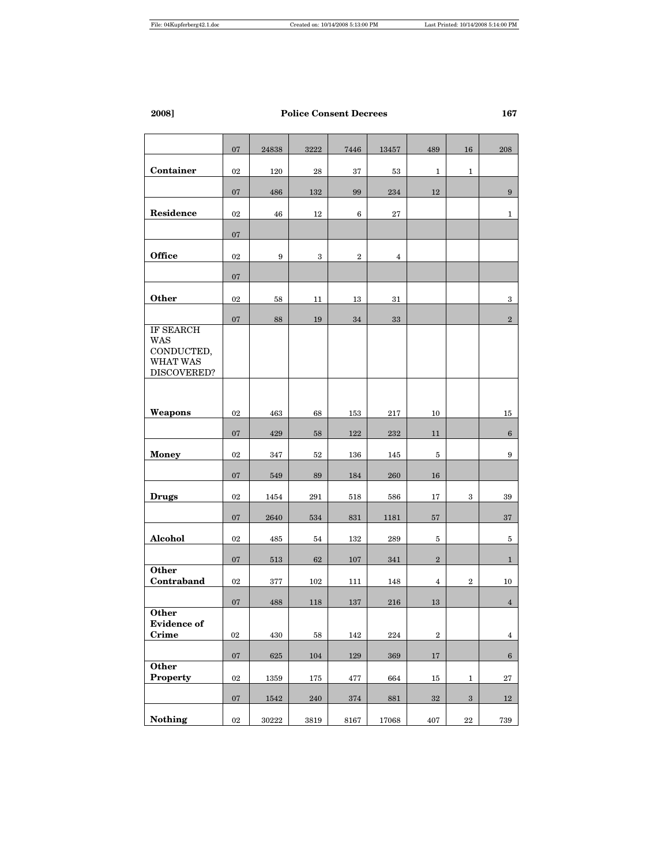|                                                                         | 07     | 24838     | 3222   | 7446    | 13457          | 489            | 16               | 208             |
|-------------------------------------------------------------------------|--------|-----------|--------|---------|----------------|----------------|------------------|-----------------|
| Container                                                               | 02     | 120       | 28     | 37      | 53             | 1              | $\mathbf{1}$     |                 |
|                                                                         | 07     | 486       | 132    | 99      | 234            | 12             |                  | 9               |
| Residence                                                               | 02     | 46        | 12     | 6       | 27             |                |                  | $\mathbf{1}$    |
|                                                                         | 07     |           |        |         |                |                |                  |                 |
| <b>Office</b>                                                           | 02     | 9         | 3      | $\,2$   | $\overline{4}$ |                |                  |                 |
|                                                                         | 07     |           |        |         |                |                |                  |                 |
| Other                                                                   | 02     | 58        | 11     | 13      | 31             |                |                  | 3               |
|                                                                         | 07     | 88        | 19     | 34      | 33             |                |                  | $\,2$           |
| IF SEARCH<br><b>WAS</b><br>CONDUCTED,<br><b>WHAT WAS</b><br>DISCOVERED? |        |           |        |         |                |                |                  |                 |
|                                                                         |        |           |        |         |                |                |                  |                 |
| Weapons                                                                 | 02     | 463       | 68     | 153     | 217            | 10             |                  | 15              |
|                                                                         | 07     | 429       | 58     | 122     | 232            | 11             |                  | $6\overline{6}$ |
| <b>Money</b>                                                            | 02     | 347       | 52     | 136     | 145            | 5              |                  | 9               |
|                                                                         | 07     | 549       | 89     | 184     | 260            | $16\,$         |                  |                 |
| <b>Drugs</b>                                                            | 02     | 1454      | 291    | 518     | 586            | 17             | 3                | 39              |
|                                                                         | 07     | 2640      | 534    | 831     | 1181           | 57             |                  | 37              |
| Alcohol                                                                 | 02     | 485       | 54     | 132     | 289            | 5              |                  | 5               |
|                                                                         | 07     | 513       | 62     | 107     | 341            | $\,2$          |                  | $\mathbf{1}$    |
| Other<br>Contraband                                                     | 02     | 377       | 102    | 111     | 148            | $\overline{4}$ | $\boldsymbol{2}$ | 10              |
|                                                                         | 07     | 488       | 118    | 137     | 216            | 13             |                  | $\overline{4}$  |
| Other<br><b>Evidence</b> of<br>Crime                                    | 02     | 430       | $58\,$ | 142     | 224            | $\,2\,$        |                  | $\overline{4}$  |
|                                                                         | $07\,$ | 625       | 104    | $129\,$ | 369            | $17\,$         |                  | $6\overline{6}$ |
| <b>Other</b><br>Property                                                | 02     | 1359      | 175    | 477     | 664            | $15\,$         | $\mathbf{1}$     | $\bf 27$        |
|                                                                         | $07\,$ | 1542      | 240    | 374     | 881            | $32\,$         | $\boldsymbol{3}$ | 12              |
| <b>Nothing</b>                                                          | $02\,$ | $30222\,$ | 3819   | 8167    | 17068          | 407            | $\bf{22}$        | 739             |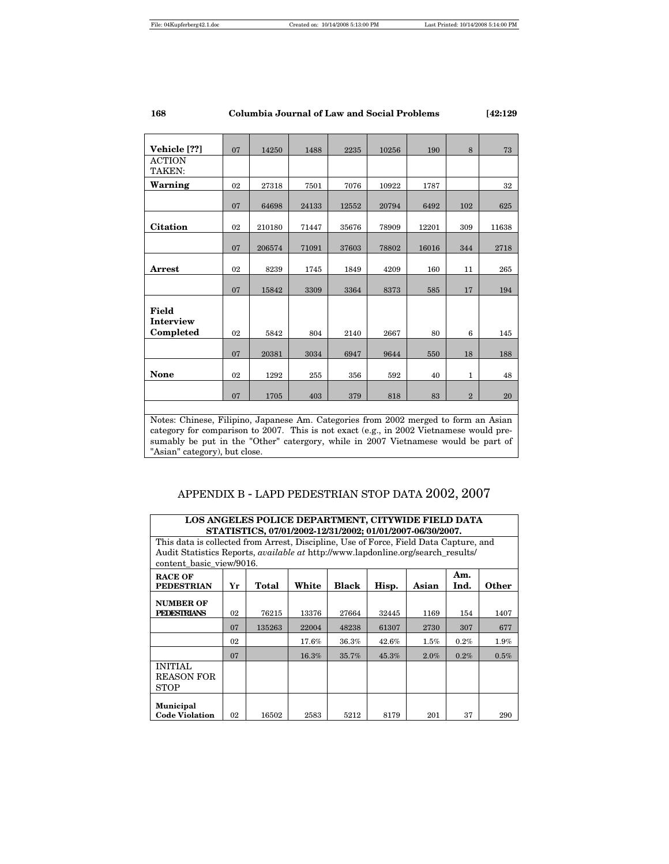| Vehicle [??]              | 07                                                                                                                                                                            | 14250  | 1488  | 2235  | 10256 | 190   | 8              | 73    |  |  |  |  |
|---------------------------|-------------------------------------------------------------------------------------------------------------------------------------------------------------------------------|--------|-------|-------|-------|-------|----------------|-------|--|--|--|--|
| <b>ACTION</b><br>TAKEN:   |                                                                                                                                                                               |        |       |       |       |       |                |       |  |  |  |  |
|                           |                                                                                                                                                                               |        |       |       |       |       |                |       |  |  |  |  |
| Warning                   | 02                                                                                                                                                                            | 27318  | 7501  | 7076  | 10922 | 1787  |                | 32    |  |  |  |  |
|                           | 07                                                                                                                                                                            | 64698  | 24133 | 12552 | 20794 | 6492  | 102            | 625   |  |  |  |  |
| <b>Citation</b>           | 02                                                                                                                                                                            | 210180 | 71447 | 35676 | 78909 | 12201 | 309            | 11638 |  |  |  |  |
|                           | 07                                                                                                                                                                            | 206574 | 71091 | 37603 | 78802 | 16016 | 344            | 2718  |  |  |  |  |
| <b>Arrest</b>             | 02                                                                                                                                                                            | 8239   | 1745  | 1849  | 4209  | 160   | 11             | 265   |  |  |  |  |
|                           | 07                                                                                                                                                                            | 15842  | 3309  | 3364  | 8373  | 585   | 17             | 194   |  |  |  |  |
| <b>Field</b><br>Interview |                                                                                                                                                                               |        |       |       |       |       |                |       |  |  |  |  |
| Completed                 | 02                                                                                                                                                                            | 5842   | 804   | 2140  | 2667  | 80    | 6              | 145   |  |  |  |  |
|                           | 07                                                                                                                                                                            | 20381  | 3034  | 6947  | 9644  | 550   | 18             | 188   |  |  |  |  |
| <b>None</b>               | 02                                                                                                                                                                            | 1292   | 255   | 356   | 592   | 40    | $\mathbf{1}$   | 48    |  |  |  |  |
|                           | 07                                                                                                                                                                            | 1705   | 403   | 379   | 818   | 83    | $\overline{2}$ | 20    |  |  |  |  |
|                           |                                                                                                                                                                               |        |       |       |       |       |                |       |  |  |  |  |
|                           | Notes: Chinese, Filipino, Japanese Am. Categories from 2002 merged to form an Asian<br>category for comparison to 2007. This is not exact (e.g. in 2002 Vietnamese would pre- |        |       |       |       |       |                |       |  |  |  |  |

category for comparison to 2007. This is not exact (e.g., in 2002 Vietnamese would presumably be put in the "Other" catergory, while in 2007 Vietnamese would be part of "Asian" category), but close.

# APPENDIX B - LAPD PEDESTRIAN STOP DATA 2002, 2007

| LOS ANGELES POLICE DEPARTMENT, CITYWIDE FIELD DATA<br>STATISTICS, 07/01/2002-12/31/2002; 01/01/2007-06/30/2007.     |                                                                         |        |       |       |       |      |         |         |  |  |  |
|---------------------------------------------------------------------------------------------------------------------|-------------------------------------------------------------------------|--------|-------|-------|-------|------|---------|---------|--|--|--|
| This data is collected from Arrest, Discipline, Use of Force, Field Data Capture, and                               |                                                                         |        |       |       |       |      |         |         |  |  |  |
| Audit Statistics Reports, <i>available at</i> http://www.lapdonline.org/search results/<br>content basic view/9016. |                                                                         |        |       |       |       |      |         |         |  |  |  |
| <b>RACE OF</b><br><b>PEDESTRIAN</b>                                                                                 | Am.<br>White<br>Black<br>Hisp.<br>Ind.<br>Other<br>Total<br>Asian<br>Yr |        |       |       |       |      |         |         |  |  |  |
| <b>NUMBER OF</b><br><b>PEDESTRIANS</b>                                                                              | 02                                                                      | 76215  | 13376 | 27664 | 32445 | 1169 | 154     | 1407    |  |  |  |
|                                                                                                                     | 07                                                                      | 135263 | 22004 | 48238 | 61307 | 2730 | 307     | 677     |  |  |  |
|                                                                                                                     | 02                                                                      |        | 17.6% | 36.3% | 42.6% | 1.5% | 0.2%    | $1.9\%$ |  |  |  |
|                                                                                                                     | 07                                                                      |        | 16.3% | 35.7% | 45.3% | 2.0% | $0.2\%$ | 0.5%    |  |  |  |
| <b>INITIAL</b><br><b>REASON FOR</b><br>STOP                                                                         |                                                                         |        |       |       |       |      |         |         |  |  |  |
| <b>Municipal</b><br><b>Code Violation</b>                                                                           | 02                                                                      | 16502  | 2583  | 5212  | 8179  | 201  | 37      | 290     |  |  |  |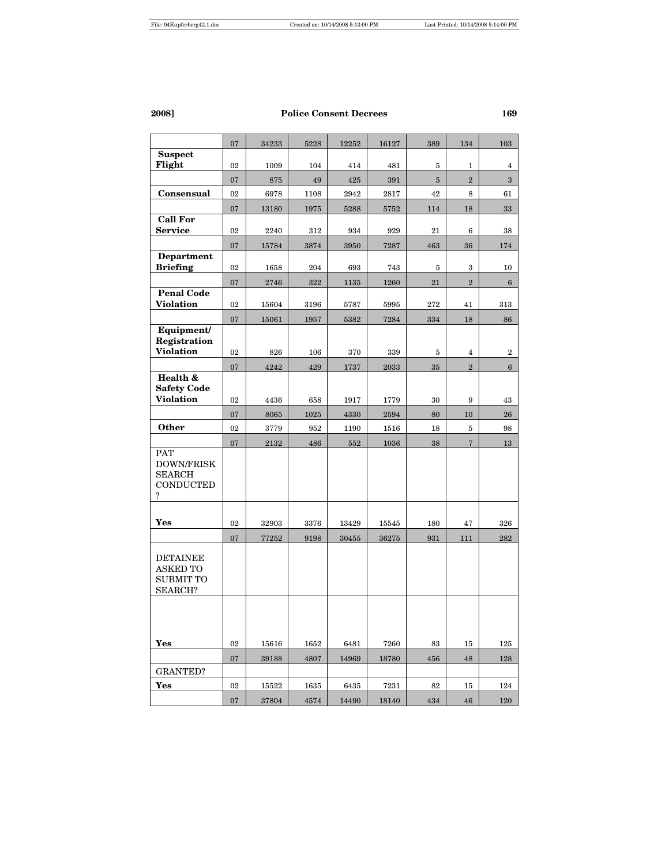|                                    | 07       | 34233        | 5228        | 12252        | 16127        | 389      | 134            | 103                     |
|------------------------------------|----------|--------------|-------------|--------------|--------------|----------|----------------|-------------------------|
| <b>Suspect</b>                     |          |              |             |              |              |          |                |                         |
| Flight                             | 02       | 1009         | 104         | 414          | 481          | 5        | 1              | 4                       |
|                                    | 07       | 875          | 49          | 425          | 391          | $\bf 5$  | $\overline{2}$ | $\overline{\mathbf{3}}$ |
| Consensual                         | 02       | 6978         | 1108        | 2942         | 2817         | 42       | 8              | 61                      |
| <b>Call For</b>                    | 07       | 13180        | 1975        | 5288         | 5752         | 114      | 18             | 33                      |
| <b>Service</b>                     | 02       | 2240         | 312         | 934          | 929          | 21       | $\bf 6$        | 38                      |
|                                    | 07       | 15784        | 3874        | 3950         | 7287         | 463      | 36             | 174                     |
| <b>Department</b>                  |          |              |             |              |              |          |                |                         |
| <b>Briefing</b>                    | 02       | 1658         | 204         | 693          | 743          | 5        | 3              | 10                      |
|                                    | 07       | 2746         | 322         | 1135         | 1260         | 21       | $\,2$          | $\boldsymbol{6}$        |
| <b>Penal Code</b>                  |          |              |             |              |              |          |                |                         |
| <b>Violation</b>                   | 02       | 15604        | 3196        | 5787         | 5995         | 272      | 41             | 313                     |
| Equipment/                         | 07       | 15061        | 1957        | 5382         | 7284         | 334      | 18             | 86                      |
| Registration                       |          |              |             |              |              |          |                |                         |
| <b>Violation</b>                   | 02       | 826          | 106         | 370          | 339          | 5        | $\overline{4}$ | $\boldsymbol{2}$        |
|                                    | 07       | 4242         | 429         | 1737         | 2033         | 35       | $\overline{2}$ | $6\phantom{.}6$         |
| Health &                           |          |              |             |              |              |          |                |                         |
| <b>Safety Code</b><br>Violation    | 02       | 4436         | 658         | 1917         | 1779         | 30       | 9              | 43                      |
|                                    |          |              |             |              |              |          |                |                         |
| Other                              | 07<br>02 | 8065<br>3779 | 1025<br>952 | 4330<br>1190 | 2594<br>1516 | 80<br>18 | $10\,$<br>5    | 26<br>98                |
|                                    |          |              |             |              |              |          |                |                         |
| <b>PAT</b>                         | 07       | $\bf 2132$   | 486         | 552          | 1036         | 38       | $\overline{7}$ | 13                      |
| DOWN/FRISK                         |          |              |             |              |              |          |                |                         |
| <b>SEARCH</b>                      |          |              |             |              |              |          |                |                         |
| <b>CONDUCTED</b><br>?              |          |              |             |              |              |          |                |                         |
|                                    |          |              |             |              |              |          |                |                         |
| Yes                                | 02       | 32903        | 3376        | 13429        | 15545        | 180      | 47             | 326                     |
|                                    | 07       | 77252        | 9198        | 30455        | 36275        | 931      | 111            | 282                     |
|                                    |          |              |             |              |              |          |                |                         |
| <b>DETAINEE</b><br><b>ASKED TO</b> |          |              |             |              |              |          |                |                         |
| <b>SUBMIT TO</b>                   |          |              |             |              |              |          |                |                         |
| <b>SEARCH?</b>                     |          |              |             |              |              |          |                |                         |
|                                    |          |              |             |              |              |          |                |                         |
|                                    |          |              |             |              |              |          |                |                         |
|                                    |          |              |             |              |              |          |                |                         |
| Yes                                | 02       | 15616        | 1652        | 6481         | 7260         | 83       | 15             | 125                     |
|                                    | 07       | 39188        | 4807        | 14969        | 18780        | 456      | 48             | 128                     |
| <b>GRANTED?</b>                    |          |              |             |              |              |          |                |                         |
| Yes                                | 02       | 15522        | 1635        | 6435         | 7231         | 82       | 15             | 124                     |
|                                    | 07       | 37804        | 4574        | 14490        | 18140        | 434      | 46             | 120                     |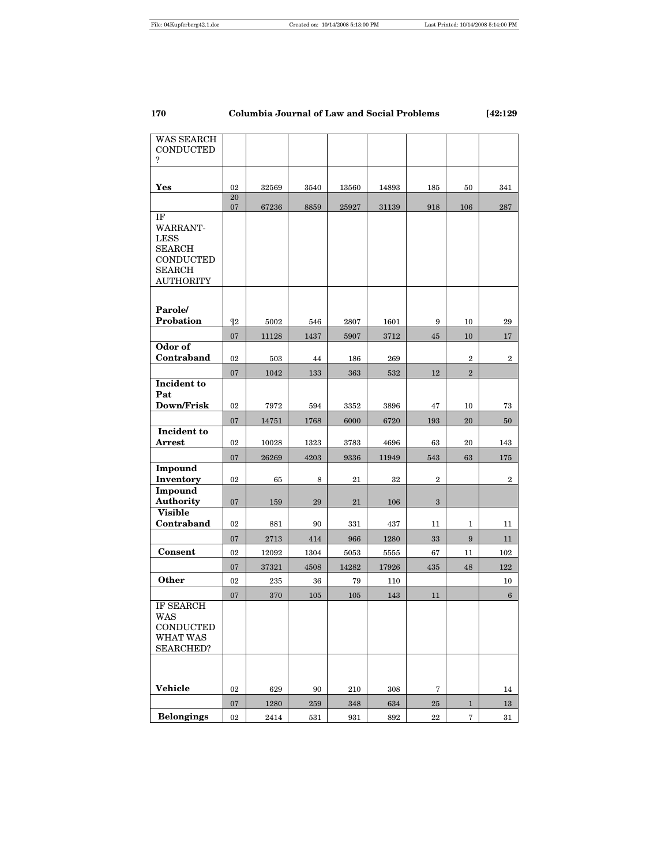| 170 | Columbia Journal of Law and Social Problems | [42:129 |
|-----|---------------------------------------------|---------|
|     |                                             |         |

| WAS SEARCH                        |          |       |         |       |       |                  |                         |                  |
|-----------------------------------|----------|-------|---------|-------|-------|------------------|-------------------------|------------------|
| <b>CONDUCTED</b><br>?             |          |       |         |       |       |                  |                         |                  |
|                                   |          |       |         |       |       |                  |                         |                  |
|                                   |          |       |         |       |       |                  |                         |                  |
| Yes                               | 02<br>20 | 32569 | 3540    | 13560 | 14893 | 185              | 50                      | 341              |
|                                   | 07       | 67236 | 8859    | 25927 | 31139 | 918              | 106                     | 287              |
| IF                                |          |       |         |       |       |                  |                         |                  |
| <b>WARRANT-</b>                   |          |       |         |       |       |                  |                         |                  |
| <b>LESS</b>                       |          |       |         |       |       |                  |                         |                  |
| <b>SEARCH</b>                     |          |       |         |       |       |                  |                         |                  |
| <b>CONDUCTED</b>                  |          |       |         |       |       |                  |                         |                  |
| <b>SEARCH</b><br><b>AUTHORITY</b> |          |       |         |       |       |                  |                         |                  |
|                                   |          |       |         |       |       |                  |                         |                  |
|                                   |          |       |         |       |       |                  |                         |                  |
| Parole/                           |          |       |         |       |       |                  |                         |                  |
| Probation                         | $\P2$    | 5002  | 546     | 2807  | 1601  | 9                | 10                      | 29               |
|                                   | 07       | 11128 | 1437    | 5907  | 3712  | 45               | 10                      | 17               |
| Odor of                           |          |       |         |       |       |                  |                         |                  |
| Contraband                        | 02       | 503   | 44      | 186   | 269   |                  | $\overline{\mathbf{2}}$ | $\boldsymbol{2}$ |
|                                   | 07       | 1042  | 133     | 363   | 532   | 12               | $\overline{2}$          |                  |
| Incident to                       |          |       |         |       |       |                  |                         |                  |
| Pat                               |          |       |         |       |       |                  |                         |                  |
| Down/Frisk                        | 02       | 7972  | 594     | 3352  | 3896  | 47               | 10                      | 73               |
|                                   | 07       | 14751 | 1768    | 6000  | 6720  | 193              | 20                      | 50               |
| Incident to                       |          |       |         |       |       |                  |                         |                  |
| <b>Arrest</b>                     | 02       | 10028 | 1323    | 3783  | 4696  | 63               | 20                      | 143              |
|                                   | 07       | 26269 | 4203    | 9336  | 11949 | 543              | 63                      | 175              |
| Impound                           |          |       |         |       |       |                  |                         |                  |
| Inventory                         | 02       | 65    | 8       | 21    | 32    | $\boldsymbol{2}$ |                         | $\boldsymbol{2}$ |
| Impound<br>Authority              |          |       |         |       |       |                  |                         |                  |
| <b>Visible</b>                    | 07       | 159   | 29      | 21    | 106   | 3                |                         |                  |
| Contraband                        | 02       | 881   | 90      | 331   | 437   | 11               | $\mathbf{1}$            | 11               |
|                                   |          |       |         |       |       |                  |                         |                  |
|                                   | 07       | 2713  | 414     | 966   | 1280  | 33               | 9                       | 11               |
| Consent                           | 02       | 12092 | 1304    | 5053  | 5555  | 67               | 11                      | 102              |
|                                   | 07       | 37321 | 4508    | 14282 | 17926 | 435              | 48                      | 122              |
| <b>Other</b>                      | 02       | 235   | 36      | 79    | 110   |                  |                         | 10               |
|                                   | 07       | 370   | 105     | 105   | 143   | 11               |                         | $6\phantom{.}6$  |
| <b>IF SEARCH</b>                  |          |       |         |       |       |                  |                         |                  |
| WAS                               |          |       |         |       |       |                  |                         |                  |
| <b>CONDUCTED</b><br>WHAT WAS      |          |       |         |       |       |                  |                         |                  |
| <b>SEARCHED?</b>                  |          |       |         |       |       |                  |                         |                  |
|                                   |          |       |         |       |       |                  |                         |                  |
|                                   |          |       |         |       |       |                  |                         |                  |
|                                   |          |       |         |       |       |                  |                         |                  |
| Vehicle                           | 02       | 629   | 90      | 210   | 308   | 7                |                         | 14               |
|                                   | $07\,$   | 1280  | $259\,$ | 348   | 634   | $25\,$           | $\mathbf{1}$            | 13               |
| <b>Belongings</b>                 | $02\,$   | 2414  | 531     | 931   | 892   | $\bf 22$         | $\overline{7}$          | $31\,$           |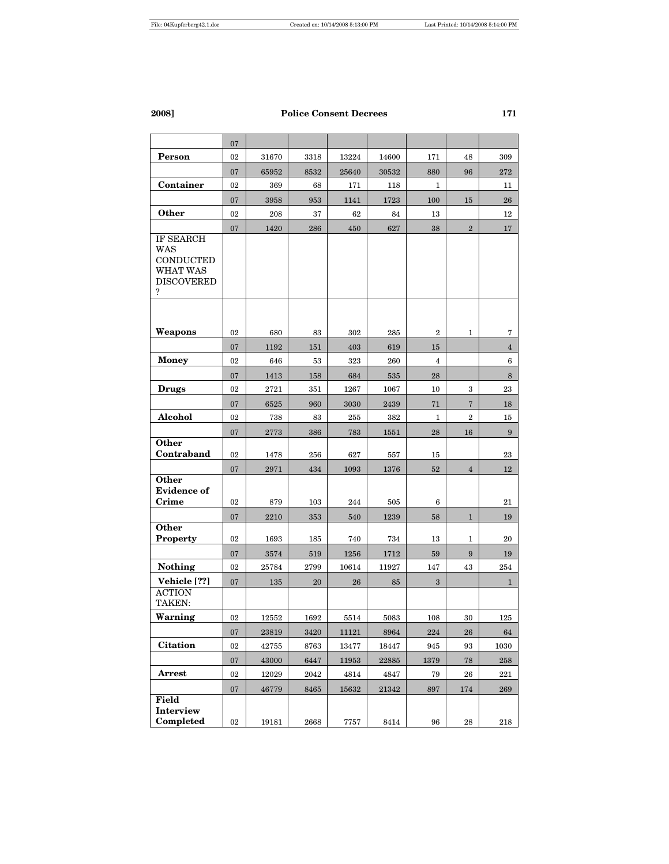|                                                                                   | 07     |       |      |       |       |                |                  |                 |
|-----------------------------------------------------------------------------------|--------|-------|------|-------|-------|----------------|------------------|-----------------|
| Person                                                                            | 02     | 31670 | 3318 | 13224 | 14600 | 171            | 48               | 309             |
|                                                                                   | 07     | 65952 | 8532 | 25640 | 30532 | 880            | 96               | $\bf 272$       |
| Container                                                                         | 02     | 369   | 68   | 171   | 118   | 1              |                  | 11              |
|                                                                                   | 07     | 3958  | 953  | 1141  | 1723  | 100            | 15               | 26              |
| <b>Other</b>                                                                      | 02     | 208   | 37   | 62    | 84    | 13             |                  | 12              |
|                                                                                   | 07     | 1420  | 286  | 450   | 627   | 38             | $\,2$            | 17              |
| IF SEARCH<br>WAS<br><b>CONDUCTED</b><br><b>WHAT WAS</b><br><b>DISCOVERED</b><br>? |        |       |      |       |       |                |                  |                 |
|                                                                                   |        |       |      |       |       |                |                  |                 |
| Weapons                                                                           | 02     | 680   | 83   | 302   | 285   | $\overline{2}$ | 1                | 7               |
|                                                                                   | 07     | 1192  | 151  | 403   | 619   | 15             |                  | $\overline{4}$  |
| <b>Money</b>                                                                      | 02     | 646   | 53   | 323   | 260   | $\overline{4}$ |                  | 6               |
|                                                                                   | 07     | 1413  | 158  | 684   | 535   | 28             |                  | 8               |
| <b>Drugs</b>                                                                      | 02     | 2721  | 351  | 1267  | 1067  | 10             | 3                | 23              |
|                                                                                   | 07     | 6525  | 960  | 3030  | 2439  | 71             | $\overline{7}$   | 18              |
| Alcohol                                                                           | 02     | 738   | 83   | 255   | 382   | 1              | $\boldsymbol{2}$ | 15              |
|                                                                                   | 07     | 2773  | 386  | 783   | 1551  | 28             | 16               | $9\phantom{.0}$ |
| Other<br>Contraband                                                               | 02     | 1478  | 256  | 627   | 557   | 15             |                  | 23              |
|                                                                                   | 07     | 2971  | 434  | 1093  | 1376  | $52\,$         | $\overline{4}$   | 12              |
| Other<br><b>Evidence of</b><br>Crime                                              | 02     | 879   | 103  | 244   | 505   | 6              |                  | 21              |
| Other                                                                             | 07     | 2210  | 353  | 540   | 1239  | 58             | $\mathbf{1}$     | 19              |
| Property                                                                          | 02     | 1693  | 185  | 740   | 734   | 13             | 1                | 20              |
|                                                                                   | 07     | 3574  | 519  | 1256  | 1712  | 59             | 9                | 19              |
| Nothing                                                                           | 02     | 25784 | 2799 | 10614 | 11927 | 147            | 43               | 254             |
| Vehicle [??]                                                                      | 07     | 135   | 20   | 26    | 85    | 3              |                  | $\mathbf{1}$    |
| <b>ACTION</b><br>TAKEN:                                                           |        |       |      |       |       |                |                  |                 |
| Warning                                                                           | 02     | 12552 | 1692 | 5514  | 5083  | 108            | 30               | 125             |
|                                                                                   | 07     | 23819 | 3420 | 11121 | 8964  | 224            | 26               | 64              |
| <b>Citation</b>                                                                   | 02     | 42755 | 8763 | 13477 | 18447 | 945            | 93               | 1030            |
|                                                                                   | 07     | 43000 | 6447 | 11953 | 22885 | 1379           | 78               | 258             |
| Arrest                                                                            | 02     | 12029 | 2042 | 4814  | 4847  | 79             | 26               | 221             |
|                                                                                   | 07     | 46779 | 8465 | 15632 | 21342 | 897            | 174              | 269             |
| Field<br>Interview<br>Completed                                                   | $02\,$ | 19181 | 2668 | 7757  | 8414  | 96             | $\bf 28$         | 218             |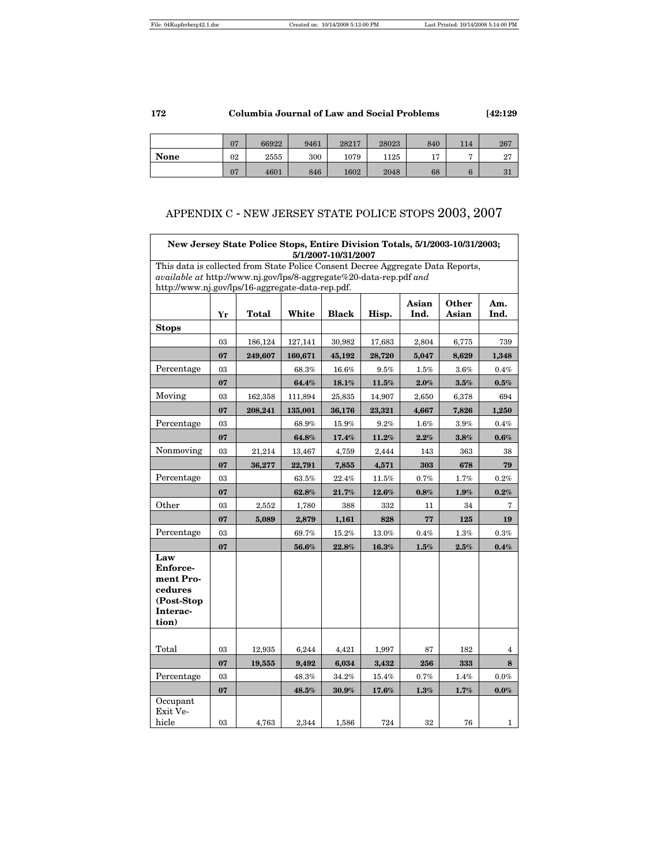|             | 07 | 66922 | 9461 | 28217 | 28023 | 840       | 114 | 267           |
|-------------|----|-------|------|-------|-------|-----------|-----|---------------|
| <b>None</b> | 02 | 2555  | 300  | 1079  | 1125  | 15<br>⊥ ≀ | -   | $\Omega$<br>z |
|             | 07 | 4601  | 846  | 1602  | 2048  | 68        |     | 31            |

# APPENDIX C - NEW JERSEY STATE POLICE STOPS 2003, 2007

|                                                                                                                                                       | New Jersey State Police Stops, Entire Division Totals, 5/1/2003-10/31/2003;<br>5/1/2007-10/31/2007 |         |         |              |          |               |                |              |  |  |  |  |
|-------------------------------------------------------------------------------------------------------------------------------------------------------|----------------------------------------------------------------------------------------------------|---------|---------|--------------|----------|---------------|----------------|--------------|--|--|--|--|
| This data is collected from State Police Consent Decree Aggregate Data Reports,<br>available at http://www.nj.gov/lps/8-aggregate%20-data-rep.pdf and |                                                                                                    |         |         |              |          |               |                |              |  |  |  |  |
| http://www.nj.gov/lps/16-aggregate-data-rep.pdf.                                                                                                      |                                                                                                    |         |         |              |          |               |                |              |  |  |  |  |
|                                                                                                                                                       | Yr                                                                                                 | Total   | White   | <b>Black</b> | Hisp.    | Asian<br>Ind. | Other<br>Asian | Am.<br>Ind.  |  |  |  |  |
| <b>Stops</b>                                                                                                                                          |                                                                                                    |         |         |              |          |               |                |              |  |  |  |  |
|                                                                                                                                                       | 03                                                                                                 | 186,124 | 127,141 | 30,982       | 17,683   | 2,804         | 6,775          | 739          |  |  |  |  |
|                                                                                                                                                       | 07                                                                                                 | 249,607 | 160,671 | 45,192       | 28,720   | 5,047         | 8,629          | 1,348        |  |  |  |  |
| Percentage                                                                                                                                            | 03                                                                                                 |         | 68.3%   | 16.6%        | 9.5%     | 1.5%          | 3.6%           | 0.4%         |  |  |  |  |
|                                                                                                                                                       | 07                                                                                                 |         | 64.4%   | 18.1%        | 11.5%    | 2.0%          | $3.5\%$        | 0.5%         |  |  |  |  |
| Moving                                                                                                                                                | 03                                                                                                 | 162,358 | 111,894 | 25,835       | 14,907   | 2,650         | 6,378          | 694          |  |  |  |  |
|                                                                                                                                                       | 07                                                                                                 | 208,241 | 135,001 | 36,176       | 23,321   | 4,667         | 7,826          | 1,250        |  |  |  |  |
| Percentage                                                                                                                                            | 03                                                                                                 |         | 68.9%   | 15.9%        | 9.2%     | 1.6%          | 3.9%           | 0.4%         |  |  |  |  |
|                                                                                                                                                       | 07                                                                                                 |         | 64.8%   | 17.4%        | 11.2%    | 2.2%          | $3.8\%$        | 0.6%         |  |  |  |  |
| Nonmoving                                                                                                                                             | 03                                                                                                 | 21,214  | 13,467  | 4,759        | 2,444    | 143           | 363            | 38           |  |  |  |  |
|                                                                                                                                                       | 07                                                                                                 | 36,277  | 22,791  | 7,855        | 4,571    | 303           | 678            | 79           |  |  |  |  |
| Percentage                                                                                                                                            | 03                                                                                                 |         | 63.5%   | 22.4%        | $11.5\%$ | 0.7%          | 1.7%           | $0.2\%$      |  |  |  |  |
|                                                                                                                                                       | 07                                                                                                 |         | 62.8%   | 21.7%        | 12.6%    | 0.8%          | $1.9\%$        | $0.2\%$      |  |  |  |  |
| Other                                                                                                                                                 | 03                                                                                                 | 2,552   | 1,780   | 388          | 332      | 11            | 34             | 7            |  |  |  |  |
|                                                                                                                                                       | 07                                                                                                 | 5,089   | 2,879   | 1,161        | 828      | 77            | 125            | 19           |  |  |  |  |
| Percentage                                                                                                                                            | 03                                                                                                 |         | 69.7%   | 15.2%        | 13.0%    | 0.4%          | 1.3%           | 0.3%         |  |  |  |  |
|                                                                                                                                                       | 07                                                                                                 |         | 56.6%   | 22.8%        | 16.3%    | 1.5%          | 2.5%           | 0.4%         |  |  |  |  |
| Law<br><b>Enforce-</b><br>ment Pro-<br>cedures<br>(Post-Stop<br>Interac-<br>tion)                                                                     |                                                                                                    |         |         |              |          |               |                |              |  |  |  |  |
| Total                                                                                                                                                 | 03                                                                                                 | 12,935  | 6,244   | 4,421        | 1,997    | 87            | 182            | 4            |  |  |  |  |
|                                                                                                                                                       | 07                                                                                                 | 19,555  | 9,492   | 6,034        | 3,432    | 256           | 333            | 8            |  |  |  |  |
| Percentage                                                                                                                                            | 03                                                                                                 |         | 48.3%   | 34.2%        | 15.4%    | 0.7%          | 1.4%           | $0.0\%$      |  |  |  |  |
|                                                                                                                                                       | 07                                                                                                 |         | 48.5%   | 30.9%        | 17.6%    | $1.3\%$       | 1.7%           | $0.0\%$      |  |  |  |  |
| Occupant<br>Exit Ve-<br>hicle                                                                                                                         | 03                                                                                                 | 4,763   | 2,344   | 1,586        | 724      | 32            | 76             | $\mathbf{1}$ |  |  |  |  |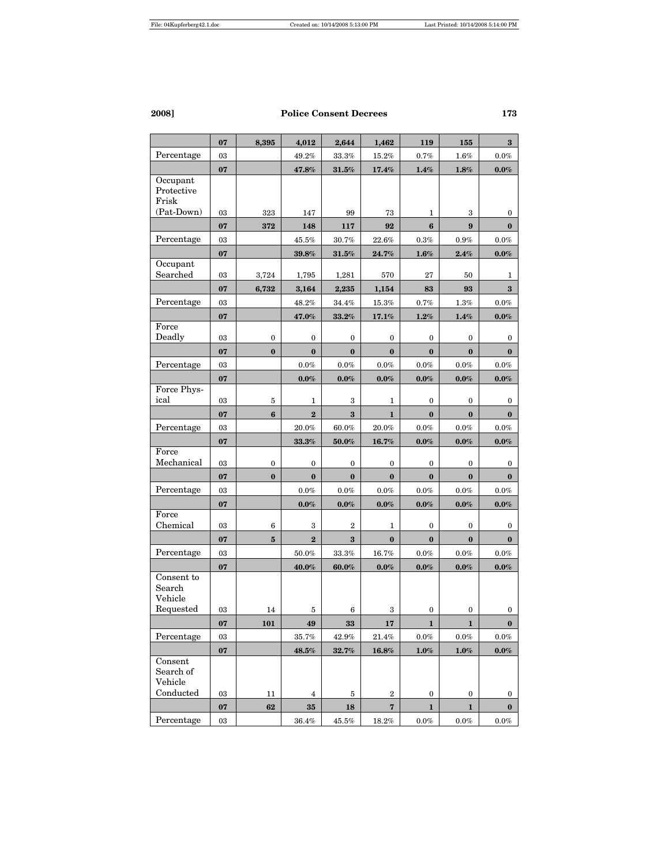|                                               | 07       | 8,395     | 4,012                   | 2,644                      | 1,462                 | 119                | 155              | $\bf{3}$         |
|-----------------------------------------------|----------|-----------|-------------------------|----------------------------|-----------------------|--------------------|------------------|------------------|
| Percentage                                    | 03       |           | 49.2%                   | 33.3%                      | 15.2%                 | 0.7%               | $1.6\%$          | 0.0%             |
|                                               | 07       |           | $\pmb{47.8\%}$          | $\bm{31.5\%}$              | $17.4\%$              | $1.4\%$            | $1.8\%$          | $0.0\%$          |
| Occupant<br>Protective<br>Frisk<br>(Pat-Down) | 03       | 323       | 147                     | 99                         | 73                    | 1                  | 3                | 0                |
|                                               |          |           |                         |                            |                       | 6                  | $\boldsymbol{9}$ | $\bf{0}$         |
| Percentage                                    | 07<br>03 | 372       | 148                     | 117                        | 92                    |                    |                  |                  |
|                                               | 07       |           | $45.5\%$<br>39.8%       | $30.7\%$<br>$\pmb{31.5\%}$ | $22.6\%$<br>24.7%     | $0.3\%$<br>$1.6\%$ | $0.9\%$<br>2.4%  | $0.0\%$          |
| Occupant<br>Searched                          | 03       | 3,724     | 1,795                   | 1,281                      | 570                   | 27                 | 50               | $0.0\%$<br>1     |
|                                               | 07       | 6,732     | 3,164                   | 2,235                      | 1,154                 | 83                 | 93               | $\bf{3}$         |
| Percentage                                    | 03       |           | 48.2%                   | 34.4%                      | 15.3%                 | 0.7%               | 1.3%             | $0.0\%$          |
|                                               | 07       |           | 47.0%                   | $33.2\%$                   | 17.1%                 | 1.2%               | 1.4%             | $0.0\%$          |
| Force<br>Deadly                               | 03       | 0         | 0                       | 0                          | 0                     | 0                  | 0                | 0                |
|                                               | 07       | $\bf{0}$  | $\bf{0}$                | $\bf{0}$                   | $\bf{0}$              | $\bf{0}$           | $\bf{0}$         | $\bf{0}$         |
| Percentage                                    | $03\,$   |           | $0.0\%$                 | $0.0\%$                    | $0.0\%$               | $0.0\%$            | $0.0\%$          | $0.0\%$          |
|                                               | 07       |           | $0.0\%$                 | $0.0\%$                    | $0.0\%$               | $0.0\%$            | $0.0\%$          | $0.0\%$          |
| Force Phys-<br>ical                           | 03       | 5         | 1                       | 3                          | 1                     | 0                  | $\bf{0}$         | $\bf{0}$         |
|                                               | 07       | 6         | $\overline{\mathbf{2}}$ | $\bf{3}$                   | $\mathbf{1}$          | $\bf{0}$           | $\bf{0}$         | $\bf{0}$         |
| Percentage                                    | 03       |           | 20.0%                   | 60.0%                      | 20.0%                 | $0.0\%$            | $0.0\%$          | 0.0%             |
|                                               | 07       |           | $33.3\%$                | $50.0\%$                   | 16.7%                 | $0.0\%$            | $0.0\%$          | 0.0%             |
| Force<br>Mechanical                           | 03       | 0         | 0                       | 0                          | 0                     | 0                  | 0                | 0                |
|                                               | 07       | $\bf{0}$  | $\bf{0}$                | $\bf{0}$                   | $\bf{0}$              | $\bf{0}$           | $\bf{0}$         | $\bf{0}$         |
| Percentage                                    | 03       |           | $0.0\%$                 | $0.0\%$                    | $0.0\%$               | $0.0\%$            | $0.0\%$          | 0.0%             |
|                                               | 07       |           | $0.0\%$                 | $0.0\%$                    | $0.0\%$               | $0.0\%$            | $0.0\%$          | $0.0\%$          |
| Force<br>Chemical                             | 03       | 6         | 3                       | $\overline{2}$             | 1                     | 0                  | 0                | 0                |
|                                               | 07       | ${\bf 5}$ | $\bf{2}$                | $\bf{3}$                   | $\bf{0}$              | $\bf{0}$           | $\bf{0}$         | $\bf{0}$         |
| Percentage                                    | 03       |           | 50.0%                   | 33.3%                      | 16.7%                 | $0.0\%$            | $0.0\%$          | $0.0\%$          |
|                                               | 07       |           | 40.0%                   | $60.0\%$                   | $0.0\%$               | $0.0\%$            | $0.0\%$          | $0.0\%$          |
| Consent to<br>Search<br>Vehicle               |          |           |                         |                            |                       |                    |                  |                  |
| Requested                                     | 03       | 14        | 5                       | 6                          | 3                     | 0                  | 0                | 0                |
|                                               | 07       | 101       | 49                      | 33                         | 17                    | $\mathbf{1}$       | 1                | $\mathbf{0}$     |
| Percentage                                    | 03       |           | 35.7%                   | 42.9%                      | $21.4\%$              | $0.0\%$            | 0.0%             | $0.0\%$          |
|                                               | $07\,$   |           | $\pmb{48.5\%}$          | 32.7%                      | $\boldsymbol{16.8\%}$ | $1.0\%$            | $1.0\%$          | $0.0\%$          |
| Consent<br>Search of<br>Vehicle               |          |           |                         |                            |                       |                    |                  |                  |
| Conducted                                     | 03       | 11        | 4                       | 5                          | $\boldsymbol{2}$      | 0                  | 0                | $\boldsymbol{0}$ |
|                                               | 07       | $62\,$    | 35                      | 18                         | 7                     | 1                  | 1                | $\bf{0}$         |
| Percentage                                    | $03\,$   |           | $36.4\%$                | $45.5\%$                   | $18.2\%$              | $0.0\%$            | $0.0\%$          | $0.0\%$          |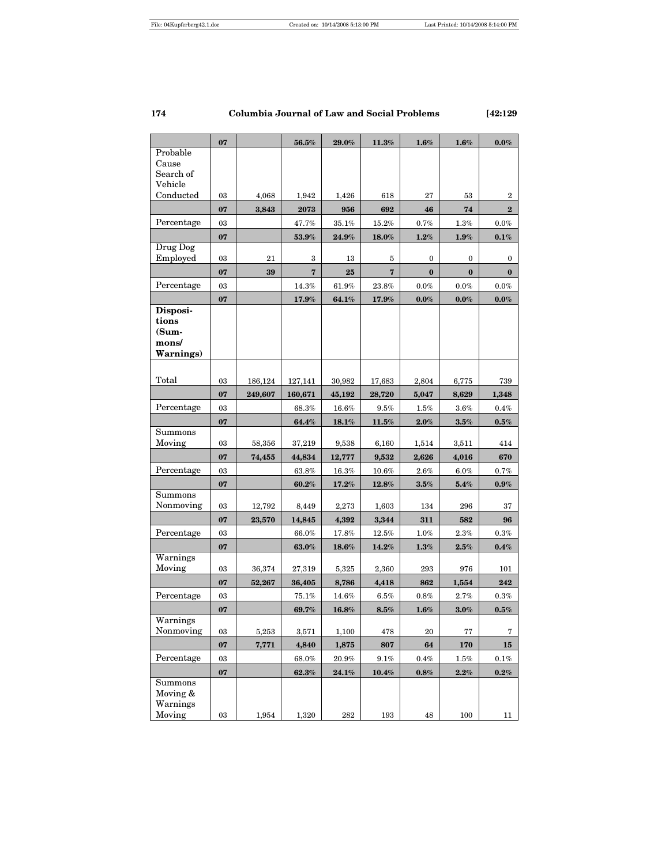|                      | 07         |                  | ${\bf 56.5\%}$          | 29.0%          | 11.3%                   | $1.6\%$          | 1.6%             | $0.0\%$          |
|----------------------|------------|------------------|-------------------------|----------------|-------------------------|------------------|------------------|------------------|
| Probable             |            |                  |                         |                |                         |                  |                  |                  |
| Cause                |            |                  |                         |                |                         |                  |                  |                  |
| Search of<br>Vehicle |            |                  |                         |                |                         |                  |                  |                  |
| Conducted            | 03         | 4,068            | 1,942                   | 1,426          | 618                     | 27               | 53               | 2                |
|                      | 07         | 3,843            | 2073                    | 956            | 692                     | 46               | 74               | $\bf{2}$         |
| Percentage           | 03         |                  | 47.7%                   | 35.1%          | 15.2%                   | 0.7%             | 1.3%             | $0.0\%$          |
|                      | 07         |                  | $53.9\%$                | 24.9%          | 18.0%                   | $1.2\%$          | $1.9\%$          | $0.1\%$          |
| Drug Dog             |            |                  |                         |                |                         |                  |                  |                  |
| Employed             | 03         | 21               | 3                       | 13             | 5                       | 0                | 0                | 0                |
|                      | 07         | 39               | $\overline{\mathbf{7}}$ | 25             | $\overline{\mathbf{7}}$ | $\bf{0}$         | $\bf{0}$         | $\bf{0}$         |
| Percentage           | $03\,$     |                  | 14.3%                   | $61.9\%$       | 23.8%                   | $0.0\%$          | $0.0\%$          | $0.0\%$          |
|                      | 07         |                  | $17.9\%$                | 64.1%          | 17.9%                   | $0.0\%$          | $0.0\%$          | $0.0\%$          |
| Disposi-             |            |                  |                         |                |                         |                  |                  |                  |
| tions<br>(Sum-       |            |                  |                         |                |                         |                  |                  |                  |
| mons/                |            |                  |                         |                |                         |                  |                  |                  |
| <b>Warnings)</b>     |            |                  |                         |                |                         |                  |                  |                  |
|                      |            |                  |                         |                |                         |                  |                  |                  |
| Total                | 03         | 186,124          | 127,141                 | 30,982         | 17,683                  | 2,804            | 6,775            | 739              |
|                      | 07         | 249,607          | 160,671                 | 45,192         | 28,720                  | 5,047            | 8,629            | 1,348            |
| Percentage           | 03         |                  | 68.3%                   | $16.6\%$       | $9.5\%$                 | $1.5\%$          | $3.6\%$          | 0.4%             |
|                      | 07         |                  | 64.4%                   | 18.1%          | 11.5%                   | 2.0%             | $3.5\%$          | $0.5\%$          |
| Summons              |            |                  |                         |                |                         |                  |                  |                  |
| Moving               | 03         | 58,356           | 37,219                  | 9,538          | 6,160                   | 1,514            | 3,511            | 414              |
|                      | 07         | 74,455           | 44,834                  | 12,777         | 9,532                   | 2,626            | 4,016            | 670              |
| Percentage           | 03         |                  | 63.8%                   | 16.3%          | $10.6\%$                | $2.6\%$          | $6.0\%$          | 0.7%             |
|                      | 07         |                  | 60.2%                   | 17.2%          | 12.8%                   | $3.5\%$          | 5.4%             | $0.9\%$          |
| Summons<br>Nonmoving | 03         |                  |                         |                |                         |                  |                  |                  |
|                      | 07         | 12,792<br>23,570 | 8,449<br>14,845         | 2,273<br>4,392 | 1,603<br>3,344          | 134<br>311       | 296<br>582       | 37<br>96         |
| Percentage           | 03         |                  | 66.0%                   | 17.8%          | $12.5\%$                | 1.0%             | $2.3\%$          | $0.3\%$          |
|                      | 07         |                  | 63.0%                   | $18.6\%$       | $\textbf{14.2}\%$       | $1.3\%$          | $2.5\%$          | $0.4\%$          |
| Warnings             |            |                  |                         |                |                         |                  |                  |                  |
| Moving               | 03         | 36,374           | 27,319                  | 5,325          | 2,360                   | 293              | 976              | 101              |
|                      | 07         | 52,267           | 36,405                  | 8,786          | 4,418                   | 862              | 1,554            | 242              |
| Percentage           | 03         |                  | 75.1%                   | 14.6%          | 6.5%                    | 0.8%             | 2.7%             | 0.3%             |
|                      | 07         |                  | 69.7%                   | 16.8%          | $8.5\%$                 | 1.6%             | $3.0\%$          | $0.5\%$          |
| Warnings             |            |                  |                         |                |                         |                  |                  |                  |
| Nonmoving            | 03         | 5,253            | 3,571                   | 1,100          | 478                     | 20               | 77               | 7                |
|                      | 07         | 7,771            | 4,840                   | 1,875          | 807                     | 64               | 170              | 15               |
| Percentage           | $03\,$     |                  | $68.0\%$                | $20.9\%$       | $9.1\%$                 | $0.4\%$          | $1.5\%$          | $0.1\%$          |
|                      | ${\bf 07}$ |                  | $\boldsymbol{62.3\%}$   | 24.1%          | ${\bf 10.4}\%$          | $\mathbf{0.8}\%$ | $\mathbf{2.2}\%$ | $\mathbf{0.2}\%$ |
| Summons<br>Moving &  |            |                  |                         |                |                         |                  |                  |                  |
| Warnings             |            |                  |                         |                |                         |                  |                  |                  |
| Moving               | 03         | 1,954            | 1,320                   | 282            | 193                     | 48               | 100              | 11               |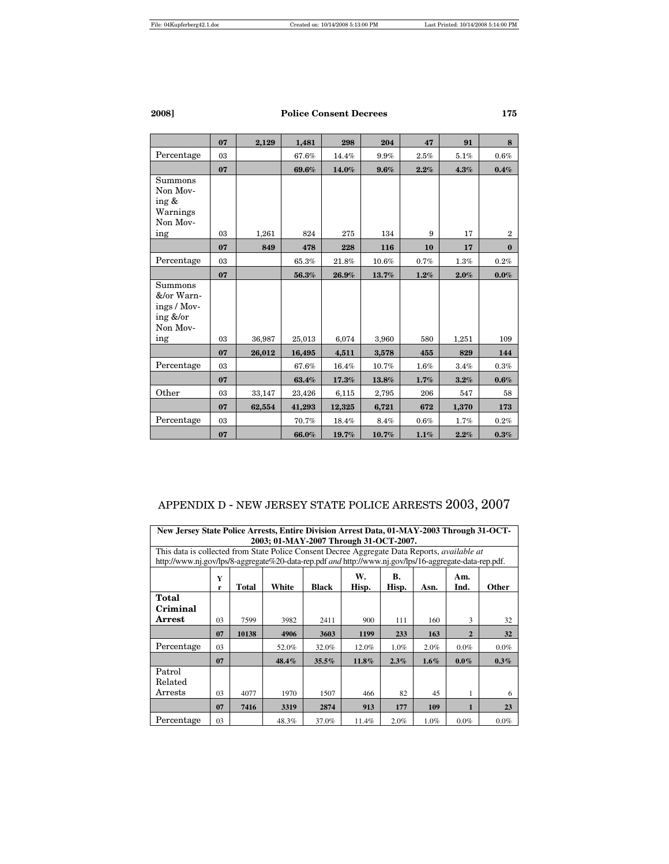|                                                                       | 07 | 2,129  | 1,481  | 298    | 204   | 47      | 91      | 8              |
|-----------------------------------------------------------------------|----|--------|--------|--------|-------|---------|---------|----------------|
| Percentage                                                            | 03 |        | 67.6%  | 14.4%  | 9.9%  | $2.5\%$ | 5.1%    | 0.6%           |
|                                                                       | 07 |        | 69.6%  | 14.0%  | 9.6%  | 2.2%    | 4.3%    | 0.4%           |
| Summons<br>Non Mov-<br>ing &<br>Warnings<br>Non Mov-                  |    |        |        |        |       |         |         |                |
| ing                                                                   | 03 | 1,261  | 824    | 275    | 134   | 9       | 17      | $\overline{2}$ |
|                                                                       | 07 | 849    | 478    | 228    | 116   | 10      | 17      | $\bf{0}$       |
| Percentage                                                            | 03 |        | 65.3%  | 21.8%  | 10.6% | 0.7%    | $1.3\%$ | 0.2%           |
|                                                                       | 07 |        | 56.3%  | 26.9%  | 13.7% | $1.2\%$ | 2.0%    | $0.0\%$        |
| Summons<br>&/or Warn-<br>ings / Mov-<br>ing $&/or$<br>Non Mov-<br>ing | 03 | 36,987 | 25,013 | 6,074  | 3,960 | 580     | 1,251   | 109            |
|                                                                       | 07 | 26,012 | 16,495 | 4,511  | 3,578 | 455     | 829     | 144            |
| Percentage                                                            | 03 |        | 67.6%  | 16.4%  | 10.7% | $1.6\%$ | 3.4%    | 0.3%           |
|                                                                       |    |        |        |        |       |         |         |                |
|                                                                       | 07 |        | 63.4%  | 17.3%  | 13.8% | 1.7%    | 3.2%    | 0.6%           |
| Other                                                                 | 03 | 33,147 | 23,426 | 6,115  | 2,795 | 206     | 547     | 58             |
|                                                                       | 07 | 62,554 | 41,293 | 12,325 | 6,721 | 672     | 1,370   | 173            |
| Percentage                                                            | 03 |        | 70.7%  | 18.4%  | 8.4%  | $0.6\%$ | 1.7%    | 0.2%           |
|                                                                       | 07 |        | 66.0%  | 19.7%  | 10.7% | 1.1%    | 2.2%    | 0.3%           |

# APPENDIX D - NEW JERSEY STATE POLICE ARRESTS 2003, 2007

|                                                                                                        | New Jersey State Police Arrests, Entire Division Arrest Data, 01-MAY-2003 Through 31-OCT-<br>2003; 01-MAY-2007 Through 31-OCT-2007. |       |       |          |       |      |         |                |         |  |  |  |  |
|--------------------------------------------------------------------------------------------------------|-------------------------------------------------------------------------------------------------------------------------------------|-------|-------|----------|-------|------|---------|----------------|---------|--|--|--|--|
|                                                                                                        | This data is collected from State Police Consent Decree Aggregate Data Reports, <i>available at</i>                                 |       |       |          |       |      |         |                |         |  |  |  |  |
| http://www.nj.gov/lps/8-aggregate%20-data-rep.pdf and http://www.nj.gov/lps/16-aggregate-data-rep.pdf. |                                                                                                                                     |       |       |          |       |      |         |                |         |  |  |  |  |
|                                                                                                        | W.<br>В.<br>Am.<br>Y<br>White<br>Hisp.<br><b>Total</b><br><b>Black</b><br>Hisp.<br><b>Other</b><br>Ind.<br>Asn.<br>r                |       |       |          |       |      |         |                |         |  |  |  |  |
| Total                                                                                                  |                                                                                                                                     |       |       |          |       |      |         |                |         |  |  |  |  |
| Criminal                                                                                               |                                                                                                                                     |       |       |          |       |      |         |                |         |  |  |  |  |
| Arrest                                                                                                 | 03                                                                                                                                  | 7599  | 3982  | 2411     | 900   | 111  | 160     | 3              | 32      |  |  |  |  |
|                                                                                                        | 07                                                                                                                                  | 10138 | 4906  | 3603     | 1199  | 233  | 163     | $\overline{2}$ | 32      |  |  |  |  |
| Percentage                                                                                             | 03                                                                                                                                  |       | 52.0% | 32.0%    | 12.0% | 1.0% | 2.0%    | $0.0\%$        | $0.0\%$ |  |  |  |  |
|                                                                                                        | 07                                                                                                                                  |       | 48.4% | $35.5\%$ | 11.8% | 2.3% | $1.6\%$ | $0.0\%$        | $0.3\%$ |  |  |  |  |
| Patrol                                                                                                 |                                                                                                                                     |       |       |          |       |      |         |                |         |  |  |  |  |
| Related                                                                                                |                                                                                                                                     |       |       |          |       |      |         |                |         |  |  |  |  |
| $\operatorname{Arrests}$                                                                               | 03                                                                                                                                  | 4077  | 1970  | 1507     | 466   | 82   | 45      |                | 6       |  |  |  |  |
|                                                                                                        | 07                                                                                                                                  | 7416  | 3319  | 2874     | 913   | 177  | 109     |                | 23      |  |  |  |  |
| Percentage                                                                                             | 03                                                                                                                                  |       | 48.3% | 37.0%    | 11.4% | 2.0% | $1.0\%$ | $0.0\%$        | $0.0\%$ |  |  |  |  |